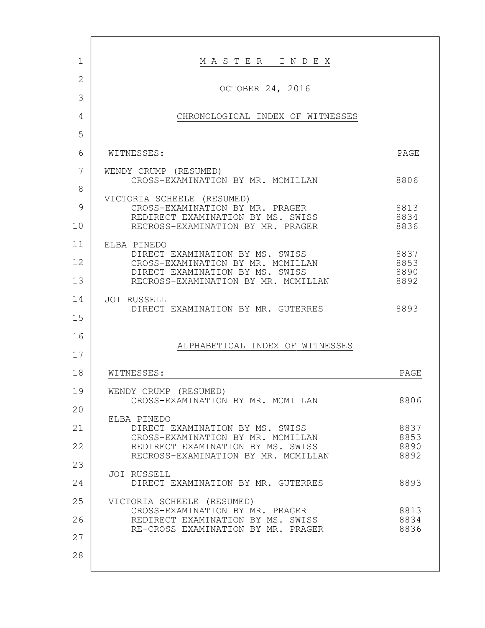| 1              | MASTER INDEX                                                           |              |
|----------------|------------------------------------------------------------------------|--------------|
| $\overline{2}$ | OCTOBER 24, 2016                                                       |              |
| 3              |                                                                        |              |
| 4              | CHRONOLOGICAL INDEX OF WITNESSES                                       |              |
| 5              |                                                                        |              |
| 6              | WITNESSES:                                                             | PAGE         |
| 7              | WENDY CRUMP (RESUMED)                                                  |              |
| 8              | CROSS-EXAMINATION BY MR. MCMILLAN                                      | 8806         |
| 9              | VICTORIA SCHEELE (RESUMED)<br>CROSS-EXAMINATION BY MR. PRAGER          | 8813         |
| 10             | REDIRECT EXAMINATION BY MS. SWISS<br>RECROSS-EXAMINATION BY MR. PRAGER | 8834<br>8836 |
| 11             | ELBA PINEDO                                                            |              |
| 12             | DIRECT EXAMINATION BY MS. SWISS<br>CROSS-EXAMINATION BY MR. MCMILLAN   | 8837<br>8853 |
| 13             | DIRECT EXAMINATION BY MS. SWISS<br>RECROSS-EXAMINATION BY MR. MCMILLAN | 8890<br>8892 |
| 14             | JOI RUSSELL                                                            |              |
|                | DIRECT EXAMINATION BY MR. GUTERRES                                     | 8893         |
| 15             |                                                                        |              |
| 16             | ALPHABETICAL INDEX OF WITNESSES                                        |              |
| 17             |                                                                        |              |
| 18             | WITNESSES:                                                             | PAGE         |
| 19             | WENDY CRUMP<br>(RESUMED)<br>CROSS-EXAMINATION BY MR. MCMILLAN          | 8806         |
| 20             |                                                                        |              |
| 21             | ELBA PINEDO<br>DIRECT EXAMINATION BY MS. SWISS                         | 8837         |
| 22             | CROSS-EXAMINATION BY MR. MCMILLAN<br>REDIRECT EXAMINATION BY MS. SWISS | 8853<br>8890 |
| 23             | RECROSS-EXAMINATION BY MR. MCMILLAN                                    | 8892         |
| 24             | JOI RUSSELL<br>DIRECT EXAMINATION BY MR. GUTERRES                      | 8893         |
| 25             | VICTORIA SCHEELE (RESUMED)                                             |              |
| 26             | CROSS-EXAMINATION BY MR. PRAGER<br>REDIRECT EXAMINATION BY MS. SWISS   | 8813<br>8834 |
| 27             | RE-CROSS EXAMINATION BY MR. PRAGER                                     | 8836         |
| 28             |                                                                        |              |
|                |                                                                        |              |

 $\Gamma$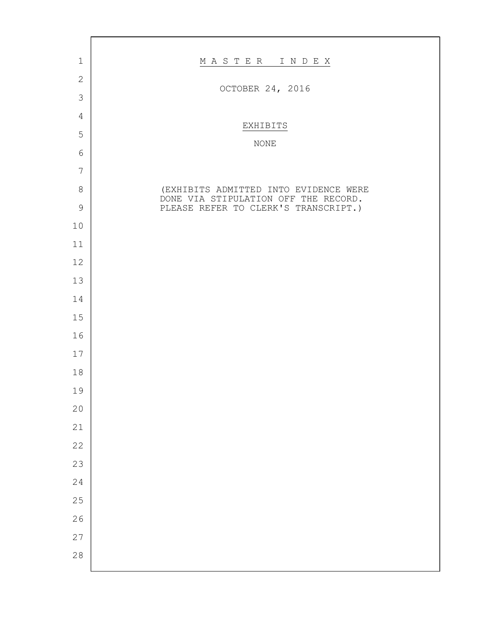| $1\,$          | MASTER INDEX                                                                 |
|----------------|------------------------------------------------------------------------------|
| $\mathbf{2}$   | OCTOBER 24, 2016                                                             |
| $\mathcal{S}$  |                                                                              |
| $\overline{4}$ | EXHIBITS                                                                     |
| 5              | NONE                                                                         |
| $\epsilon$     |                                                                              |
| $\overline{7}$ |                                                                              |
| $8\,$          | (EXHIBITS ADMITTED INTO EVIDENCE WERE                                        |
| $\mathcal{G}$  | DONE VIA STIPULATION OFF THE RECORD.<br>PLEASE REFER TO CLERK'S TRANSCRIPT.) |
| 10             |                                                                              |
| 11             |                                                                              |
| 12             |                                                                              |
| 13             |                                                                              |
| 14             |                                                                              |
| $15$           |                                                                              |
| 16             |                                                                              |
| $17$           |                                                                              |
| $18\,$         |                                                                              |
| 19             |                                                                              |
| $20$           |                                                                              |
| 21             |                                                                              |
| 22             |                                                                              |
| 23             |                                                                              |
| 24             |                                                                              |
| 25             |                                                                              |
| 26             |                                                                              |
| 27             |                                                                              |
| 28             |                                                                              |
|                |                                                                              |

 $\mathbf{r}$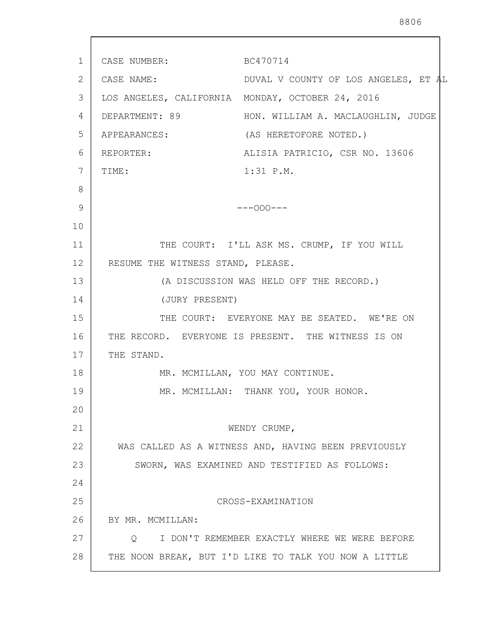1 2 3 4 5 6 7 8 9 10 11 12 13 14 15 16 17 18 19 20 21 22 23 24 25 26 27 28 CASE NUMBER: BC470714 CASE NAME: DUVAL V COUNTY OF LOS ANGELES, ET AL LOS ANGELES, CALIFORNIA MONDAY, OCTOBER 24, 2016 DEPARTMENT: 89 HON. WILLIAM A. MACLAUGHLIN, JUDGE APPEARANCES: (AS HERETOFORE NOTED.) REPORTER: ALISIA PATRICIO, CSR NO. 13606 TIME:  $1:31 \text{ P.M.}$  $---OOO---$ THE COURT: I'LL ASK MS. CRUMP, IF YOU WILL RESUME THE WITNESS STAND, PLEASE. (A DISCUSSION WAS HELD OFF THE RECORD.) (JURY PRESENT) THE COURT: EVERYONE MAY BE SEATED. WE'RE ON THE RECORD. EVERYONE IS PRESENT. THE WITNESS IS ON THE STAND. MR. MCMILLAN, YOU MAY CONTINUE. MR. MCMILLAN: THANK YOU, YOUR HONOR. WENDY CRUMP, WAS CALLED AS A WITNESS AND, HAVING BEEN PREVIOUSLY SWORN, WAS EXAMINED AND TESTIFIED AS FOLLOWS: CROSS-EXAMINATION BY MR. MCMILLAN: Q I DON'T REMEMBER EXACTLY WHERE WE WERE BEFORE THE NOON BREAK, BUT I'D LIKE TO TALK YOU NOW A LITTLE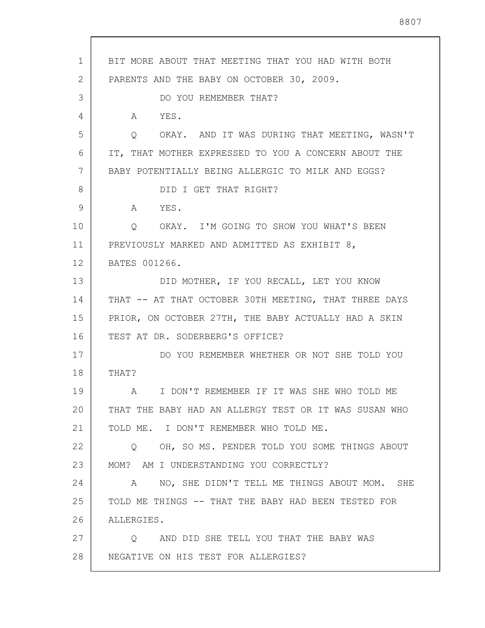1 2 3 4 5 6 7 8 9 10 11 12 13 14 15 16 17 18 19 20 21 22 23 24 25 26 27 28 BIT MORE ABOUT THAT MEETING THAT YOU HAD WITH BOTH PARENTS AND THE BABY ON OCTOBER 30, 2009. DO YOU REMEMBER THAT? A YES. Q OKAY. AND IT WAS DURING THAT MEETING, WASN'T IT, THAT MOTHER EXPRESSED TO YOU A CONCERN ABOUT THE BABY POTENTIALLY BEING ALLERGIC TO MILK AND EGGS? DID I GET THAT RIGHT? A YES. Q OKAY. I'M GOING TO SHOW YOU WHAT'S BEEN PREVIOUSLY MARKED AND ADMITTED AS EXHIBIT 8, BATES 001266. DID MOTHER, IF YOU RECALL, LET YOU KNOW THAT -- AT THAT OCTOBER 30TH MEETING, THAT THREE DAYS PRIOR, ON OCTOBER 27TH, THE BABY ACTUALLY HAD A SKIN TEST AT DR. SODERBERG'S OFFICE? DO YOU REMEMBER WHETHER OR NOT SHE TOLD YOU THAT? A I DON'T REMEMBER IF IT WAS SHE WHO TOLD ME THAT THE BABY HAD AN ALLERGY TEST OR IT WAS SUSAN WHO TOLD ME. I DON'T REMEMBER WHO TOLD ME. Q OH, SO MS. PENDER TOLD YOU SOME THINGS ABOUT MOM? AM I UNDERSTANDING YOU CORRECTLY? A NO, SHE DIDN'T TELL ME THINGS ABOUT MOM. SHE TOLD ME THINGS -- THAT THE BABY HAD BEEN TESTED FOR ALLERGIES. Q AND DID SHE TELL YOU THAT THE BABY WAS NEGATIVE ON HIS TEST FOR ALLERGIES?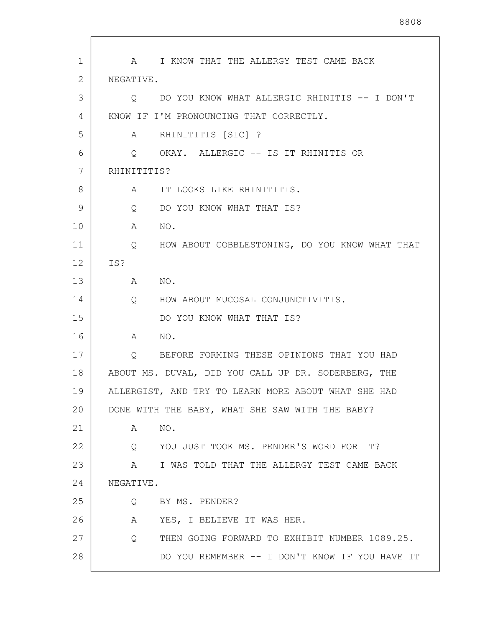1 2 3 4 5 6 7 8 9 10 11 12 13 14 15 16 17 18 19 20 21 22 23 24 25 26 27 28 A I KNOW THAT THE ALLERGY TEST CAME BACK NEGATIVE. Q DO YOU KNOW WHAT ALLERGIC RHINITIS -- I DON'T KNOW IF I'M PRONOUNCING THAT CORRECTLY. A RHINITITIS [SIC] ? Q OKAY. ALLERGIC -- IS IT RHINITIS OR RHINITITIS? A IT LOOKS LIKE RHINITITIS. Q DO YOU KNOW WHAT THAT IS? A NO. Q HOW ABOUT COBBLESTONING, DO YOU KNOW WHAT THAT IS? A NO. Q HOW ABOUT MUCOSAL CONJUNCTIVITIS. DO YOU KNOW WHAT THAT IS? A NO. Q BEFORE FORMING THESE OPINIONS THAT YOU HAD ABOUT MS. DUVAL, DID YOU CALL UP DR. SODERBERG, THE ALLERGIST, AND TRY TO LEARN MORE ABOUT WHAT SHE HAD DONE WITH THE BABY, WHAT SHE SAW WITH THE BABY? A NO. Q YOU JUST TOOK MS. PENDER'S WORD FOR IT? A I WAS TOLD THAT THE ALLERGY TEST CAME BACK NEGATIVE. Q BY MS. PENDER? A YES, I BELIEVE IT WAS HER. Q THEN GOING FORWARD TO EXHIBIT NUMBER 1089.25. DO YOU REMEMBER -- I DON'T KNOW IF YOU HAVE IT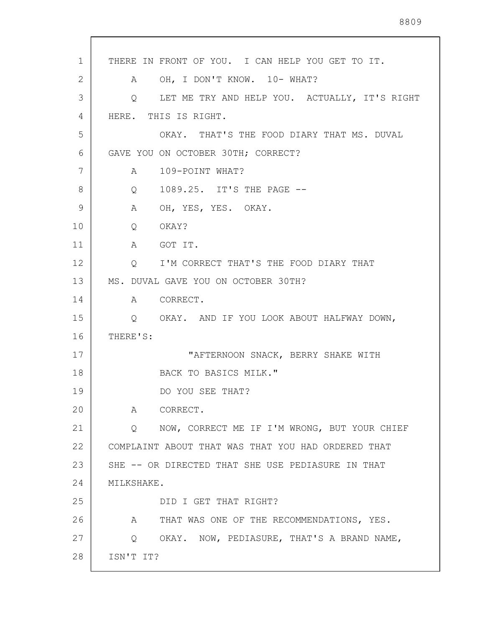| THERE IN FRONT OF YOU. I CAN HELP YOU GET TO IT.         |
|----------------------------------------------------------|
| OH, I DON'T KNOW. 10-WHAT?<br>A                          |
| LET ME TRY AND HELP YOU. ACTUALLY, IT'S RIGHT<br>Q       |
| HERE. THIS IS RIGHT.                                     |
| OKAY. THAT'S THE FOOD DIARY THAT MS. DUVAL               |
| GAVE YOU ON OCTOBER 30TH; CORRECT?                       |
| 109-POINT WHAT?<br>$\mathsf A$                           |
| 1089.25. IT'S THE PAGE --<br>$Q \qquad \qquad$           |
| A OH, YES, YES. OKAY.                                    |
| $Q \qquad \qquad$<br>OKAY?                               |
| A GOT IT.                                                |
| Q I'M CORRECT THAT'S THE FOOD DIARY THAT                 |
| MS. DUVAL GAVE YOU ON OCTOBER 30TH?                      |
| A CORRECT.                                               |
| Q OKAY. AND IF YOU LOOK ABOUT HALFWAY DOWN,              |
| THERE'S:                                                 |
| "AFTERNOON SNACK, BERRY SHAKE WITH                       |
| BACK TO BASICS MILK."                                    |
| DO YOU SEE THAT?                                         |
| CORRECT.<br>A                                            |
| NOW, CORRECT ME IF I'M WRONG, BUT YOUR CHIEF<br>O.       |
| COMPLAINT ABOUT THAT WAS THAT YOU HAD ORDERED THAT       |
| SHE -- OR DIRECTED THAT SHE USE PEDIASURE IN THAT        |
| MILKSHAKE.                                               |
| DID I GET THAT RIGHT?                                    |
| $\mathbb A$<br>THAT WAS ONE OF THE RECOMMENDATIONS, YES. |
| Q OKAY. NOW, PEDIASURE, THAT'S A BRAND NAME,             |
| ISN'T IT?                                                |
|                                                          |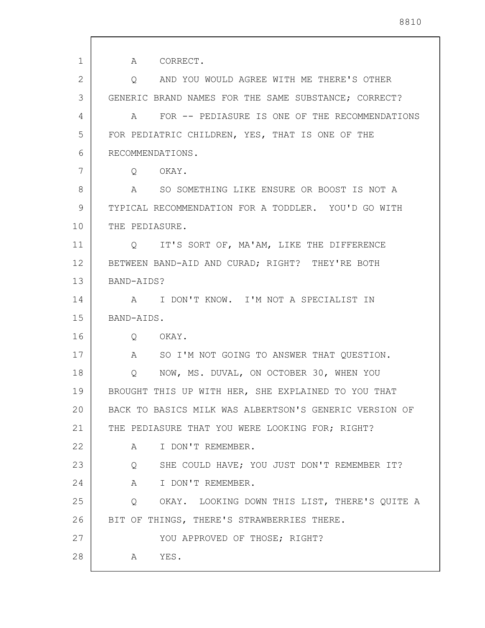1 2 3 4 5 6 7 8 9 10 11 12 13 14 15 16 17 18 19 20 21 22 23 24 25 26 27 28 A CORRECT. Q AND YOU WOULD AGREE WITH ME THERE'S OTHER GENERIC BRAND NAMES FOR THE SAME SUBSTANCE; CORRECT? A FOR -- PEDIASURE IS ONE OF THE RECOMMENDATIONS FOR PEDIATRIC CHILDREN, YES, THAT IS ONE OF THE RECOMMENDATIONS. Q OKAY. A SO SOMETHING LIKE ENSURE OR BOOST IS NOT A TYPICAL RECOMMENDATION FOR A TODDLER. YOU'D GO WITH THE PEDIASURE. Q IT'S SORT OF, MA'AM, LIKE THE DIFFERENCE BETWEEN BAND-AID AND CURAD; RIGHT? THEY'RE BOTH BAND-AIDS? A I DON'T KNOW. I'M NOT A SPECIALIST IN BAND-AIDS. Q OKAY. A SO I'M NOT GOING TO ANSWER THAT QUESTION. Q NOW, MS. DUVAL, ON OCTOBER 30, WHEN YOU BROUGHT THIS UP WITH HER, SHE EXPLAINED TO YOU THAT BACK TO BASICS MILK WAS ALBERTSON'S GENERIC VERSION OF THE PEDIASURE THAT YOU WERE LOOKING FOR; RIGHT? A I DON'T REMEMBER. Q SHE COULD HAVE; YOU JUST DON'T REMEMBER IT? A I DON'T REMEMBER. Q OKAY. LOOKING DOWN THIS LIST, THERE'S QUITE A BIT OF THINGS, THERE'S STRAWBERRIES THERE. YOU APPROVED OF THOSE; RIGHT? A YES.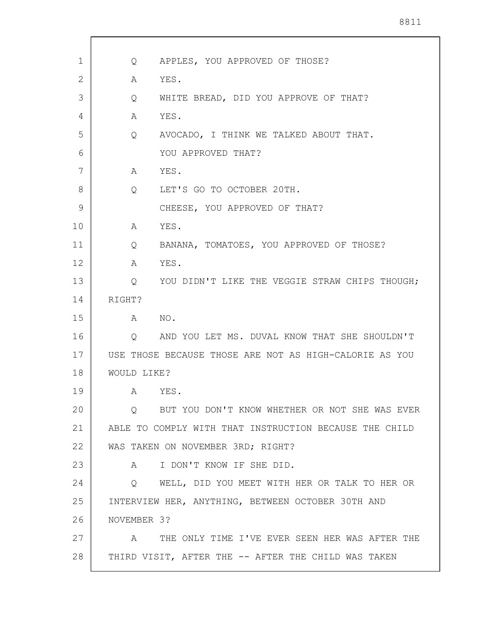| 1  | Q           | APPLES, YOU APPROVED OF THOSE?                         |
|----|-------------|--------------------------------------------------------|
| 2  | Α           | YES.                                                   |
| 3  | Q           | WHITE BREAD, DID YOU APPROVE OF THAT?                  |
| 4  | A           | YES.                                                   |
| 5  | Q           | AVOCADO, I THINK WE TALKED ABOUT THAT.                 |
| 6  |             | YOU APPROVED THAT?                                     |
| 7  | A           | YES.                                                   |
| 8  | Q           | LET'S GO TO OCTOBER 20TH.                              |
| 9  |             | CHEESE, YOU APPROVED OF THAT?                          |
| 10 | A           | YES.                                                   |
| 11 | Q           | BANANA, TOMATOES, YOU APPROVED OF THOSE?               |
| 12 | A           | YES.                                                   |
| 13 | Q           | YOU DIDN'T LIKE THE VEGGIE STRAW CHIPS THOUGH;         |
| 14 | RIGHT?      |                                                        |
| 15 | A           | NO.                                                    |
| 16 | Q           | AND YOU LET MS. DUVAL KNOW THAT SHE SHOULDN'T          |
| 17 |             | USE THOSE BECAUSE THOSE ARE NOT AS HIGH-CALORIE AS YOU |
| 18 | WOULD LIKE? |                                                        |
| 19 | A           | YES.                                                   |
| 20 | $\circ$     | BUT YOU DON'T KNOW WHETHER OR NOT SHE WAS EVER         |
| 21 |             | ABLE TO COMPLY WITH THAT INSTRUCTION BECAUSE THE CHILD |
| 22 |             | WAS TAKEN ON NOVEMBER 3RD; RIGHT?                      |
| 23 | A           | I DON'T KNOW IF SHE DID.                               |
| 24 | Q           | WELL, DID YOU MEET WITH HER OR TALK TO HER OR          |
| 25 |             | INTERVIEW HER, ANYTHING, BETWEEN OCTOBER 30TH AND      |
| 26 | NOVEMBER 3? |                                                        |
| 27 | A           | THE ONLY TIME I'VE EVER SEEN HER WAS AFTER THE         |
| 28 |             | THIRD VISIT, AFTER THE -- AFTER THE CHILD WAS TAKEN    |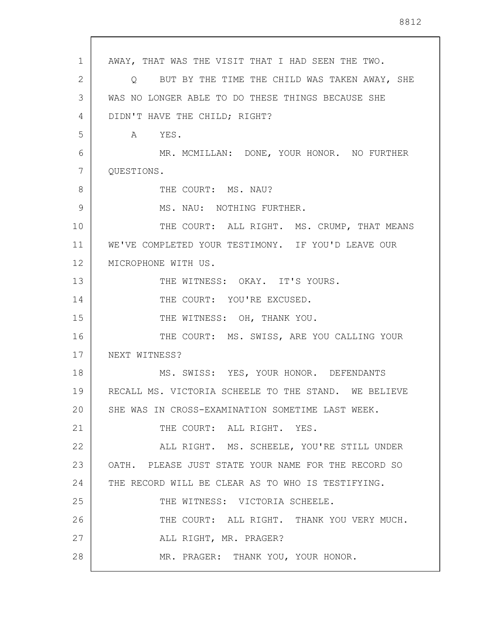1 2 3 4 5 6 7 8 9 10 11 12 13 14 15 16 17 18 19 20 21 22 23 24 25 26 27 28 AWAY, THAT WAS THE VISIT THAT I HAD SEEN THE TWO. Q BUT BY THE TIME THE CHILD WAS TAKEN AWAY, SHE WAS NO LONGER ABLE TO DO THESE THINGS BECAUSE SHE DIDN'T HAVE THE CHILD; RIGHT? A YES. MR. MCMILLAN: DONE, YOUR HONOR. NO FURTHER QUESTIONS. THE COURT: MS. NAU? MS. NAU: NOTHING FURTHER. THE COURT: ALL RIGHT. MS. CRUMP, THAT MEANS WE'VE COMPLETED YOUR TESTIMONY. IF YOU'D LEAVE OUR MICROPHONE WITH US. THE WITNESS: OKAY. IT'S YOURS. THE COURT: YOU'RE EXCUSED. THE WITNESS: OH, THANK YOU. THE COURT: MS. SWISS, ARE YOU CALLING YOUR NEXT WITNESS? MS. SWISS: YES, YOUR HONOR. DEFENDANTS RECALL MS. VICTORIA SCHEELE TO THE STAND. WE BELIEVE SHE WAS IN CROSS-EXAMINATION SOMETIME LAST WEEK. THE COURT: ALL RIGHT. YES. ALL RIGHT. MS. SCHEELE, YOU'RE STILL UNDER OATH. PLEASE JUST STATE YOUR NAME FOR THE RECORD SO THE RECORD WILL BE CLEAR AS TO WHO IS TESTIFYING. THE WITNESS: VICTORIA SCHEELE. THE COURT: ALL RIGHT. THANK YOU VERY MUCH. ALL RIGHT, MR. PRAGER? MR. PRAGER: THANK YOU, YOUR HONOR.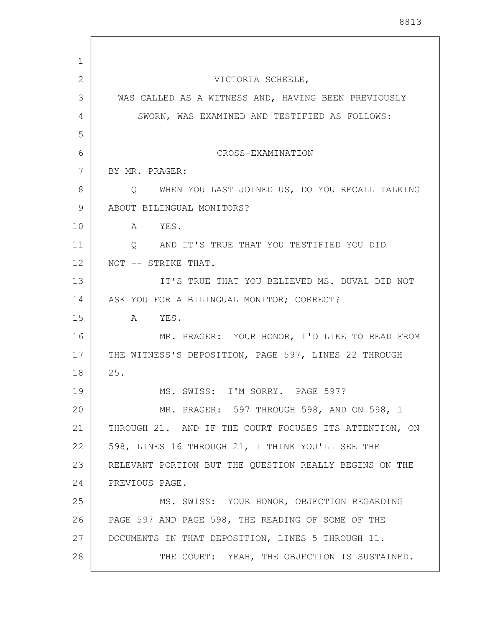| 1  |                                                                     |
|----|---------------------------------------------------------------------|
| 2  | VICTORIA SCHEELE,                                                   |
| 3  | WAS CALLED AS A WITNESS AND, HAVING BEEN PREVIOUSLY                 |
| 4  | SWORN, WAS EXAMINED AND TESTIFIED AS FOLLOWS:                       |
| 5  |                                                                     |
| 6  | CROSS-EXAMINATION                                                   |
| 7  | BY MR. PRAGER:                                                      |
| 8  | WHEN YOU LAST JOINED US, DO YOU RECALL TALKING<br>$Q \qquad \qquad$ |
| 9  | ABOUT BILINGUAL MONITORS?                                           |
| 10 | YES.<br>A                                                           |
| 11 | AND IT'S TRUE THAT YOU TESTIFIED YOU DID<br>$\circ$                 |
| 12 | NOT -- STRIKE THAT.                                                 |
| 13 | IT'S TRUE THAT YOU BELIEVED MS. DUVAL DID NOT                       |
| 14 | ASK YOU FOR A BILINGUAL MONITOR; CORRECT?                           |
| 15 | YES.<br>$\mathbb A$                                                 |
| 16 | MR. PRAGER: YOUR HONOR, I'D LIKE TO READ FROM                       |
| 17 | THE WITNESS'S DEPOSITION, PAGE 597, LINES 22 THROUGH                |
| 18 | 25.                                                                 |
| 19 | MS. SWISS: I'M SORRY. PAGE 597?                                     |
| 20 | MR. PRAGER: 597 THROUGH 598, AND ON 598, 1                          |
| 21 | THROUGH 21. AND IF THE COURT FOCUSES ITS ATTENTION, ON              |
| 22 | 598, LINES 16 THROUGH 21, I THINK YOU'LL SEE THE                    |
| 23 | RELEVANT PORTION BUT THE QUESTION REALLY BEGINS ON THE              |
| 24 | PREVIOUS PAGE.                                                      |
| 25 | MS. SWISS: YOUR HONOR, OBJECTION REGARDING                          |
| 26 | PAGE 597 AND PAGE 598, THE READING OF SOME OF THE                   |
| 27 | DOCUMENTS IN THAT DEPOSITION, LINES 5 THROUGH 11.                   |
| 28 | THE COURT: YEAH, THE OBJECTION IS SUSTAINED.                        |

 $\overline{\phantom{a}}$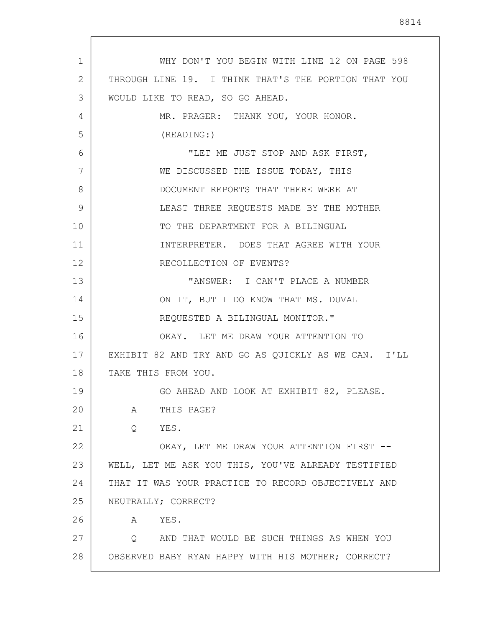1 2 3 4 5 6 7 8 9 10 11 12 13 14 15 16 17 18 19 20 21 22 23 24 25 26 27 28 WHY DON'T YOU BEGIN WITH LINE 12 ON PAGE 598 THROUGH LINE 19. I THINK THAT'S THE PORTION THAT YOU WOULD LIKE TO READ, SO GO AHEAD. MR. PRAGER: THANK YOU, YOUR HONOR. (READING:) "LET ME JUST STOP AND ASK FIRST, WE DISCUSSED THE ISSUE TODAY, THIS DOCUMENT REPORTS THAT THERE WERE AT LEAST THREE REQUESTS MADE BY THE MOTHER TO THE DEPARTMENT FOR A BILINGUAL INTERPRETER. DOES THAT AGREE WITH YOUR RECOLLECTION OF EVENTS? "ANSWER: I CAN'T PLACE A NUMBER ON IT, BUT I DO KNOW THAT MS. DUVAL REQUESTED A BILINGUAL MONITOR." OKAY. LET ME DRAW YOUR ATTENTION TO EXHIBIT 82 AND TRY AND GO AS QUICKLY AS WE CAN. I'LL TAKE THIS FROM YOU. GO AHEAD AND LOOK AT EXHIBIT 82, PLEASE. A THIS PAGE? Q YES. OKAY, LET ME DRAW YOUR ATTENTION FIRST -- WELL, LET ME ASK YOU THIS, YOU'VE ALREADY TESTIFIED THAT IT WAS YOUR PRACTICE TO RECORD OBJECTIVELY AND NEUTRALLY; CORRECT? A YES. Q AND THAT WOULD BE SUCH THINGS AS WHEN YOU OBSERVED BABY RYAN HAPPY WITH HIS MOTHER; CORRECT?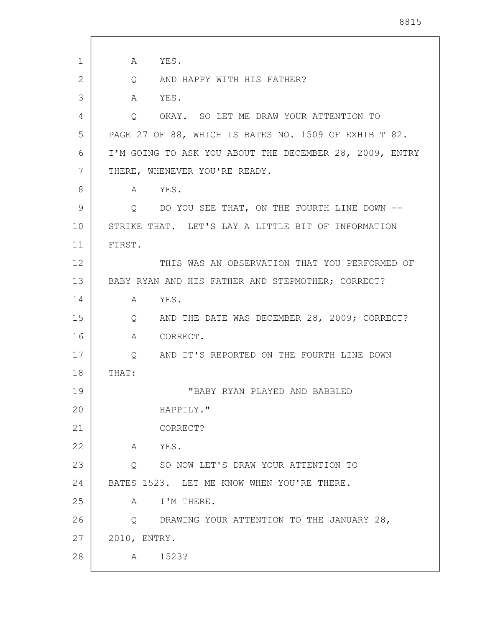1 2 3 4 5 6 7 8 9 10 11 12 13 14 15 16 17 18 19 20 21 22 23 24 25 26 27 28 A YES. Q AND HAPPY WITH HIS FATHER? A YES. Q OKAY. SO LET ME DRAW YOUR ATTENTION TO PAGE 27 OF 88, WHICH IS BATES NO. 1509 OF EXHIBIT 82. I'M GOING TO ASK YOU ABOUT THE DECEMBER 28, 2009, ENTRY THERE, WHENEVER YOU'RE READY. A YES. Q DO YOU SEE THAT, ON THE FOURTH LINE DOWN -- STRIKE THAT. LET'S LAY A LITTLE BIT OF INFORMATION FIRST. THIS WAS AN OBSERVATION THAT YOU PERFORMED OF BABY RYAN AND HIS FATHER AND STEPMOTHER; CORRECT? A YES. Q AND THE DATE WAS DECEMBER 28, 2009; CORRECT? A CORRECT. Q AND IT'S REPORTED ON THE FOURTH LINE DOWN THAT: "BABY RYAN PLAYED AND BABBLED HAPPILY." CORRECT? A YES. Q SO NOW LET'S DRAW YOUR ATTENTION TO BATES 1523. LET ME KNOW WHEN YOU'RE THERE. A I'M THERE. Q DRAWING YOUR ATTENTION TO THE JANUARY 28, 2010, ENTRY. A 1523?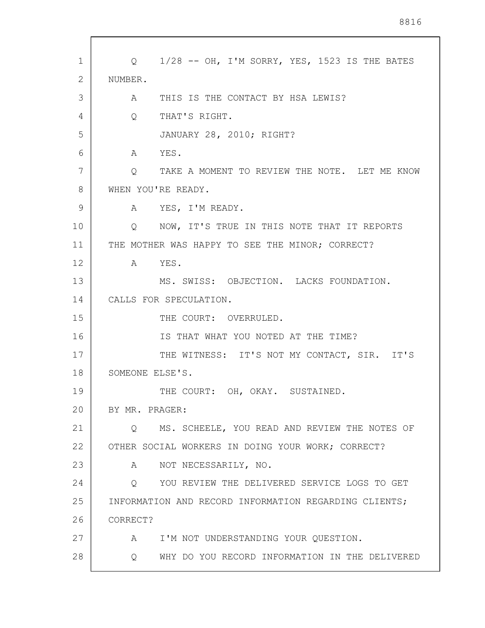| 1               | Q 1/28 -- OH, I'M SORRY, YES, 1523 IS THE BATES          |
|-----------------|----------------------------------------------------------|
| 2               | NUMBER.                                                  |
| 3               | A THIS IS THE CONTACT BY HSA LEWIS?                      |
| 4               | $Q \qquad \qquad$<br>THAT'S RIGHT.                       |
| 5               | JANUARY 28, 2010; RIGHT?                                 |
| 6               | $\mathsf A$<br>YES.                                      |
| 7               | TAKE A MOMENT TO REVIEW THE NOTE. LET ME KNOW<br>$\circ$ |
| 8               | WHEN YOU'RE READY.                                       |
| 9               | A YES, I'M READY.                                        |
| 10              | NOW, IT'S TRUE IN THIS NOTE THAT IT REPORTS<br>$\circ$   |
| 11              | THE MOTHER WAS HAPPY TO SEE THE MINOR; CORRECT?          |
| 12 <sup>°</sup> | A YES.                                                   |
| 13              | MS. SWISS: OBJECTION. LACKS FOUNDATION.                  |
| 14              | CALLS FOR SPECULATION.                                   |
| 15              | THE COURT: OVERRULED.                                    |
| 16              | IS THAT WHAT YOU NOTED AT THE TIME?                      |
| 17              | THE WITNESS: IT'S NOT MY CONTACT, SIR. IT'S              |
| 18              | SOMEONE ELSE'S.                                          |
| 19              | THE COURT: OH, OKAY. SUSTAINED.                          |
| 20              | BY MR. PRAGER:                                           |
| 21              | MS. SCHEELE, YOU READ AND REVIEW THE NOTES OF<br>0       |
| 22              | OTHER SOCIAL WORKERS IN DOING YOUR WORK; CORRECT?        |
| 23              | NOT NECESSARILY, NO.<br>A                                |
| 24              | YOU REVIEW THE DELIVERED SERVICE LOGS TO GET<br>$\circ$  |
| 25              | INFORMATION AND RECORD INFORMATION REGARDING CLIENTS;    |
| 26              | CORRECT?                                                 |
| 27              | I'M NOT UNDERSTANDING YOUR QUESTION.<br>A                |
| 28              | WHY DO YOU RECORD INFORMATION IN THE DELIVERED<br>Q      |
|                 |                                                          |

 $\sqrt{ }$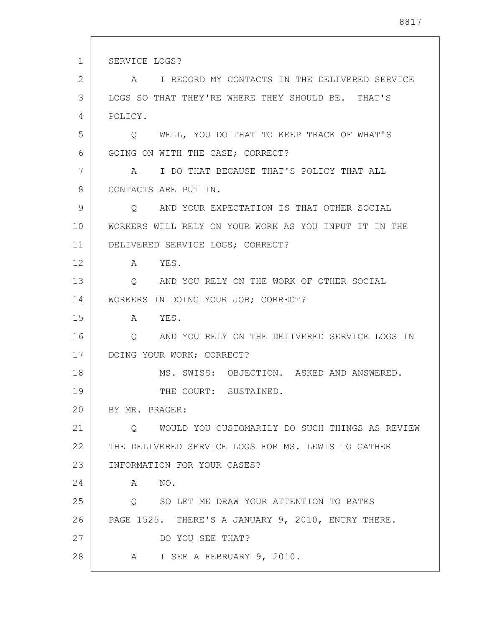1 2 3 4 5 6 7 8 9 10 11 12 13 14 15 16 17 18 19 20 21 22 23 24 25 26 27 28 SERVICE LOGS? A I RECORD MY CONTACTS IN THE DELIVERED SERVICE LOGS SO THAT THEY'RE WHERE THEY SHOULD BE. THAT'S POLICY. Q WELL, YOU DO THAT TO KEEP TRACK OF WHAT'S GOING ON WITH THE CASE; CORRECT? A I DO THAT BECAUSE THAT'S POLICY THAT ALL CONTACTS ARE PUT IN. Q AND YOUR EXPECTATION IS THAT OTHER SOCIAL WORKERS WILL RELY ON YOUR WORK AS YOU INPUT IT IN THE DELIVERED SERVICE LOGS; CORRECT? A YES. Q AND YOU RELY ON THE WORK OF OTHER SOCIAL WORKERS IN DOING YOUR JOB; CORRECT? A YES. Q AND YOU RELY ON THE DELIVERED SERVICE LOGS IN DOING YOUR WORK; CORRECT? MS. SWISS: OBJECTION. ASKED AND ANSWERED. THE COURT: SUSTAINED. BY MR. PRAGER: Q WOULD YOU CUSTOMARILY DO SUCH THINGS AS REVIEW THE DELIVERED SERVICE LOGS FOR MS. LEWIS TO GATHER INFORMATION FOR YOUR CASES? A NO. Q SO LET ME DRAW YOUR ATTENTION TO BATES PAGE 1525. THERE'S A JANUARY 9, 2010, ENTRY THERE. DO YOU SEE THAT? A I SEE A FEBRUARY 9, 2010.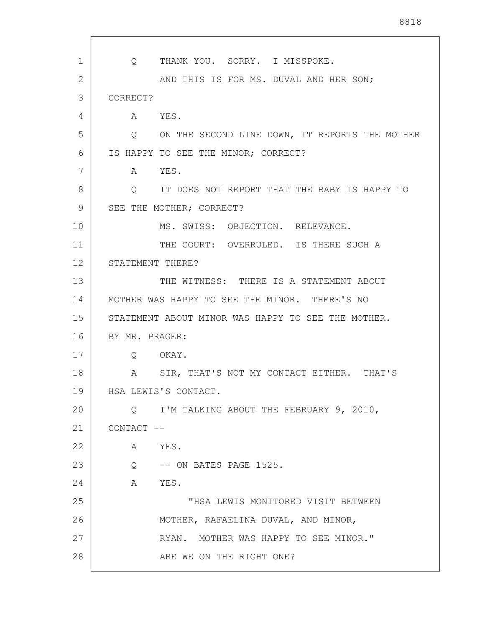1 2 3 4 5 6 7 8 9 10 11 12 13 14 15 16 17 18 19 20 21 22 23 24 25 26 27 28 Q THANK YOU. SORRY. I MISSPOKE. AND THIS IS FOR MS. DUVAL AND HER SON; CORRECT? A YES. Q ON THE SECOND LINE DOWN, IT REPORTS THE MOTHER IS HAPPY TO SEE THE MINOR; CORRECT? A YES. Q IT DOES NOT REPORT THAT THE BABY IS HAPPY TO SEE THE MOTHER; CORRECT? MS. SWISS: OBJECTION. RELEVANCE. THE COURT: OVERRULED. IS THERE SUCH A STATEMENT THERE? THE WITNESS: THERE IS A STATEMENT ABOUT MOTHER WAS HAPPY TO SEE THE MINOR. THERE'S NO STATEMENT ABOUT MINOR WAS HAPPY TO SEE THE MOTHER. BY MR. PRAGER: Q OKAY. A SIR, THAT'S NOT MY CONTACT EITHER. THAT'S HSA LEWIS'S CONTACT. Q I'M TALKING ABOUT THE FEBRUARY 9, 2010, CONTACT -- A YES. Q -- ON BATES PAGE 1525. A YES. "HSA LEWIS MONITORED VISIT BETWEEN MOTHER, RAFAELINA DUVAL, AND MINOR, RYAN. MOTHER WAS HAPPY TO SEE MINOR." ARE WE ON THE RIGHT ONE?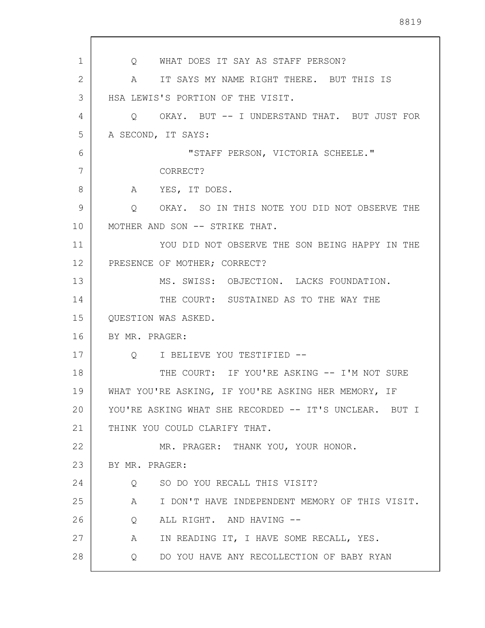1 2 3 4 5 6 7 8 9 10 11 12 13 14 15 16 17 18 19 20 21 22 23 24 25 26 27 28 Q WHAT DOES IT SAY AS STAFF PERSON? A IT SAYS MY NAME RIGHT THERE. BUT THIS IS HSA LEWIS'S PORTION OF THE VISIT. Q OKAY. BUT -- I UNDERSTAND THAT. BUT JUST FOR A SECOND, IT SAYS: "STAFF PERSON, VICTORIA SCHEELE." CORRECT? A YES, IT DOES. Q OKAY. SO IN THIS NOTE YOU DID NOT OBSERVE THE MOTHER AND SON -- STRIKE THAT. YOU DID NOT OBSERVE THE SON BEING HAPPY IN THE PRESENCE OF MOTHER; CORRECT? MS. SWISS: OBJECTION. LACKS FOUNDATION. THE COURT: SUSTAINED AS TO THE WAY THE QUESTION WAS ASKED. BY MR. PRAGER: Q I BELIEVE YOU TESTIFIED -- THE COURT: IF YOU'RE ASKING -- I'M NOT SURE WHAT YOU'RE ASKING, IF YOU'RE ASKING HER MEMORY, IF YOU'RE ASKING WHAT SHE RECORDED -- IT'S UNCLEAR. BUT I THINK YOU COULD CLARIFY THAT. MR. PRAGER: THANK YOU, YOUR HONOR. BY MR. PRAGER: Q SO DO YOU RECALL THIS VISIT? A I DON'T HAVE INDEPENDENT MEMORY OF THIS VISIT. Q ALL RIGHT. AND HAVING -- A IN READING IT, I HAVE SOME RECALL, YES. Q DO YOU HAVE ANY RECOLLECTION OF BABY RYAN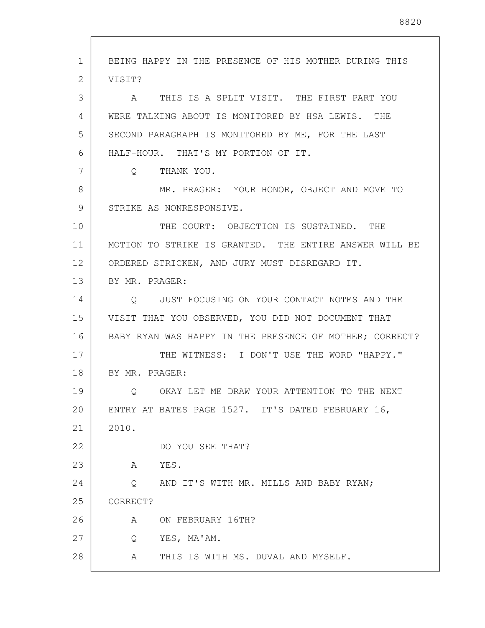1 2 3 4 5 6 7 8 9 10 11 12 13 14 15 16 17 18 19 20 21 22 23 24 25 26 27 28 BEING HAPPY IN THE PRESENCE OF HIS MOTHER DURING THIS VISIT? A THIS IS A SPLIT VISIT. THE FIRST PART YOU WERE TALKING ABOUT IS MONITORED BY HSA LEWIS. THE SECOND PARAGRAPH IS MONITORED BY ME, FOR THE LAST HALF-HOUR. THAT'S MY PORTION OF IT. Q THANK YOU. MR. PRAGER: YOUR HONOR, OBJECT AND MOVE TO STRIKE AS NONRESPONSIVE. THE COURT: OBJECTION IS SUSTAINED. THE MOTION TO STRIKE IS GRANTED. THE ENTIRE ANSWER WILL BE ORDERED STRICKEN, AND JURY MUST DISREGARD IT. BY MR. PRAGER: Q JUST FOCUSING ON YOUR CONTACT NOTES AND THE VISIT THAT YOU OBSERVED, YOU DID NOT DOCUMENT THAT BABY RYAN WAS HAPPY IN THE PRESENCE OF MOTHER; CORRECT? THE WITNESS: I DON'T USE THE WORD "HAPPY." BY MR. PRAGER: Q OKAY LET ME DRAW YOUR ATTENTION TO THE NEXT ENTRY AT BATES PAGE 1527. IT'S DATED FEBRUARY 16, 2010. DO YOU SEE THAT? A YES. Q AND IT'S WITH MR. MILLS AND BABY RYAN; CORRECT? A ON FEBRUARY 16TH? Q YES, MA'AM. A THIS IS WITH MS. DUVAL AND MYSELF.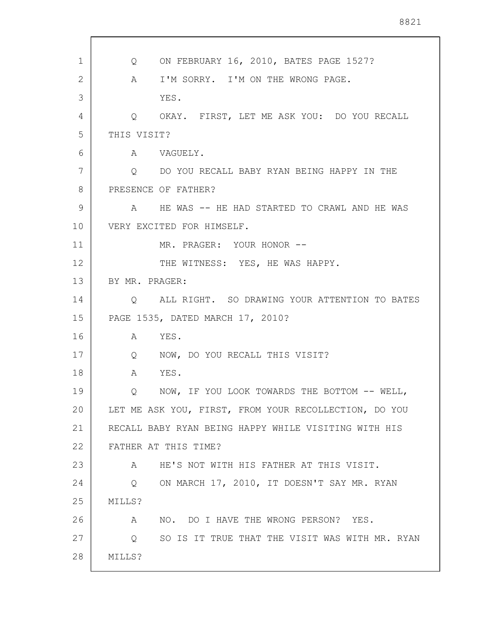1 2 3 4 5 6 7 8 9 10 11 12 13 14 15 16 17 18 19 20 21 22 23 24 25 26 27 28 Q ON FEBRUARY 16, 2010, BATES PAGE 1527? A I'M SORRY. I'M ON THE WRONG PAGE. YES. Q OKAY. FIRST, LET ME ASK YOU: DO YOU RECALL THIS VISIT? A VAGUELY. Q DO YOU RECALL BABY RYAN BEING HAPPY IN THE PRESENCE OF FATHER? A HE WAS -- HE HAD STARTED TO CRAWL AND HE WAS VERY EXCITED FOR HIMSELF. MR. PRAGER: YOUR HONOR -- THE WITNESS: YES, HE WAS HAPPY. BY MR. PRAGER: Q ALL RIGHT. SO DRAWING YOUR ATTENTION TO BATES PAGE 1535, DATED MARCH 17, 2010? A YES. Q NOW, DO YOU RECALL THIS VISIT? A YES. Q NOW, IF YOU LOOK TOWARDS THE BOTTOM -- WELL, LET ME ASK YOU, FIRST, FROM YOUR RECOLLECTION, DO YOU RECALL BABY RYAN BEING HAPPY WHILE VISITING WITH HIS FATHER AT THIS TIME? A HE'S NOT WITH HIS FATHER AT THIS VISIT. Q ON MARCH 17, 2010, IT DOESN'T SAY MR. RYAN MILLS? A NO. DO I HAVE THE WRONG PERSON? YES. Q SO IS IT TRUE THAT THE VISIT WAS WITH MR. RYAN MILLS?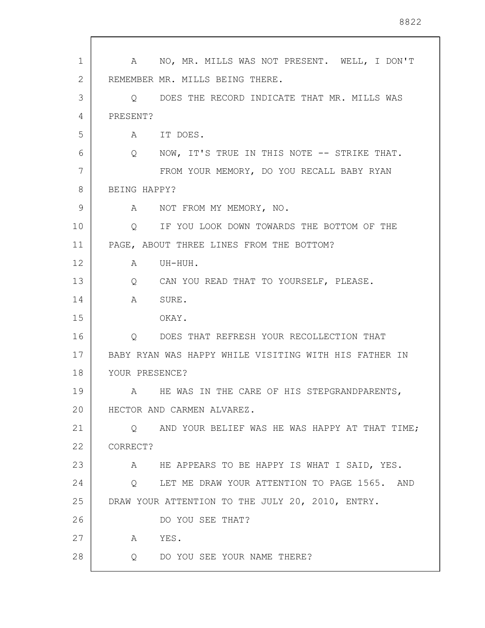| 1              | NO, MR. MILLS WAS NOT PRESENT. WELL, I DON'T<br>A                |
|----------------|------------------------------------------------------------------|
| $\overline{2}$ | REMEMBER MR. MILLS BEING THERE.                                  |
| 3              | O DOES THE RECORD INDICATE THAT MR. MILLS WAS                    |
| 4              | PRESENT?                                                         |
| 5              | A IT DOES.                                                       |
| 6              | NOW, IT'S TRUE IN THIS NOTE -- STRIKE THAT.<br>$Q \qquad \qquad$ |
| 7              | FROM YOUR MEMORY, DO YOU RECALL BABY RYAN                        |
| 8              | BEING HAPPY?                                                     |
| 9              | NOT FROM MY MEMORY, NO.<br>A                                     |
| 10             | IF YOU LOOK DOWN TOWARDS THE BOTTOM OF THE<br>$\circ$            |
| 11             | PAGE, ABOUT THREE LINES FROM THE BOTTOM?                         |
| 12             | A<br>UH-HUH.                                                     |
| 13             | Q CAN YOU READ THAT TO YOURSELF, PLEASE.                         |
| 14             | $\mathbb A$<br>SURE.                                             |
| 15             | OKAY.                                                            |
| 16             | Q DOES THAT REFRESH YOUR RECOLLECTION THAT                       |
| 17             | BABY RYAN WAS HAPPY WHILE VISITING WITH HIS FATHER IN            |
| 18             | YOUR PRESENCE?                                                   |
| 19             | HE WAS IN THE CARE OF HIS STEPGRANDPARENTS,<br>A                 |
| 20             | HECTOR AND CARMEN ALVAREZ.                                       |
| 21             | AND YOUR BELIEF WAS HE WAS HAPPY AT THAT TIME;<br>$\circ$        |
| 22             | CORRECT?                                                         |
| 23             | HE APPEARS TO BE HAPPY IS WHAT I SAID, YES.<br>A                 |
| 24             | LET ME DRAW YOUR ATTENTION TO PAGE 1565. AND<br>$\circ$          |
| 25             | DRAW YOUR ATTENTION TO THE JULY 20, 2010, ENTRY.                 |
| 26             | DO YOU SEE THAT?                                                 |
| 27             | YES.<br>A                                                        |
| 28             | DO YOU SEE YOUR NAME THERE?<br>Q                                 |

 $\sqrt{ }$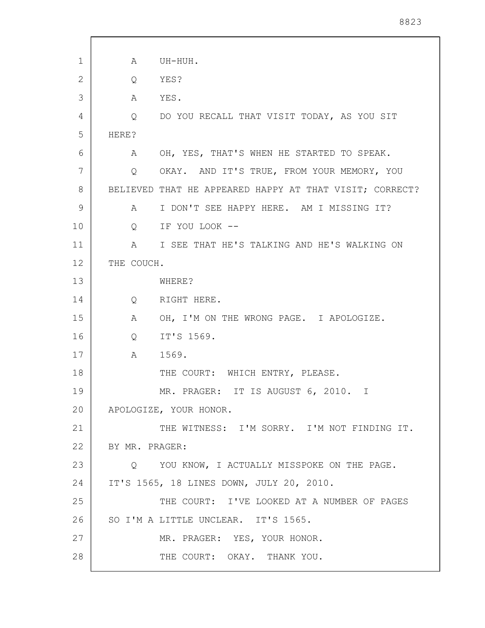| 1  | A                 | UH-HUH.                                                 |
|----|-------------------|---------------------------------------------------------|
| 2  | Q                 | YES?                                                    |
| 3  | Α                 | YES.                                                    |
| 4  | Q                 | DO YOU RECALL THAT VISIT TODAY, AS YOU SIT              |
| 5  | HERE?             |                                                         |
| 6  | A                 | OH, YES, THAT'S WHEN HE STARTED TO SPEAK.               |
| 7  | Q                 | OKAY. AND IT'S TRUE, FROM YOUR MEMORY, YOU              |
| 8  |                   | BELIEVED THAT HE APPEARED HAPPY AT THAT VISIT; CORRECT? |
| 9  | $\mathbb A$       | I DON'T SEE HAPPY HERE. AM I MISSING IT?                |
| 10 | $Q \qquad \qquad$ | IF YOU LOOK --                                          |
| 11 | A                 | I SEE THAT HE'S TALKING AND HE'S WALKING ON             |
| 12 | THE COUCH.        |                                                         |
| 13 |                   | WHERE?                                                  |
| 14 | $Q \qquad \qquad$ | RIGHT HERE.                                             |
| 15 | A                 | OH, I'M ON THE WRONG PAGE. I APOLOGIZE.                 |
| 16 | $Q \qquad \qquad$ | IT'S 1569.                                              |
| 17 | Α                 | 1569.                                                   |
| 18 |                   | THE COURT: WHICH ENTRY, PLEASE.                         |
| 19 |                   | MR. PRAGER: IT IS AUGUST 6, 2010. I                     |
| 20 |                   | APOLOGIZE, YOUR HONOR.                                  |
| 21 |                   | THE WITNESS: I'M SORRY. I'M NOT FINDING IT.             |
| 22 | BY MR. PRAGER:    |                                                         |
| 23 |                   | O YOU KNOW, I ACTUALLY MISSPOKE ON THE PAGE.            |
| 24 |                   | IT'S 1565, 18 LINES DOWN, JULY 20, 2010.                |
| 25 |                   | THE COURT: I'VE LOOKED AT A NUMBER OF PAGES             |
| 26 |                   | SO I'M A LITTLE UNCLEAR. IT'S 1565.                     |
| 27 |                   | MR. PRAGER: YES, YOUR HONOR.                            |
| 28 |                   | THE COURT: OKAY. THANK YOU.                             |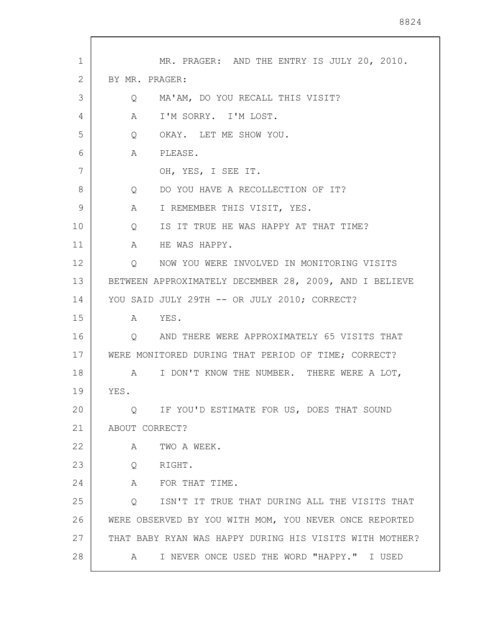| 1  | MR. PRAGER: AND THE ENTRY IS JULY 20, 2010.                     |
|----|-----------------------------------------------------------------|
| 2  | BY MR. PRAGER:                                                  |
| 3  | MA'AM, DO YOU RECALL THIS VISIT?<br>Q                           |
| 4  | I'M SORRY. I'M LOST.<br>A                                       |
| 5  | OKAY. LET ME SHOW YOU.<br>$Q \qquad \qquad$                     |
| 6  | PLEASE.<br>A                                                    |
| 7  | OH, YES, I SEE IT.                                              |
| 8  | DO YOU HAVE A RECOLLECTION OF IT?<br>$Q \qquad \qquad$          |
| 9  | I REMEMBER THIS VISIT, YES.<br>$A \quad \alpha$                 |
| 10 | IS IT TRUE HE WAS HAPPY AT THAT TIME?<br>Q                      |
| 11 | A<br>HE WAS HAPPY.                                              |
| 12 | NOW YOU WERE INVOLVED IN MONITORING VISITS<br>$Q \qquad \qquad$ |
| 13 | BETWEEN APPROXIMATELY DECEMBER 28, 2009, AND I BELIEVE          |
| 14 | YOU SAID JULY 29TH -- OR JULY 2010; CORRECT?                    |
| 15 | A YES.                                                          |
| 16 | AND THERE WERE APPROXIMATELY 65 VISITS THAT<br>Q                |
| 17 | WERE MONITORED DURING THAT PERIOD OF TIME; CORRECT?             |
| 18 | I DON'T KNOW THE NUMBER. THERE WERE A LOT,<br>$\mathbb A$       |
| 19 | YES.                                                            |
| 20 | IF YOU'D ESTIMATE FOR US, DOES THAT SOUND<br>Q                  |
| 21 | ABOUT CORRECT?                                                  |
| 22 | TWO A WEEK.<br>Α                                                |
| 23 | RIGHT.<br>Q                                                     |
| 24 | A<br>FOR THAT TIME.                                             |
| 25 | ISN'T IT TRUE THAT DURING ALL THE VISITS THAT<br>Q              |
| 26 | WERE OBSERVED BY YOU WITH MOM, YOU NEVER ONCE REPORTED          |
| 27 | THAT BABY RYAN WAS HAPPY DURING HIS VISITS WITH MOTHER?         |
| 28 | I NEVER ONCE USED THE WORD "HAPPY." I USED<br>A                 |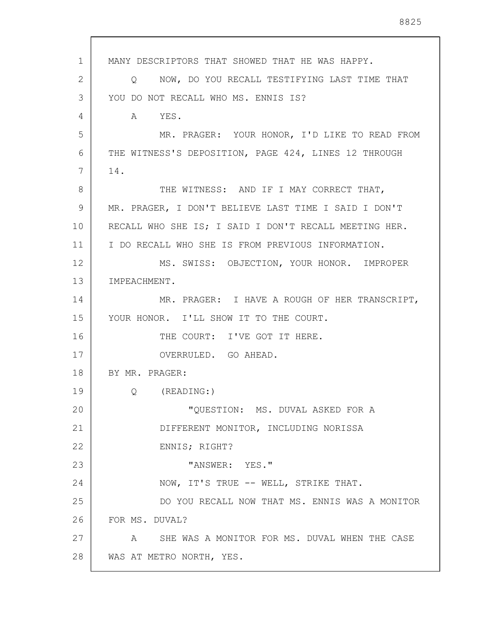1 2 3 4 5 6 7 8 9 10 11 12 13 14 15 16 17 18 19 20 21 22 23 24 25 26 27 28 MANY DESCRIPTORS THAT SHOWED THAT HE WAS HAPPY. Q NOW, DO YOU RECALL TESTIFYING LAST TIME THAT YOU DO NOT RECALL WHO MS. ENNIS IS? A YES. MR. PRAGER: YOUR HONOR, I'D LIKE TO READ FROM THE WITNESS'S DEPOSITION, PAGE 424, LINES 12 THROUGH 14. THE WITNESS: AND IF I MAY CORRECT THAT, MR. PRAGER, I DON'T BELIEVE LAST TIME I SAID I DON'T RECALL WHO SHE IS; I SAID I DON'T RECALL MEETING HER. I DO RECALL WHO SHE IS FROM PREVIOUS INFORMATION. MS. SWISS: OBJECTION, YOUR HONOR. IMPROPER IMPEACHMENT. MR. PRAGER: I HAVE A ROUGH OF HER TRANSCRIPT, YOUR HONOR. I'LL SHOW IT TO THE COURT. THE COURT: I'VE GOT IT HERE. OVERRULED. GO AHEAD. BY MR. PRAGER: Q (READING:) "QUESTION: MS. DUVAL ASKED FOR A DIFFERENT MONITOR, INCLUDING NORISSA ENNIS; RIGHT? "ANSWER: YES." NOW, IT'S TRUE -- WELL, STRIKE THAT. DO YOU RECALL NOW THAT MS. ENNIS WAS A MONITOR FOR MS. DUVAL? A SHE WAS A MONITOR FOR MS. DUVAL WHEN THE CASE WAS AT METRO NORTH, YES.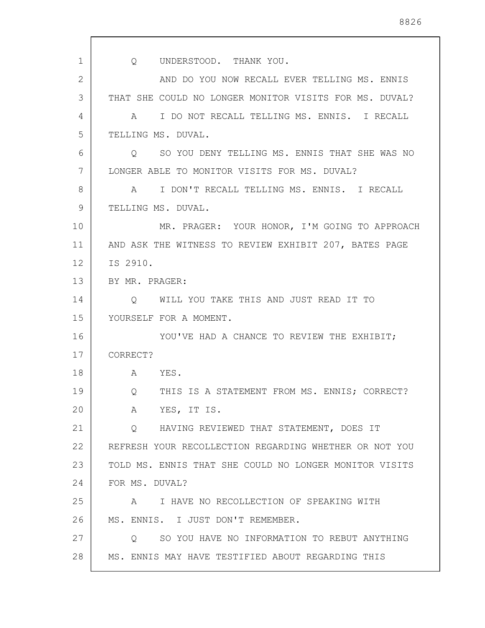1 2 3 4 5 6 7 8 9 10 11 12 13 14 15 16 17 18 19 20 21 22 23 24 25 26 27 28 Q UNDERSTOOD. THANK YOU. AND DO YOU NOW RECALL EVER TELLING MS. ENNIS THAT SHE COULD NO LONGER MONITOR VISITS FOR MS. DUVAL? A I DO NOT RECALL TELLING MS. ENNIS. I RECALL TELLING MS. DUVAL. Q SO YOU DENY TELLING MS. ENNIS THAT SHE WAS NO LONGER ABLE TO MONITOR VISITS FOR MS. DUVAL? A I DON'T RECALL TELLING MS. ENNIS. I RECALL TELLING MS. DUVAL. MR. PRAGER: YOUR HONOR, I'M GOING TO APPROACH AND ASK THE WITNESS TO REVIEW EXHIBIT 207, BATES PAGE IS 2910. BY MR. PRAGER: Q WILL YOU TAKE THIS AND JUST READ IT TO YOURSELF FOR A MOMENT. YOU'VE HAD A CHANCE TO REVIEW THE EXHIBIT; CORRECT? A YES. Q THIS IS A STATEMENT FROM MS. ENNIS; CORRECT? A YES, IT IS. Q HAVING REVIEWED THAT STATEMENT, DOES IT REFRESH YOUR RECOLLECTION REGARDING WHETHER OR NOT YOU TOLD MS. ENNIS THAT SHE COULD NO LONGER MONITOR VISITS FOR MS. DUVAL? A I HAVE NO RECOLLECTION OF SPEAKING WITH MS. ENNIS. I JUST DON'T REMEMBER. Q SO YOU HAVE NO INFORMATION TO REBUT ANYTHING MS. ENNIS MAY HAVE TESTIFIED ABOUT REGARDING THIS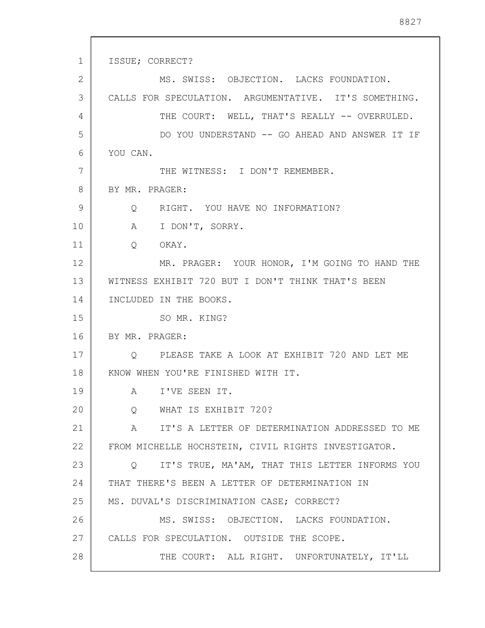1 2 3 4 5 6 7 8 9 10 11 12 13 14 15 16 17 18 19 20 21 22 23 24 25 26 27 28 ISSUE; CORRECT? MS. SWISS: OBJECTION. LACKS FOUNDATION. CALLS FOR SPECULATION. ARGUMENTATIVE. IT'S SOMETHING. THE COURT: WELL, THAT'S REALLY -- OVERRULED. DO YOU UNDERSTAND -- GO AHEAD AND ANSWER IT IF YOU CAN. THE WITNESS: I DON'T REMEMBER. BY MR. PRAGER: Q RIGHT. YOU HAVE NO INFORMATION? A I DON'T, SORRY. Q OKAY. MR. PRAGER: YOUR HONOR, I'M GOING TO HAND THE WITNESS EXHIBIT 720 BUT I DON'T THINK THAT'S BEEN INCLUDED IN THE BOOKS. SO MR. KING? BY MR. PRAGER: Q PLEASE TAKE A LOOK AT EXHIBIT 720 AND LET ME KNOW WHEN YOU'RE FINISHED WITH IT. A I'VE SEEN IT. Q WHAT IS EXHIBIT 720? A IT'S A LETTER OF DETERMINATION ADDRESSED TO ME FROM MICHELLE HOCHSTEIN, CIVIL RIGHTS INVESTIGATOR. Q IT'S TRUE, MA'AM, THAT THIS LETTER INFORMS YOU THAT THERE'S BEEN A LETTER OF DETERMINATION IN MS. DUVAL'S DISCRIMINATION CASE; CORRECT? MS. SWISS: OBJECTION. LACKS FOUNDATION. CALLS FOR SPECULATION. OUTSIDE THE SCOPE. THE COURT: ALL RIGHT. UNFORTUNATELY, IT'LL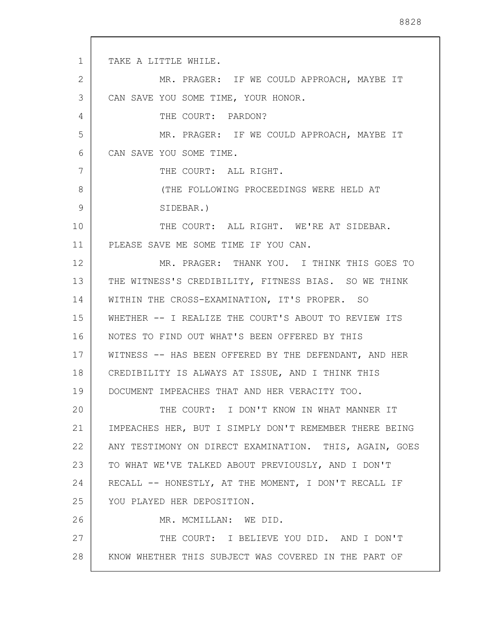1 2 3 4 5 6 7 8 9 10 11 12 13 14 15 16 17 18 19 20 21 22 23 24 25 26 27 28 TAKE A LITTLE WHILE. MR. PRAGER: IF WE COULD APPROACH, MAYBE IT CAN SAVE YOU SOME TIME, YOUR HONOR. THE COURT: PARDON? MR. PRAGER: IF WE COULD APPROACH, MAYBE IT CAN SAVE YOU SOME TIME. THE COURT: ALL RIGHT. (THE FOLLOWING PROCEEDINGS WERE HELD AT SIDEBAR.) THE COURT: ALL RIGHT. WE'RE AT SIDEBAR. PLEASE SAVE ME SOME TIME IF YOU CAN. MR. PRAGER: THANK YOU. I THINK THIS GOES TO THE WITNESS'S CREDIBILITY, FITNESS BIAS. SO WE THINK WITHIN THE CROSS-EXAMINATION, IT'S PROPER. SO WHETHER -- I REALIZE THE COURT'S ABOUT TO REVIEW ITS NOTES TO FIND OUT WHAT'S BEEN OFFERED BY THIS WITNESS -- HAS BEEN OFFERED BY THE DEFENDANT, AND HER CREDIBILITY IS ALWAYS AT ISSUE, AND I THINK THIS DOCUMENT IMPEACHES THAT AND HER VERACITY TOO. THE COURT: I DON'T KNOW IN WHAT MANNER IT IMPEACHES HER, BUT I SIMPLY DON'T REMEMBER THERE BEING ANY TESTIMONY ON DIRECT EXAMINATION. THIS, AGAIN, GOES TO WHAT WE'VE TALKED ABOUT PREVIOUSLY, AND I DON'T RECALL -- HONESTLY, AT THE MOMENT, I DON'T RECALL IF YOU PLAYED HER DEPOSITION. MR. MCMILLAN: WE DID. THE COURT: I BELIEVE YOU DID. AND I DON'T KNOW WHETHER THIS SUBJECT WAS COVERED IN THE PART OF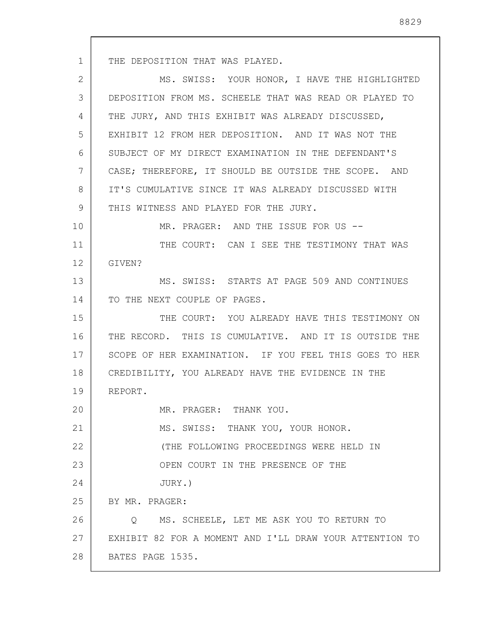1 2 3 4 5 6 7 8 9 10 11 12 13 14 15 16 17 18 19 20 21 22 23 24 25 26 27 THE DEPOSITION THAT WAS PLAYED. MS. SWISS: YOUR HONOR, I HAVE THE HIGHLIGHTED DEPOSITION FROM MS. SCHEELE THAT WAS READ OR PLAYED TO THE JURY, AND THIS EXHIBIT WAS ALREADY DISCUSSED, EXHIBIT 12 FROM HER DEPOSITION. AND IT WAS NOT THE SUBJECT OF MY DIRECT EXAMINATION IN THE DEFENDANT'S CASE; THEREFORE, IT SHOULD BE OUTSIDE THE SCOPE. AND IT'S CUMULATIVE SINCE IT WAS ALREADY DISCUSSED WITH THIS WITNESS AND PLAYED FOR THE JURY. MR. PRAGER: AND THE ISSUE FOR US --THE COURT: CAN I SEE THE TESTIMONY THAT WAS GIVEN? MS. SWISS: STARTS AT PAGE 509 AND CONTINUES TO THE NEXT COUPLE OF PAGES. THE COURT: YOU ALREADY HAVE THIS TESTIMONY ON THE RECORD. THIS IS CUMULATIVE. AND IT IS OUTSIDE THE SCOPE OF HER EXAMINATION. IF YOU FEEL THIS GOES TO HER CREDIBILITY, YOU ALREADY HAVE THE EVIDENCE IN THE REPORT. MR. PRAGER: THANK YOU. MS. SWISS: THANK YOU, YOUR HONOR. (THE FOLLOWING PROCEEDINGS WERE HELD IN OPEN COURT IN THE PRESENCE OF THE JURY.) BY MR. PRAGER: Q MS. SCHEELE, LET ME ASK YOU TO RETURN TO EXHIBIT 82 FOR A MOMENT AND I'LL DRAW YOUR ATTENTION TO

28 BATES PAGE 1535.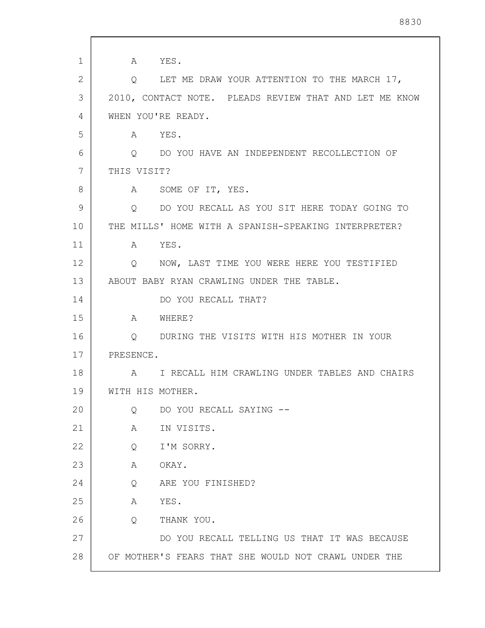| $\mathbf 1$ | A YES.                                                 |
|-------------|--------------------------------------------------------|
| 2           | Q LET ME DRAW YOUR ATTENTION TO THE MARCH 17,          |
| 3           | 2010, CONTACT NOTE. PLEADS REVIEW THAT AND LET ME KNOW |
| 4           | WHEN YOU'RE READY.                                     |
| 5           | A YES.                                                 |
| 6           | Q DO YOU HAVE AN INDEPENDENT RECOLLECTION OF           |
| 7           | THIS VISIT?                                            |
| 8           | A SOME OF IT, YES.                                     |
| 9           | Q DO YOU RECALL AS YOU SIT HERE TODAY GOING TO         |
| 10          | THE MILLS' HOME WITH A SPANISH-SPEAKING INTERPRETER?   |
| 11          | A YES.                                                 |
| 12          | Q NOW, LAST TIME YOU WERE HERE YOU TESTIFIED           |
| 13          | ABOUT BABY RYAN CRAWLING UNDER THE TABLE.              |
| 14          | DO YOU RECALL THAT?                                    |
| 15          | A WHERE?                                               |
| 16          | Q DURING THE VISITS WITH HIS MOTHER IN YOUR            |
| 17          | PRESENCE.                                              |
| 18          | A I RECALL HIM CRAWLING UNDER TABLES AND CHAIRS        |
| 19          | WITH HIS MOTHER.                                       |
| 20          | DO YOU RECALL SAYING --<br>Q                           |
| 21          | IN VISITS.<br>A                                        |
| 22          | I'M SORRY.<br>Q                                        |
| 23          | A<br>OKAY.                                             |
| 24          | ARE YOU FINISHED?<br>Q                                 |
| 25          | YES.<br>A                                              |
| 26          | THANK YOU.<br>Q                                        |
| 27          | DO YOU RECALL TELLING US THAT IT WAS BECAUSE           |
| 28          | OF MOTHER'S FEARS THAT SHE WOULD NOT CRAWL UNDER THE   |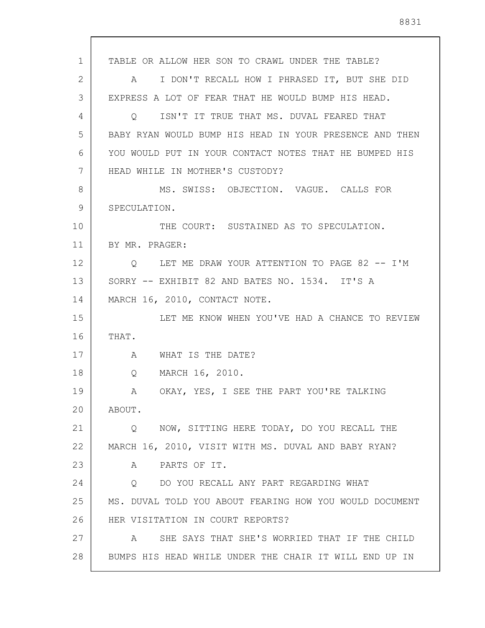1 2 3 4 5 6 7 8 9 10 11 12 13 14 15 16 17 18 19 20 21 22 23 24 25 26 27 28 TABLE OR ALLOW HER SON TO CRAWL UNDER THE TABLE? A I DON'T RECALL HOW I PHRASED IT, BUT SHE DID EXPRESS A LOT OF FEAR THAT HE WOULD BUMP HIS HEAD. Q ISN'T IT TRUE THAT MS. DUVAL FEARED THAT BABY RYAN WOULD BUMP HIS HEAD IN YOUR PRESENCE AND THEN YOU WOULD PUT IN YOUR CONTACT NOTES THAT HE BUMPED HIS HEAD WHILE IN MOTHER'S CUSTODY? MS. SWISS: OBJECTION. VAGUE. CALLS FOR SPECULATION. THE COURT: SUSTAINED AS TO SPECULATION. BY MR. PRAGER: Q LET ME DRAW YOUR ATTENTION TO PAGE 82 -- I'M SORRY -- EXHIBIT 82 AND BATES NO. 1534. IT'S A MARCH 16, 2010, CONTACT NOTE. LET ME KNOW WHEN YOU'VE HAD A CHANCE TO REVIEW THAT. A WHAT IS THE DATE? Q MARCH 16, 2010. A OKAY, YES, I SEE THE PART YOU'RE TALKING ABOUT. Q NOW, SITTING HERE TODAY, DO YOU RECALL THE MARCH 16, 2010, VISIT WITH MS. DUVAL AND BABY RYAN? A PARTS OF IT. Q DO YOU RECALL ANY PART REGARDING WHAT MS. DUVAL TOLD YOU ABOUT FEARING HOW YOU WOULD DOCUMENT HER VISITATION IN COURT REPORTS? A SHE SAYS THAT SHE'S WORRIED THAT IF THE CHILD BUMPS HIS HEAD WHILE UNDER THE CHAIR IT WILL END UP IN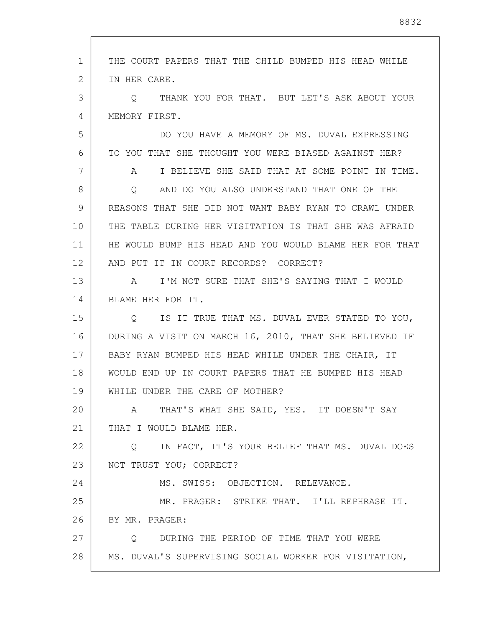1 2 3 4 5 6 7 8 9 10 11 12 13 14 15 16 17 18 19 20 21 22 23 24 25 26 27 28 THE COURT PAPERS THAT THE CHILD BUMPED HIS HEAD WHILE IN HER CARE. Q THANK YOU FOR THAT. BUT LET'S ASK ABOUT YOUR MEMORY FIRST. DO YOU HAVE A MEMORY OF MS. DUVAL EXPRESSING TO YOU THAT SHE THOUGHT YOU WERE BIASED AGAINST HER? A I BELIEVE SHE SAID THAT AT SOME POINT IN TIME. Q AND DO YOU ALSO UNDERSTAND THAT ONE OF THE REASONS THAT SHE DID NOT WANT BABY RYAN TO CRAWL UNDER THE TABLE DURING HER VISITATION IS THAT SHE WAS AFRAID HE WOULD BUMP HIS HEAD AND YOU WOULD BLAME HER FOR THAT AND PUT IT IN COURT RECORDS? CORRECT? A I'M NOT SURE THAT SHE'S SAYING THAT I WOULD BLAME HER FOR IT. Q IS IT TRUE THAT MS. DUVAL EVER STATED TO YOU, DURING A VISIT ON MARCH 16, 2010, THAT SHE BELIEVED IF BABY RYAN BUMPED HIS HEAD WHILE UNDER THE CHAIR, IT WOULD END UP IN COURT PAPERS THAT HE BUMPED HIS HEAD WHILE UNDER THE CARE OF MOTHER? A THAT'S WHAT SHE SAID, YES. IT DOESN'T SAY THAT I WOULD BLAME HER. Q IN FACT, IT'S YOUR BELIEF THAT MS. DUVAL DOES NOT TRUST YOU; CORRECT? MS. SWISS: OBJECTION. RELEVANCE. MR. PRAGER: STRIKE THAT. I'LL REPHRASE IT. BY MR. PRAGER: Q DURING THE PERIOD OF TIME THAT YOU WERE MS. DUVAL'S SUPERVISING SOCIAL WORKER FOR VISITATION,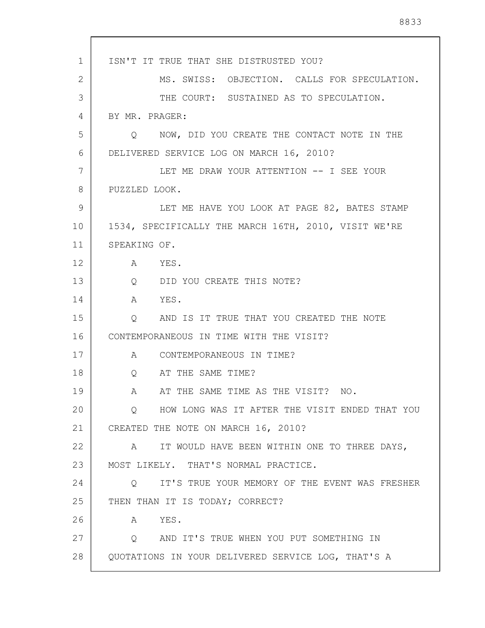1 2 3 4 5 6 7 8 9 10 11 12 13 14 15 16 17 18 19 20 21 22 23 24 25 26 27 28 ISN'T IT TRUE THAT SHE DISTRUSTED YOU? MS. SWISS: OBJECTION. CALLS FOR SPECULATION. THE COURT: SUSTAINED AS TO SPECULATION. BY MR. PRAGER: Q NOW, DID YOU CREATE THE CONTACT NOTE IN THE DELIVERED SERVICE LOG ON MARCH 16, 2010? LET ME DRAW YOUR ATTENTION -- I SEE YOUR PUZZLED LOOK. LET ME HAVE YOU LOOK AT PAGE 82, BATES STAMP 1534, SPECIFICALLY THE MARCH 16TH, 2010, VISIT WE'RE SPEAKING OF. A YES. Q DID YOU CREATE THIS NOTE? A YES. Q AND IS IT TRUE THAT YOU CREATED THE NOTE CONTEMPORANEOUS IN TIME WITH THE VISIT? A CONTEMPORANEOUS IN TIME? Q AT THE SAME TIME? A AT THE SAME TIME AS THE VISIT? NO. Q HOW LONG WAS IT AFTER THE VISIT ENDED THAT YOU CREATED THE NOTE ON MARCH 16, 2010? A IT WOULD HAVE BEEN WITHIN ONE TO THREE DAYS, MOST LIKELY. THAT'S NORMAL PRACTICE. Q IT'S TRUE YOUR MEMORY OF THE EVENT WAS FRESHER THEN THAN IT IS TODAY; CORRECT? A YES. Q AND IT'S TRUE WHEN YOU PUT SOMETHING IN QUOTATIONS IN YOUR DELIVERED SERVICE LOG, THAT'S A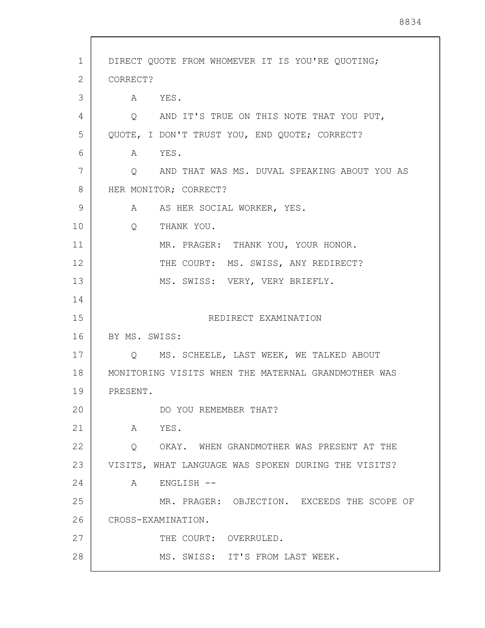| 1  | DIRECT QUOTE FROM WHOMEVER IT IS YOU'RE QUOTING;    |
|----|-----------------------------------------------------|
| 2  | CORRECT?                                            |
| 3  | A YES.                                              |
| 4  | Q AND IT'S TRUE ON THIS NOTE THAT YOU PUT,          |
| 5  | QUOTE, I DON'T TRUST YOU, END QUOTE; CORRECT?       |
| 6  | A YES.                                              |
| 7  | O AND THAT WAS MS. DUVAL SPEAKING ABOUT YOU AS      |
| 8  | HER MONITOR; CORRECT?                               |
| 9  | A AS HER SOCIAL WORKER, YES.                        |
| 10 | Q<br>THANK YOU.                                     |
| 11 | MR. PRAGER: THANK YOU, YOUR HONOR.                  |
| 12 | THE COURT: MS. SWISS, ANY REDIRECT?                 |
| 13 | MS. SWISS: VERY, VERY BRIEFLY.                      |
| 14 |                                                     |
| 15 | REDIRECT EXAMINATION                                |
| 16 | BY MS. SWISS:                                       |
| 17 | Q MS. SCHEELE, LAST WEEK, WE TALKED ABOUT           |
| 18 | MONITORING VISITS WHEN THE MATERNAL GRANDMOTHER WAS |
| 19 | PRESENT.                                            |
| 20 | DO YOU REMEMBER THAT?                               |
| 21 | A YES.                                              |
| 22 | Q OKAY. WHEN GRANDMOTHER WAS PRESENT AT THE         |
| 23 | VISITS, WHAT LANGUAGE WAS SPOKEN DURING THE VISITS? |
| 24 | A ENGLISH --                                        |
| 25 | MR. PRAGER: OBJECTION. EXCEEDS THE SCOPE OF         |
| 26 | CROSS-EXAMINATION.                                  |
| 27 | THE COURT: OVERRULED.                               |
| 28 | MS. SWISS: IT'S FROM LAST WEEK.                     |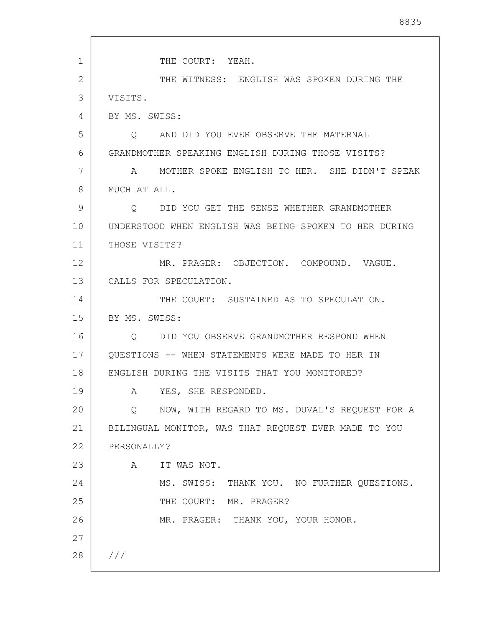| $\mathbf{1}$ | THE COURT: YEAH.                                       |
|--------------|--------------------------------------------------------|
| $\mathbf{2}$ | THE WITNESS: ENGLISH WAS SPOKEN DURING THE             |
| 3            | VISITS.                                                |
| 4            | BY MS. SWISS:                                          |
| 5            | Q AND DID YOU EVER OBSERVE THE MATERNAL                |
| 6            | GRANDMOTHER SPEAKING ENGLISH DURING THOSE VISITS?      |
| 7            | A MOTHER SPOKE ENGLISH TO HER. SHE DIDN'T SPEAK        |
| 8            | MUCH AT ALL.                                           |
| 9            | Q DID YOU GET THE SENSE WHETHER GRANDMOTHER            |
| 10           | UNDERSTOOD WHEN ENGLISH WAS BEING SPOKEN TO HER DURING |
| 11           | THOSE VISITS?                                          |
| 12           | MR. PRAGER: OBJECTION. COMPOUND. VAGUE.                |
| 13           | CALLS FOR SPECULATION.                                 |
| 14           | THE COURT: SUSTAINED AS TO SPECULATION.                |
| 15           | BY MS. SWISS:                                          |
| 16           | Q DID YOU OBSERVE GRANDMOTHER RESPOND WHEN             |
| 17           | OUESTIONS -- WHEN STATEMENTS WERE MADE TO HER IN       |
| 18           | ENGLISH DURING THE VISITS THAT YOU MONITORED?          |
| 19           | YES, SHE RESPONDED.<br>A                               |
| 20           | NOW, WITH REGARD TO MS. DUVAL'S REQUEST FOR A<br>Q     |
| 21           | BILINGUAL MONITOR, WAS THAT REQUEST EVER MADE TO YOU   |
| 22           | PERSONALLY?                                            |
| 23           | IT WAS NOT.<br>A                                       |
| 24           | MS. SWISS: THANK YOU. NO FURTHER QUESTIONS.            |
| 25           | THE COURT: MR. PRAGER?                                 |
| 26           | MR. PRAGER: THANK YOU, YOUR HONOR.                     |
| 27           |                                                        |
| 28           | ///                                                    |
|              |                                                        |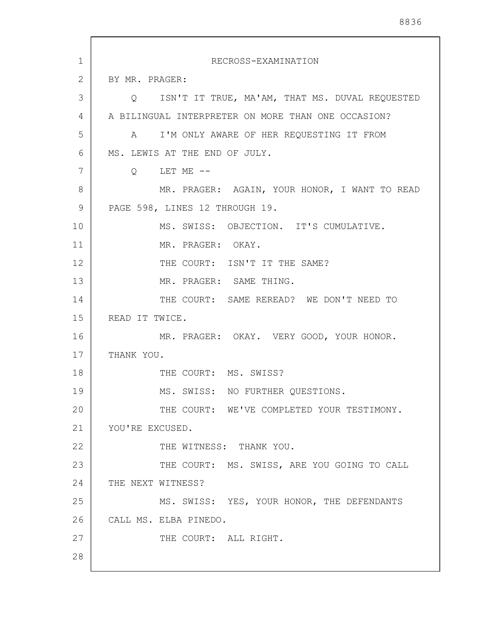| 1  | RECROSS-EXAMINATION                                |
|----|----------------------------------------------------|
| 2  | BY MR. PRAGER:                                     |
| 3  | Q ISN'T IT TRUE, MA'AM, THAT MS. DUVAL REQUESTED   |
| 4  | A BILINGUAL INTERPRETER ON MORE THAN ONE OCCASION? |
| 5  | A I'M ONLY AWARE OF HER REQUESTING IT FROM         |
| 6  | MS. LEWIS AT THE END OF JULY.                      |
| 7  | $Q$ LET ME $--$                                    |
| 8  | MR. PRAGER: AGAIN, YOUR HONOR, I WANT TO READ      |
| 9  | PAGE 598, LINES 12 THROUGH 19.                     |
| 10 | MS. SWISS: OBJECTION. IT'S CUMULATIVE.             |
| 11 | MR. PRAGER: OKAY.                                  |
| 12 | THE COURT: ISN'T IT THE SAME?                      |
| 13 | MR. PRAGER: SAME THING.                            |
| 14 | THE COURT: SAME REREAD? WE DON'T NEED TO           |
| 15 | READ IT TWICE.                                     |
| 16 | MR. PRAGER: OKAY. VERY GOOD, YOUR HONOR.           |
| 17 | THANK YOU.                                         |
| 18 | THE COURT: MS. SWISS?                              |
| 19 | MS. SWISS: NO FURTHER QUESTIONS.                   |
| 20 | THE COURT: WE'VE COMPLETED YOUR TESTIMONY.         |
| 21 | YOU'RE EXCUSED.                                    |
| 22 | THE WITNESS: THANK YOU.                            |
| 23 | THE COURT: MS. SWISS, ARE YOU GOING TO CALL        |
| 24 | THE NEXT WITNESS?                                  |
| 25 | MS. SWISS: YES, YOUR HONOR, THE DEFENDANTS         |
| 26 | CALL MS. ELBA PINEDO.                              |
| 27 | THE COURT: ALL RIGHT.                              |
| 28 |                                                    |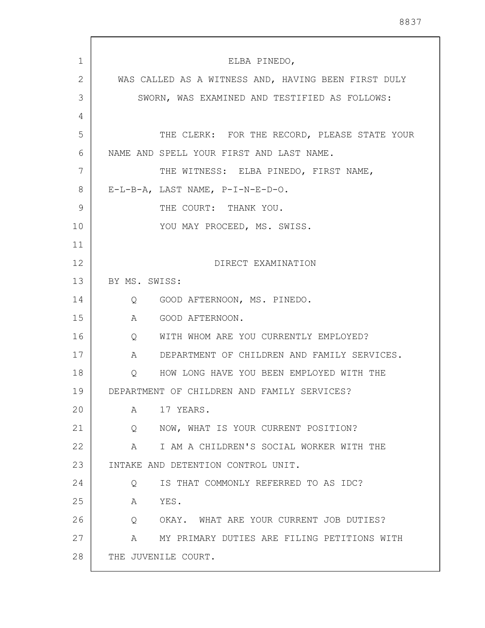| $\mathbf{1}$ | ELBA PINEDO,                                                 |
|--------------|--------------------------------------------------------------|
| 2            | WAS CALLED AS A WITNESS AND, HAVING BEEN FIRST DULY          |
| 3            | SWORN, WAS EXAMINED AND TESTIFIED AS FOLLOWS:                |
| 4            |                                                              |
| 5            | THE CLERK: FOR THE RECORD, PLEASE STATE YOUR                 |
| 6            | NAME AND SPELL YOUR FIRST AND LAST NAME.                     |
| 7            | THE WITNESS: ELBA PINEDO, FIRST NAME,                        |
| 8            | E-L-B-A, LAST NAME, P-I-N-E-D-O.                             |
| 9            | THE COURT: THANK YOU.                                        |
| 10           | YOU MAY PROCEED, MS. SWISS.                                  |
| 11           |                                                              |
| 12           | DIRECT EXAMINATION                                           |
| 13           | BY MS. SWISS:                                                |
| 14           | Q GOOD AFTERNOON, MS. PINEDO.                                |
| 15           | GOOD AFTERNOON.<br>A                                         |
| 16           | WITH WHOM ARE YOU CURRENTLY EMPLOYED?<br>$Q \qquad \qquad$   |
| 17           | DEPARTMENT OF CHILDREN AND FAMILY SERVICES.<br>A             |
| 18           | HOW LONG HAVE YOU BEEN EMPLOYED WITH THE<br>Q                |
| 19           | DEPARTMENT OF CHILDREN AND FAMILY SERVICES?                  |
| 20           | $\mathbf{A}$<br>17 YEARS.                                    |
| 21           | NOW, WHAT IS YOUR CURRENT POSITION?<br>$Q \qquad \qquad$     |
| 22           | I AM A CHILDREN'S SOCIAL WORKER WITH THE<br>$A \quad \alpha$ |
| 23           | INTAKE AND DETENTION CONTROL UNIT.                           |
| 24           | IS THAT COMMONLY REFERRED TO AS IDC?<br>$Q \qquad \qquad$    |
| 25           | A YES.                                                       |
| 26           | Q OKAY. WHAT ARE YOUR CURRENT JOB DUTIES?                    |
| 27           | A MY PRIMARY DUTIES ARE FILING PETITIONS WITH                |
| 28           | THE JUVENILE COURT.                                          |
|              |                                                              |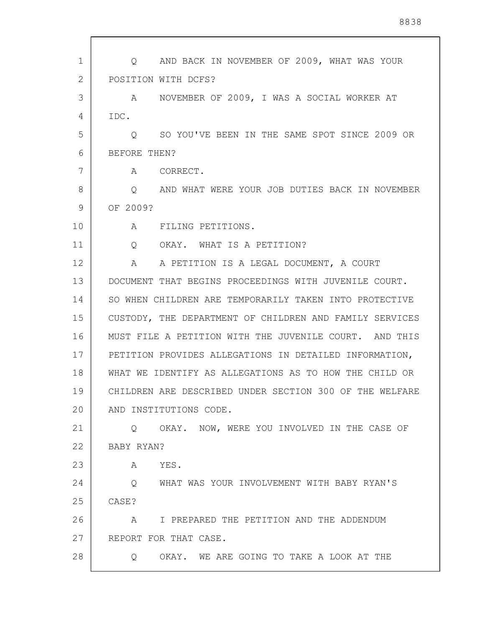| 1  | AND BACK IN NOVEMBER OF 2009, WHAT WAS YOUR<br>$\circ$   |
|----|----------------------------------------------------------|
| 2  | POSITION WITH DCFS?                                      |
| 3  | NOVEMBER OF 2009, I WAS A SOCIAL WORKER AT<br>A          |
| 4  | IDC.                                                     |
| 5  | SO YOU'VE BEEN IN THE SAME SPOT SINCE 2009 OR<br>$\circ$ |
| 6  | BEFORE THEN?                                             |
| 7  | A<br>CORRECT.                                            |
| 8  | O AND WHAT WERE YOUR JOB DUTIES BACK IN NOVEMBER         |
| 9  | OF 2009?                                                 |
| 10 | A FILING PETITIONS.                                      |
| 11 | Q OKAY. WHAT IS A PETITION?                              |
| 12 | A PETITION IS A LEGAL DOCUMENT, A COURT<br>A             |
| 13 | DOCUMENT THAT BEGINS PROCEEDINGS WITH JUVENILE COURT.    |
| 14 | SO WHEN CHILDREN ARE TEMPORARILY TAKEN INTO PROTECTIVE   |
| 15 | CUSTODY, THE DEPARTMENT OF CHILDREN AND FAMILY SERVICES  |
| 16 | MUST FILE A PETITION WITH THE JUVENILE COURT. AND THIS   |
| 17 | PETITION PROVIDES ALLEGATIONS IN DETAILED INFORMATION,   |
| 18 | WHAT WE IDENTIFY AS ALLEGATIONS AS TO HOW THE CHILD OR   |
| 19 | CHILDREN ARE DESCRIBED UNDER SECTION 300 OF THE WELFARE  |
| 20 | AND INSTITUTIONS CODE.                                   |
| 21 | O OKAY. NOW, WERE YOU INVOLVED IN THE CASE OF            |
| 22 | BABY RYAN?                                               |
| 23 | YES.<br>A                                                |
| 24 | WHAT WAS YOUR INVOLVEMENT WITH BABY RYAN'S<br>$\circ$    |
| 25 | CASE?                                                    |
| 26 | I PREPARED THE PETITION AND THE ADDENDUM<br>A            |
| 27 | REPORT FOR THAT CASE.                                    |
| 28 | OKAY. WE ARE GOING TO TAKE A LOOK AT THE<br>$\circ$      |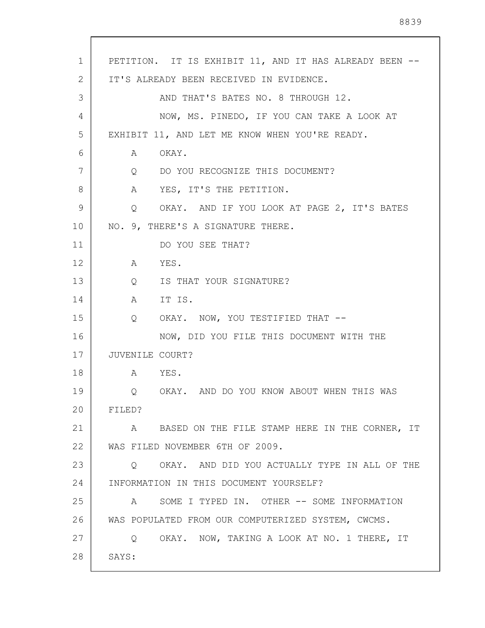| 1  | PETITION. IT IS EXHIBIT 11, AND IT HAS ALREADY BEEN -- |
|----|--------------------------------------------------------|
| 2  | IT'S ALREADY BEEN RECEIVED IN EVIDENCE.                |
| 3  | AND THAT'S BATES NO. 8 THROUGH 12.                     |
| 4  | NOW, MS. PINEDO, IF YOU CAN TAKE A LOOK AT             |
| 5  | EXHIBIT 11, AND LET ME KNOW WHEN YOU'RE READY.         |
| 6  | OKAY.<br>A                                             |
| 7  | DO YOU RECOGNIZE THIS DOCUMENT?<br>$Q \qquad \qquad$   |
| 8  | YES, IT'S THE PETITION.<br>$\mathbf{A}$                |
| 9  | OKAY. AND IF YOU LOOK AT PAGE 2, IT'S BATES<br>Q       |
| 10 | NO. 9, THERE'S A SIGNATURE THERE.                      |
| 11 | DO YOU SEE THAT?                                       |
| 12 | YES.<br>A                                              |
| 13 | IS THAT YOUR SIGNATURE?<br>$Q_{\perp}$                 |
| 14 | IT IS.<br>A                                            |
| 15 | OKAY. NOW, YOU TESTIFIED THAT --<br>Q                  |
| 16 | NOW, DID YOU FILE THIS DOCUMENT WITH THE               |
| 17 | JUVENILE COURT?                                        |
| 18 | YES.<br>$A \quad \alpha$                               |
| 19 | Q OKAY. AND DO YOU KNOW ABOUT WHEN THIS WAS            |
| 20 | FILED?                                                 |
| 21 | A BASED ON THE FILE STAMP HERE IN THE CORNER, IT       |
| 22 | WAS FILED NOVEMBER 6TH OF 2009.                        |
| 23 | Q OKAY. AND DID YOU ACTUALLY TYPE IN ALL OF THE        |
| 24 | INFORMATION IN THIS DOCUMENT YOURSELF?                 |
| 25 | SOME I TYPED IN. OTHER -- SOME INFORMATION<br>A        |
| 26 | WAS POPULATED FROM OUR COMPUTERIZED SYSTEM, CWCMS.     |
| 27 | Q OKAY. NOW, TAKING A LOOK AT NO. 1 THERE, IT          |
| 28 | SAYS:                                                  |
|    |                                                        |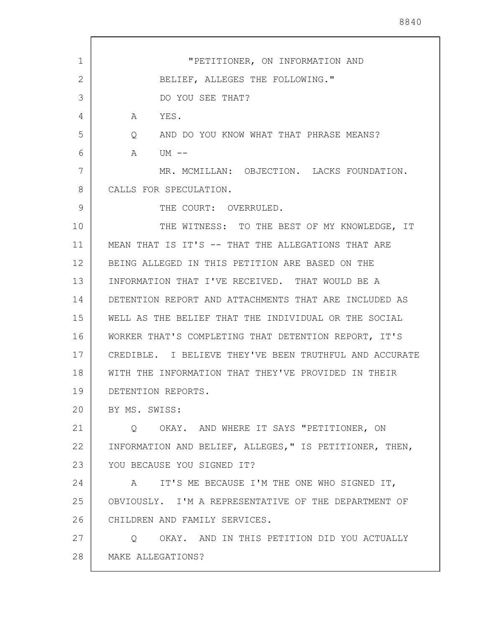| $\mathbf{1}$ | "PETITIONER, ON INFORMATION AND                              |
|--------------|--------------------------------------------------------------|
| 2            | BELIEF, ALLEGES THE FOLLOWING."                              |
| 3            | DO YOU SEE THAT?                                             |
| 4            | YES.<br>A                                                    |
| 5            | AND DO YOU KNOW WHAT THAT PHRASE MEANS?<br>$Q \qquad \qquad$ |
| 6            | A<br>UM --                                                   |
| 7            | MR. MCMILLAN: OBJECTION. LACKS FOUNDATION.                   |
| 8            | CALLS FOR SPECULATION.                                       |
| 9            | THE COURT: OVERRULED.                                        |
| 10           | THE WITNESS: TO THE BEST OF MY KNOWLEDGE, IT                 |
| 11           | MEAN THAT IS IT'S -- THAT THE ALLEGATIONS THAT ARE           |
| 12           | BEING ALLEGED IN THIS PETITION ARE BASED ON THE              |
| 13           | INFORMATION THAT I'VE RECEIVED. THAT WOULD BE A              |
| 14           | DETENTION REPORT AND ATTACHMENTS THAT ARE INCLUDED AS        |
| 15           | WELL AS THE BELIEF THAT THE INDIVIDUAL OR THE SOCIAL         |
| 16           | WORKER THAT'S COMPLETING THAT DETENTION REPORT, IT'S         |
| 17           | CREDIBLE. I BELIEVE THEY'VE BEEN TRUTHFUL AND ACCURATE       |
| 18           | WITH THE INFORMATION THAT THEY'VE PROVIDED IN THEIR          |
| 19           | DETENTION REPORTS                                            |
| 20           | BY MS. SWISS:                                                |
| 21           | OKAY. AND WHERE IT SAYS "PETITIONER, ON<br>O.                |
| 22           | INFORMATION AND BELIEF, ALLEGES," IS PETITIONER, THEN,       |
| 23           | YOU BECAUSE YOU SIGNED IT?                                   |
| 24           | IT'S ME BECAUSE I'M THE ONE WHO SIGNED IT,<br>A              |
| 25           | OBVIOUSLY. I'M A REPRESENTATIVE OF THE DEPARTMENT OF         |
| 26           | CHILDREN AND FAMILY SERVICES.                                |
| 27           | OKAY. AND IN THIS PETITION DID YOU ACTUALLY<br>Q             |
| 28           | MAKE ALLEGATIONS?                                            |
|              |                                                              |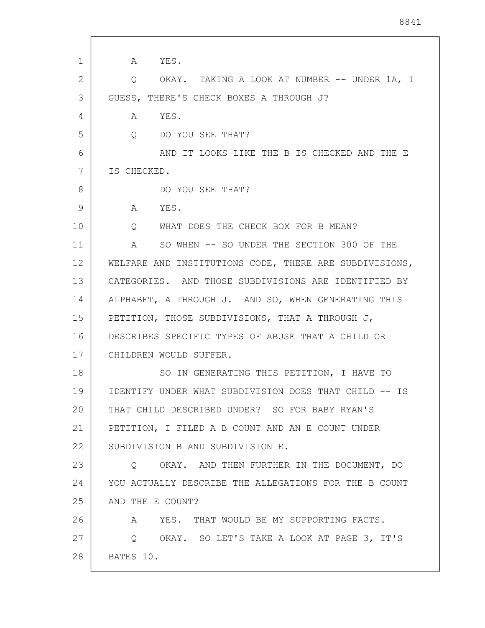1 2 3 4 5 6 7 8 9 10 11 12 13 14 15 16 17 18 19 20 21 22 23 24 25 26 27 28 A YES. Q OKAY. TAKING A LOOK AT NUMBER -- UNDER 1A, I GUESS, THERE'S CHECK BOXES A THROUGH J? A YES. Q DO YOU SEE THAT? AND IT LOOKS LIKE THE B IS CHECKED AND THE E IS CHECKED. DO YOU SEE THAT? A YES. Q WHAT DOES THE CHECK BOX FOR B MEAN? A SO WHEN -- SO UNDER THE SECTION 300 OF THE WELFARE AND INSTITUTIONS CODE, THERE ARE SUBDIVISIONS, CATEGORIES. AND THOSE SUBDIVISIONS ARE IDENTIFIED BY ALPHABET, A THROUGH J. AND SO, WHEN GENERATING THIS PETITION, THOSE SUBDIVISIONS, THAT A THROUGH J, DESCRIBES SPECIFIC TYPES OF ABUSE THAT A CHILD OR CHILDREN WOULD SUFFER. SO IN GENERATING THIS PETITION, I HAVE TO IDENTIFY UNDER WHAT SUBDIVISION DOES THAT CHILD -- IS THAT CHILD DESCRIBED UNDER? SO FOR BABY RYAN'S PETITION, I FILED A B COUNT AND AN E COUNT UNDER SUBDIVISION B AND SUBDIVISION E. Q OKAY. AND THEN FURTHER IN THE DOCUMENT, DO YOU ACTUALLY DESCRIBE THE ALLEGATIONS FOR THE B COUNT AND THE E COUNT? A YES. THAT WOULD BE MY SUPPORTING FACTS. Q OKAY. SO LET'S TAKE A LOOK AT PAGE 3, IT'S BATES 10.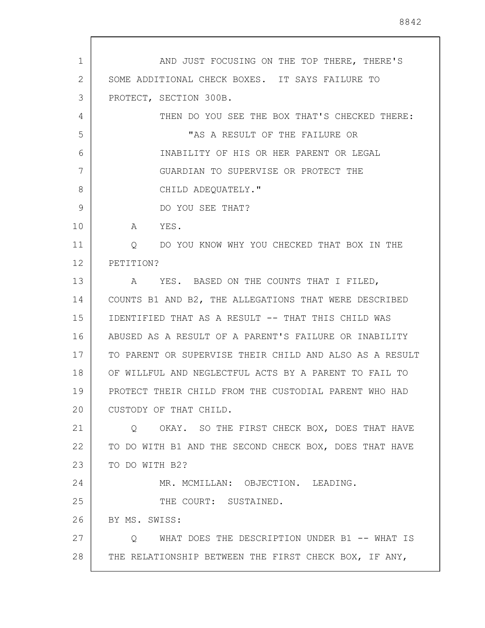1 2 3 4 5 6 7 8 9 10 11 12 13 14 15 16 17 18 19 20 21 22 23 24 25 26 27 28 AND JUST FOCUSING ON THE TOP THERE, THERE'S SOME ADDITIONAL CHECK BOXES. IT SAYS FAILURE TO PROTECT, SECTION 300B. THEN DO YOU SEE THE BOX THAT'S CHECKED THERE: "AS A RESULT OF THE FAILURE OR INABILITY OF HIS OR HER PARENT OR LEGAL GUARDIAN TO SUPERVISE OR PROTECT THE CHILD ADEQUATELY." DO YOU SEE THAT? A YES. Q DO YOU KNOW WHY YOU CHECKED THAT BOX IN THE PETITION? A YES. BASED ON THE COUNTS THAT I FILED, COUNTS B1 AND B2, THE ALLEGATIONS THAT WERE DESCRIBED IDENTIFIED THAT AS A RESULT -- THAT THIS CHILD WAS ABUSED AS A RESULT OF A PARENT'S FAILURE OR INABILITY TO PARENT OR SUPERVISE THEIR CHILD AND ALSO AS A RESULT OF WILLFUL AND NEGLECTFUL ACTS BY A PARENT TO FAIL TO PROTECT THEIR CHILD FROM THE CUSTODIAL PARENT WHO HAD CUSTODY OF THAT CHILD. Q OKAY. SO THE FIRST CHECK BOX, DOES THAT HAVE TO DO WITH B1 AND THE SECOND CHECK BOX, DOES THAT HAVE TO DO WITH B2? MR. MCMILLAN: OBJECTION. LEADING. THE COURT: SUSTAINED. BY MS. SWISS: Q WHAT DOES THE DESCRIPTION UNDER B1 -- WHAT IS THE RELATIONSHIP BETWEEN THE FIRST CHECK BOX, IF ANY,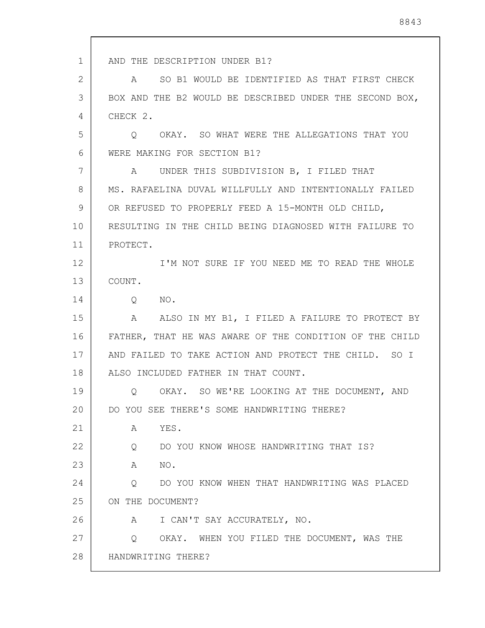1 2 3 4 5 6 7 8 9 10 11 12 13 14 15 16 17 18 19 20 21 22 23 24 25 26 27 28 AND THE DESCRIPTION UNDER B1? A SO B1 WOULD BE IDENTIFIED AS THAT FIRST CHECK BOX AND THE B2 WOULD BE DESCRIBED UNDER THE SECOND BOX, CHECK 2. Q OKAY. SO WHAT WERE THE ALLEGATIONS THAT YOU WERE MAKING FOR SECTION B1? A UNDER THIS SUBDIVISION B, I FILED THAT MS. RAFAELINA DUVAL WILLFULLY AND INTENTIONALLY FAILED OR REFUSED TO PROPERLY FEED A 15-MONTH OLD CHILD, RESULTING IN THE CHILD BEING DIAGNOSED WITH FAILURE TO PROTECT. I'M NOT SURE IF YOU NEED ME TO READ THE WHOLE COUNT. Q NO. A ALSO IN MY B1, I FILED A FAILURE TO PROTECT BY FATHER, THAT HE WAS AWARE OF THE CONDITION OF THE CHILD AND FAILED TO TAKE ACTION AND PROTECT THE CHILD. SO I ALSO INCLUDED FATHER IN THAT COUNT. Q OKAY. SO WE'RE LOOKING AT THE DOCUMENT, AND DO YOU SEE THERE'S SOME HANDWRITING THERE? A YES. Q DO YOU KNOW WHOSE HANDWRITING THAT IS? A NO. Q DO YOU KNOW WHEN THAT HANDWRITING WAS PLACED ON THE DOCUMENT? A I CAN'T SAY ACCURATELY, NO. Q OKAY. WHEN YOU FILED THE DOCUMENT, WAS THE HANDWRITING THERE?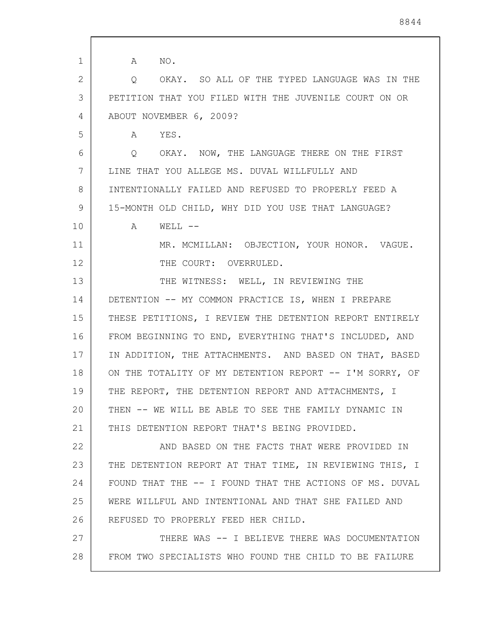| $\mathbf 1$  | NO.<br>A                                                 |
|--------------|----------------------------------------------------------|
| $\mathbf{2}$ | OKAY. SO ALL OF THE TYPED LANGUAGE WAS IN THE<br>$\circ$ |
| 3            | PETITION THAT YOU FILED WITH THE JUVENILE COURT ON OR    |
| 4            | ABOUT NOVEMBER 6, 2009?                                  |
| 5            | A YES.                                                   |
| 6            | O OKAY. NOW, THE LANGUAGE THERE ON THE FIRST             |
| 7            | LINE THAT YOU ALLEGE MS. DUVAL WILLFULLY AND             |
| 8            | INTENTIONALLY FAILED AND REFUSED TO PROPERLY FEED A      |
| 9            | 15-MONTH OLD CHILD, WHY DID YOU USE THAT LANGUAGE?       |
| 10           | A<br>$WELL$ --                                           |
| 11           | MR. MCMILLAN: OBJECTION, YOUR HONOR. VAGUE.              |
| 12           | THE COURT: OVERRULED.                                    |
| 13           | THE WITNESS: WELL, IN REVIEWING THE                      |
| 14           | DETENTION -- MY COMMON PRACTICE IS, WHEN I PREPARE       |
| 15           | THESE PETITIONS, I REVIEW THE DETENTION REPORT ENTIRELY  |
| 16           | FROM BEGINNING TO END, EVERYTHING THAT'S INCLUDED, AND   |
| 17           | IN ADDITION, THE ATTACHMENTS. AND BASED ON THAT, BASED   |
| 18           | ON THE TOTALITY OF MY DETENTION REPORT -- I'M SORRY, OF  |
| 19           | THE REPORT, THE DETENTION REPORT AND ATTACHMENTS, I      |
| 20           | THEN -- WE WILL BE ABLE TO SEE THE FAMILY DYNAMIC IN     |
| 21           | THIS DETENTION REPORT THAT'S BEING PROVIDED.             |
| 22           | AND BASED ON THE FACTS THAT WERE PROVIDED IN             |
| 23           | THE DETENTION REPORT AT THAT TIME, IN REVIEWING THIS, I  |
| 24           | FOUND THAT THE -- I FOUND THAT THE ACTIONS OF MS. DUVAL  |
| 25           | WERE WILLFUL AND INTENTIONAL AND THAT SHE FAILED AND     |
| 26           | REFUSED TO PROPERLY FEED HER CHILD.                      |
| 27           | THERE WAS -- I BELIEVE THERE WAS DOCUMENTATION           |
| 28           | FROM TWO SPECIALISTS WHO FOUND THE CHILD TO BE FAILURE   |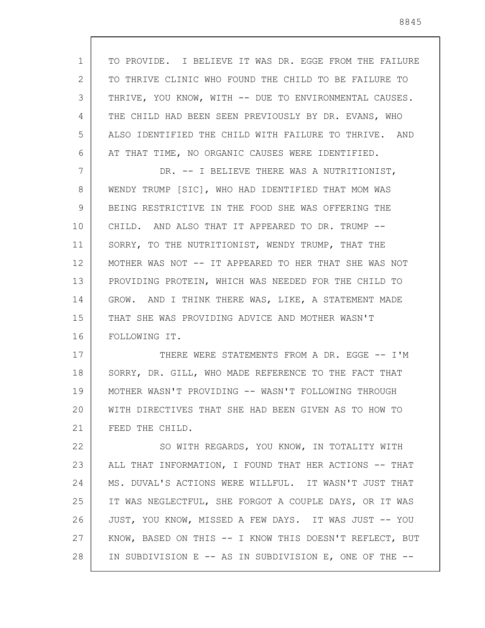1 2 3 4 5 6 7 8 9 10 11 12 13 14 15 16 17 18 19 20 21 22 23 24 25 26 27 28 TO PROVIDE. I BELIEVE IT WAS DR. EGGE FROM THE FAILURE TO THRIVE CLINIC WHO FOUND THE CHILD TO BE FAILURE TO THRIVE, YOU KNOW, WITH -- DUE TO ENVIRONMENTAL CAUSES. THE CHILD HAD BEEN SEEN PREVIOUSLY BY DR. EVANS, WHO ALSO IDENTIFIED THE CHILD WITH FAILURE TO THRIVE. AND AT THAT TIME, NO ORGANIC CAUSES WERE IDENTIFIED. DR. -- I BELIEVE THERE WAS A NUTRITIONIST, WENDY TRUMP [SIC], WHO HAD IDENTIFIED THAT MOM WAS BEING RESTRICTIVE IN THE FOOD SHE WAS OFFERING THE CHILD. AND ALSO THAT IT APPEARED TO DR. TRUMP -- SORRY, TO THE NUTRITIONIST, WENDY TRUMP, THAT THE MOTHER WAS NOT -- IT APPEARED TO HER THAT SHE WAS NOT PROVIDING PROTEIN, WHICH WAS NEEDED FOR THE CHILD TO GROW. AND I THINK THERE WAS, LIKE, A STATEMENT MADE THAT SHE WAS PROVIDING ADVICE AND MOTHER WASN'T FOLLOWING IT. THERE WERE STATEMENTS FROM A DR. EGGE -- I'M SORRY, DR. GILL, WHO MADE REFERENCE TO THE FACT THAT MOTHER WASN'T PROVIDING -- WASN'T FOLLOWING THROUGH WITH DIRECTIVES THAT SHE HAD BEEN GIVEN AS TO HOW TO FEED THE CHILD. SO WITH REGARDS, YOU KNOW, IN TOTALITY WITH ALL THAT INFORMATION, I FOUND THAT HER ACTIONS -- THAT MS. DUVAL'S ACTIONS WERE WILLFUL. IT WASN'T JUST THAT IT WAS NEGLECTFUL, SHE FORGOT A COUPLE DAYS, OR IT WAS JUST, YOU KNOW, MISSED A FEW DAYS. IT WAS JUST -- YOU KNOW, BASED ON THIS -- I KNOW THIS DOESN'T REFLECT, BUT IN SUBDIVISION E -- AS IN SUBDIVISION E, ONE OF THE --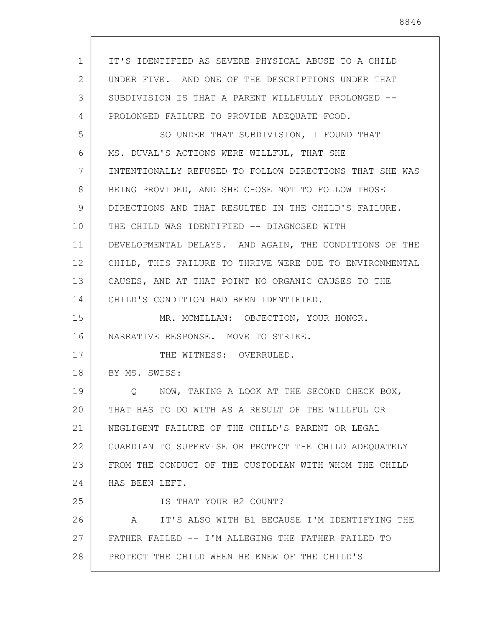| $\mathbf{1}$ | IT'S IDENTIFIED AS SEVERE PHYSICAL ABUSE TO A CHILD     |
|--------------|---------------------------------------------------------|
| 2            | UNDER FIVE. AND ONE OF THE DESCRIPTIONS UNDER THAT      |
| 3            | SUBDIVISION IS THAT A PARENT WILLFULLY PROLONGED --     |
| 4            | PROLONGED FAILURE TO PROVIDE ADEQUATE FOOD.             |
| 5            | SO UNDER THAT SUBDIVISION, I FOUND THAT                 |
| 6            | MS. DUVAL'S ACTIONS WERE WILLFUL, THAT SHE              |
| 7            | INTENTIONALLY REFUSED TO FOLLOW DIRECTIONS THAT SHE WAS |
| 8            | BEING PROVIDED, AND SHE CHOSE NOT TO FOLLOW THOSE       |
| 9            | DIRECTIONS AND THAT RESULTED IN THE CHILD'S FAILURE.    |
| 10           | THE CHILD WAS IDENTIFIED -- DIAGNOSED WITH              |
| 11           | DEVELOPMENTAL DELAYS. AND AGAIN, THE CONDITIONS OF THE  |
| 12           | CHILD, THIS FAILURE TO THRIVE WERE DUE TO ENVIRONMENTAL |
| 13           | CAUSES, AND AT THAT POINT NO ORGANIC CAUSES TO THE      |
| 14           | CHILD'S CONDITION HAD BEEN IDENTIFIED.                  |
| 15           | MR. MCMILLAN: OBJECTION, YOUR HONOR.                    |
| 16           | NARRATIVE RESPONSE. MOVE TO STRIKE.                     |
| 17           | THE WITNESS: OVERRULED.                                 |
| 18           | BY MS. SWISS:                                           |
| 19           | Q NOW, TAKING A LOOK AT THE SECOND CHECK BOX,           |
| 20           | THAT HAS TO DO WITH AS A RESULT OF THE WILLFUL OR       |
| 21           | NEGLIGENT FAILURE OF THE CHILD'S PARENT OR LEGAL        |
| 22           | GUARDIAN TO SUPERVISE OR PROTECT THE CHILD ADEQUATELY   |
| 23           | FROM THE CONDUCT OF THE CUSTODIAN WITH WHOM THE CHILD   |
| 24           | HAS BEEN LEFT.                                          |
| 25           | IS THAT YOUR B2 COUNT?                                  |
| 26           | IT'S ALSO WITH B1 BECAUSE I'M IDENTIFYING THE<br>A      |
| 27           | FATHER FAILED -- I'M ALLEGING THE FATHER FAILED TO      |
| 28           | PROTECT THE CHILD WHEN HE KNEW OF THE CHILD'S           |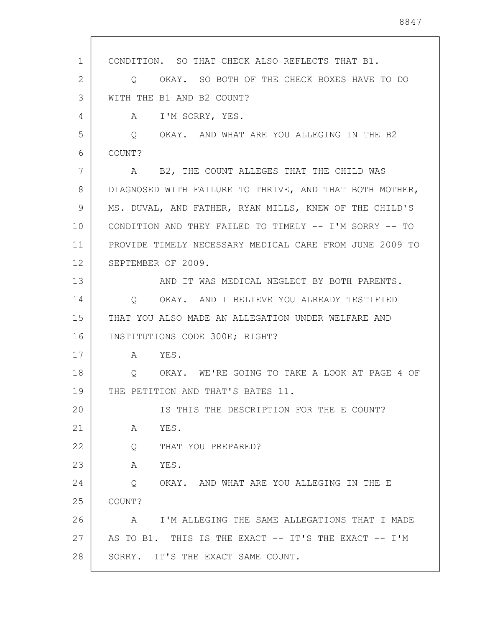1 2 3 4 5 6 7 8 9 10 11 12 13 14 15 16 17 18 19 20 21 22 23 24 25 26 27 28 CONDITION. SO THAT CHECK ALSO REFLECTS THAT B1. Q OKAY. SO BOTH OF THE CHECK BOXES HAVE TO DO WITH THE B1 AND B2 COUNT? A I'M SORRY, YES. Q OKAY. AND WHAT ARE YOU ALLEGING IN THE B2 COUNT? A B2, THE COUNT ALLEGES THAT THE CHILD WAS DIAGNOSED WITH FAILURE TO THRIVE, AND THAT BOTH MOTHER, MS. DUVAL, AND FATHER, RYAN MILLS, KNEW OF THE CHILD'S CONDITION AND THEY FAILED TO TIMELY -- I'M SORRY -- TO PROVIDE TIMELY NECESSARY MEDICAL CARE FROM JUNE 2009 TO SEPTEMBER OF 2009. AND IT WAS MEDICAL NEGLECT BY BOTH PARENTS. Q OKAY. AND I BELIEVE YOU ALREADY TESTIFIED THAT YOU ALSO MADE AN ALLEGATION UNDER WELFARE AND INSTITUTIONS CODE 300E; RIGHT? A YES. Q OKAY. WE'RE GOING TO TAKE A LOOK AT PAGE 4 OF THE PETITION AND THAT'S BATES 11. IS THIS THE DESCRIPTION FOR THE E COUNT? A YES. Q THAT YOU PREPARED? A YES. Q OKAY. AND WHAT ARE YOU ALLEGING IN THE E COUNT? A I'M ALLEGING THE SAME ALLEGATIONS THAT I MADE AS TO B1. THIS IS THE EXACT -- IT'S THE EXACT -- I'M SORRY. IT'S THE EXACT SAME COUNT.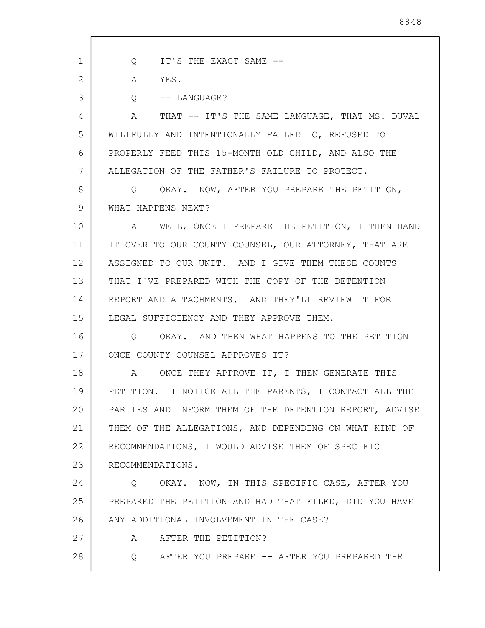1 2 3 4 5 6 7 8 9 10 11 12 13 14 15 16 17 18 19 20 21 22 23 24 25 26 27 28 Q IT'S THE EXACT SAME -- A YES. Q -- LANGUAGE? A THAT -- IT'S THE SAME LANGUAGE, THAT MS. DUVAL WILLFULLY AND INTENTIONALLY FAILED TO, REFUSED TO PROPERLY FEED THIS 15-MONTH OLD CHILD, AND ALSO THE ALLEGATION OF THE FATHER'S FAILURE TO PROTECT. Q OKAY. NOW, AFTER YOU PREPARE THE PETITION, WHAT HAPPENS NEXT? A WELL, ONCE I PREPARE THE PETITION, I THEN HAND IT OVER TO OUR COUNTY COUNSEL, OUR ATTORNEY, THAT ARE ASSIGNED TO OUR UNIT. AND I GIVE THEM THESE COUNTS THAT I'VE PREPARED WITH THE COPY OF THE DETENTION REPORT AND ATTACHMENTS. AND THEY'LL REVIEW IT FOR LEGAL SUFFICIENCY AND THEY APPROVE THEM. Q OKAY. AND THEN WHAT HAPPENS TO THE PETITION ONCE COUNTY COUNSEL APPROVES IT? A ONCE THEY APPROVE IT, I THEN GENERATE THIS PETITION. I NOTICE ALL THE PARENTS, I CONTACT ALL THE PARTIES AND INFORM THEM OF THE DETENTION REPORT, ADVISE THEM OF THE ALLEGATIONS, AND DEPENDING ON WHAT KIND OF RECOMMENDATIONS, I WOULD ADVISE THEM OF SPECIFIC RECOMMENDATIONS. Q OKAY. NOW, IN THIS SPECIFIC CASE, AFTER YOU PREPARED THE PETITION AND HAD THAT FILED, DID YOU HAVE ANY ADDITIONAL INVOLVEMENT IN THE CASE? A AFTER THE PETITION? Q AFTER YOU PREPARE -- AFTER YOU PREPARED THE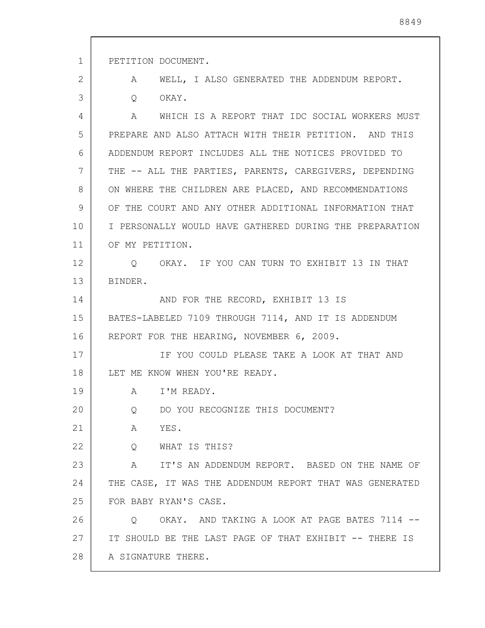1 2 3 4 5 6 7 8 9 10 11 12 13 14 15 16 17 18 19 20 21 22 23 24 25 26 27 28 PETITION DOCUMENT. A WELL, I ALSO GENERATED THE ADDENDUM REPORT. Q OKAY. A WHICH IS A REPORT THAT IDC SOCIAL WORKERS MUST PREPARE AND ALSO ATTACH WITH THEIR PETITION. AND THIS ADDENDUM REPORT INCLUDES ALL THE NOTICES PROVIDED TO THE -- ALL THE PARTIES, PARENTS, CAREGIVERS, DEPENDING ON WHERE THE CHILDREN ARE PLACED, AND RECOMMENDATIONS OF THE COURT AND ANY OTHER ADDITIONAL INFORMATION THAT I PERSONALLY WOULD HAVE GATHERED DURING THE PREPARATION OF MY PETITION. Q OKAY. IF YOU CAN TURN TO EXHIBIT 13 IN THAT BINDER. AND FOR THE RECORD, EXHIBIT 13 IS BATES-LABELED 7109 THROUGH 7114, AND IT IS ADDENDUM REPORT FOR THE HEARING, NOVEMBER 6, 2009. IF YOU COULD PLEASE TAKE A LOOK AT THAT AND LET ME KNOW WHEN YOU'RE READY. A I'M READY. Q DO YOU RECOGNIZE THIS DOCUMENT? A YES. Q WHAT IS THIS? A IT'S AN ADDENDUM REPORT. BASED ON THE NAME OF THE CASE, IT WAS THE ADDENDUM REPORT THAT WAS GENERATED FOR BABY RYAN'S CASE. Q OKAY. AND TAKING A LOOK AT PAGE BATES 7114 -- IT SHOULD BE THE LAST PAGE OF THAT EXHIBIT -- THERE IS A SIGNATURE THERE.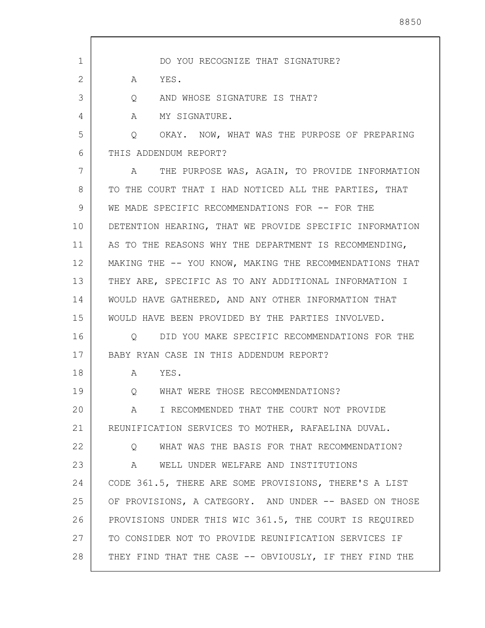1 2 3 4 5 6 7 8 9 10 11 12 13 14 15 16 17 18 19 20 21 22 23 24 25 26 27 28 DO YOU RECOGNIZE THAT SIGNATURE? A YES. Q AND WHOSE SIGNATURE IS THAT? A MY SIGNATURE. Q OKAY. NOW, WHAT WAS THE PURPOSE OF PREPARING THIS ADDENDUM REPORT? A THE PURPOSE WAS, AGAIN, TO PROVIDE INFORMATION TO THE COURT THAT I HAD NOTICED ALL THE PARTIES, THAT WE MADE SPECIFIC RECOMMENDATIONS FOR -- FOR THE DETENTION HEARING, THAT WE PROVIDE SPECIFIC INFORMATION AS TO THE REASONS WHY THE DEPARTMENT IS RECOMMENDING, MAKING THE -- YOU KNOW, MAKING THE RECOMMENDATIONS THAT THEY ARE, SPECIFIC AS TO ANY ADDITIONAL INFORMATION I WOULD HAVE GATHERED, AND ANY OTHER INFORMATION THAT WOULD HAVE BEEN PROVIDED BY THE PARTIES INVOLVED. Q DID YOU MAKE SPECIFIC RECOMMENDATIONS FOR THE BABY RYAN CASE IN THIS ADDENDUM REPORT? A YES. Q WHAT WERE THOSE RECOMMENDATIONS? A I RECOMMENDED THAT THE COURT NOT PROVIDE REUNIFICATION SERVICES TO MOTHER, RAFAELINA DUVAL. Q WHAT WAS THE BASIS FOR THAT RECOMMENDATION? A WELL UNDER WELFARE AND INSTITUTIONS CODE 361.5, THERE ARE SOME PROVISIONS, THERE'S A LIST OF PROVISIONS, A CATEGORY. AND UNDER -- BASED ON THOSE PROVISIONS UNDER THIS WIC 361.5, THE COURT IS REQUIRED TO CONSIDER NOT TO PROVIDE REUNIFICATION SERVICES IF THEY FIND THAT THE CASE -- OBVIOUSLY, IF THEY FIND THE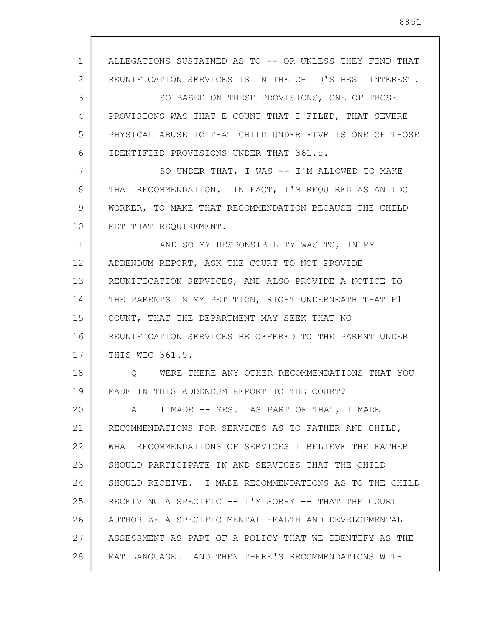1 2 3 4 5 6 7 8  $\mathsf{Q}$ 10 11 12 13 14 15 16 17 18 19 20 21 22 23 24 25 26 27 28 ALLEGATIONS SUSTAINED AS TO -- OR UNLESS THEY FIND THAT REUNIFICATION SERVICES IS IN THE CHILD'S BEST INTEREST. SO BASED ON THESE PROVISIONS, ONE OF THOSE PROVISIONS WAS THAT E COUNT THAT I FILED, THAT SEVERE PHYSICAL ABUSE TO THAT CHILD UNDER FIVE IS ONE OF THOSE IDENTIFIED PROVISIONS UNDER THAT 361.5. SO UNDER THAT, I WAS -- I'M ALLOWED TO MAKE THAT RECOMMENDATION. IN FACT, I'M REQUIRED AS AN IDC WORKER, TO MAKE THAT RECOMMENDATION BECAUSE THE CHILD MET THAT REQUIREMENT. AND SO MY RESPONSIBILITY WAS TO, IN MY ADDENDUM REPORT, ASK THE COURT TO NOT PROVIDE REUNIFICATION SERVICES, AND ALSO PROVIDE A NOTICE TO THE PARENTS IN MY PETITION, RIGHT UNDERNEATH THAT E1 COUNT, THAT THE DEPARTMENT MAY SEEK THAT NO REUNIFICATION SERVICES BE OFFERED TO THE PARENT UNDER THIS WIC 361.5. Q WERE THERE ANY OTHER RECOMMENDATIONS THAT YOU MADE IN THIS ADDENDUM REPORT TO THE COURT? A I MADE -- YES. AS PART OF THAT, I MADE RECOMMENDATIONS FOR SERVICES AS TO FATHER AND CHILD, WHAT RECOMMENDATIONS OF SERVICES I BELIEVE THE FATHER SHOULD PARTICIPATE IN AND SERVICES THAT THE CHILD SHOULD RECEIVE. I MADE RECOMMENDATIONS AS TO THE CHILD RECEIVING A SPECIFIC -- I'M SORRY -- THAT THE COURT AUTHORIZE A SPECIFIC MENTAL HEALTH AND DEVELOPMENTAL ASSESSMENT AS PART OF A POLICY THAT WE IDENTIFY AS THE MAT LANGUAGE. AND THEN THERE'S RECOMMENDATIONS WITH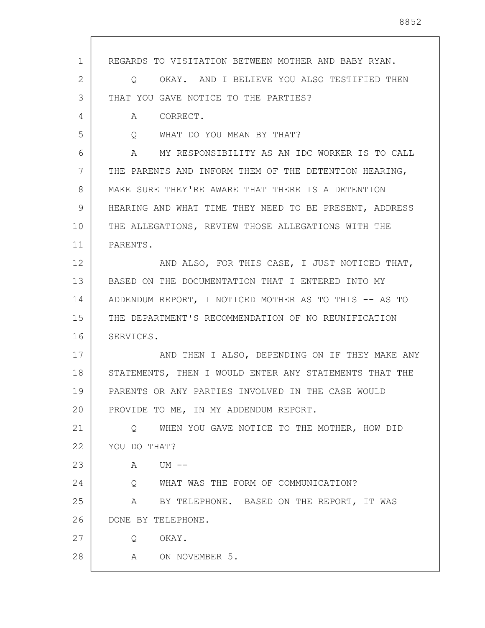| $\mathbf 1$ | REGARDS TO VISITATION BETWEEN MOTHER AND BABY RYAN.          |
|-------------|--------------------------------------------------------------|
| 2           | OKAY. AND I BELIEVE YOU ALSO TESTIFIED THEN<br>$\circ$       |
| 3           | THAT YOU GAVE NOTICE TO THE PARTIES?                         |
| 4           | CORRECT.<br>A                                                |
| 5           | WHAT DO YOU MEAN BY THAT?<br>$\circ$                         |
| 6           | MY RESPONSIBILITY AS AN IDC WORKER IS TO CALL<br>$\mathbb A$ |
| 7           | THE PARENTS AND INFORM THEM OF THE DETENTION HEARING,        |
| 8           | MAKE SURE THEY'RE AWARE THAT THERE IS A DETENTION            |
| 9           | HEARING AND WHAT TIME THEY NEED TO BE PRESENT, ADDRESS       |
| 10          | THE ALLEGATIONS, REVIEW THOSE ALLEGATIONS WITH THE           |
| 11          | PARENTS.                                                     |
| 12          | AND ALSO, FOR THIS CASE, I JUST NOTICED THAT,                |
| 13          | BASED ON THE DOCUMENTATION THAT I ENTERED INTO MY            |
| 14          | ADDENDUM REPORT, I NOTICED MOTHER AS TO THIS -- AS TO        |
| 15          | THE DEPARTMENT'S RECOMMENDATION OF NO REUNIFICATION          |
| 16          | SERVICES.                                                    |
| 17          | AND THEN I ALSO, DEPENDING ON IF THEY MAKE ANY               |
| 18          | STATEMENTS, THEN I WOULD ENTER ANY STATEMENTS THAT THE       |
| 19          | PARENTS OR ANY PARTIES INVOLVED IN THE CASE WOULD            |
| 20          | PROVIDE TO ME, IN MY ADDENDUM REPORT.                        |
| 21          | Q WHEN YOU GAVE NOTICE TO THE MOTHER, HOW DID                |
| 22          | YOU DO THAT?                                                 |
| 23          | A UM --                                                      |
| 24          | Q WHAT WAS THE FORM OF COMMUNICATION?                        |
| 25          | A BY TELEPHONE. BASED ON THE REPORT, IT WAS                  |
| 26          | DONE BY TELEPHONE.                                           |
| 27          | OKAY.<br>Q                                                   |
| 28          | A ON NOVEMBER 5.                                             |
|             |                                                              |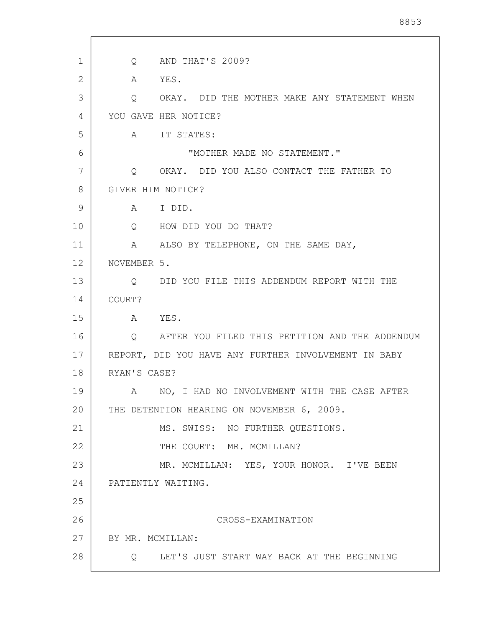| 1            | AND THAT'S 2009?<br>$Q \qquad \qquad$                 |
|--------------|-------------------------------------------------------|
| $\mathbf{2}$ | YES.<br>A                                             |
| 3            | OKAY. DID THE MOTHER MAKE ANY STATEMENT WHEN<br>Q     |
| 4            | YOU GAVE HER NOTICE?                                  |
| 5            | IT STATES:<br>A                                       |
| 6            | "MOTHER MADE NO STATEMENT."                           |
| 7            | OKAY. DID YOU ALSO CONTACT THE FATHER TO<br>$\circ$   |
| 8            | GIVER HIM NOTICE?                                     |
| 9            | I DID.<br>A                                           |
| 10           | HOW DID YOU DO THAT?<br>Q                             |
| 11           | A ALSO BY TELEPHONE, ON THE SAME DAY,                 |
| 12           | NOVEMBER 5.                                           |
| 13           | DID YOU FILE THIS ADDENDUM REPORT WITH THE<br>Q       |
| 14           | COURT?                                                |
| 15           | YES.<br>A                                             |
| 16           | Q AFTER YOU FILED THIS PETITION AND THE ADDENDUM      |
| 17           | REPORT, DID YOU HAVE ANY FURTHER INVOLVEMENT IN BABY  |
| 18           | RYAN'S CASE?                                          |
| 19           | NO, I HAD NO INVOLVEMENT WITH THE CASE AFTER<br>A     |
| 20           | THE DETENTION HEARING ON NOVEMBER 6, 2009.            |
| 21           | MS. SWISS: NO FURTHER QUESTIONS.                      |
| 22           | THE COURT: MR. MCMILLAN?                              |
| 23           | MR. MCMILLAN: YES, YOUR HONOR. I'VE BEEN              |
| 24           | PATIENTLY WAITING.                                    |
| 25           |                                                       |
| 26           | CROSS-EXAMINATION                                     |
| 27           | BY MR. MCMILLAN:                                      |
| 28           | LET'S JUST START WAY BACK AT THE BEGINNING<br>$\circ$ |

 $\mathbf{r}$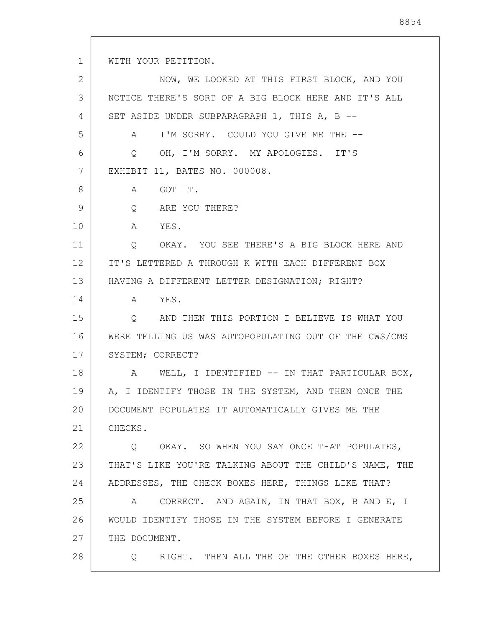1 2 3 4 5 6 7 8 9 10 11 12 13 14 15 16 17 18 19 20 21 22 23 24 25 26 27 28 WITH YOUR PETITION. NOW, WE LOOKED AT THIS FIRST BLOCK, AND YOU NOTICE THERE'S SORT OF A BIG BLOCK HERE AND IT'S ALL SET ASIDE UNDER SUBPARAGRAPH 1, THIS A, B -- A I'M SORRY. COULD YOU GIVE ME THE -- Q OH, I'M SORRY. MY APOLOGIES. IT'S EXHIBIT 11, BATES NO. 000008. A GOT IT. Q ARE YOU THERE? A YES. Q OKAY. YOU SEE THERE'S A BIG BLOCK HERE AND IT'S LETTERED A THROUGH K WITH EACH DIFFERENT BOX HAVING A DIFFERENT LETTER DESIGNATION; RIGHT? A YES. Q AND THEN THIS PORTION I BELIEVE IS WHAT YOU WERE TELLING US WAS AUTOPOPULATING OUT OF THE CWS/CMS SYSTEM; CORRECT? A WELL, I IDENTIFIED -- IN THAT PARTICULAR BOX, A, I IDENTIFY THOSE IN THE SYSTEM, AND THEN ONCE THE DOCUMENT POPULATES IT AUTOMATICALLY GIVES ME THE CHECKS. Q OKAY. SO WHEN YOU SAY ONCE THAT POPULATES, THAT'S LIKE YOU'RE TALKING ABOUT THE CHILD'S NAME, THE ADDRESSES, THE CHECK BOXES HERE, THINGS LIKE THAT? A CORRECT. AND AGAIN, IN THAT BOX, B AND E, I WOULD IDENTIFY THOSE IN THE SYSTEM BEFORE I GENERATE THE DOCUMENT. Q RIGHT. THEN ALL THE OF THE OTHER BOXES HERE,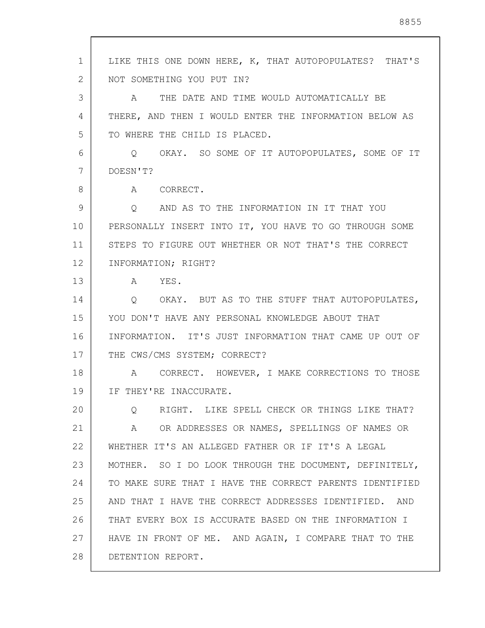1 2 3 4 5 6 7 8 9 10 11 12 13 14 15 16 17 18 19 20 21 22 23 24 25 26 27 28 LIKE THIS ONE DOWN HERE, K, THAT AUTOPOPULATES? THAT'S NOT SOMETHING YOU PUT IN? A THE DATE AND TIME WOULD AUTOMATICALLY BE THERE, AND THEN I WOULD ENTER THE INFORMATION BELOW AS TO WHERE THE CHILD IS PLACED. Q OKAY. SO SOME OF IT AUTOPOPULATES, SOME OF IT DOESN'T? A CORRECT. Q AND AS TO THE INFORMATION IN IT THAT YOU PERSONALLY INSERT INTO IT, YOU HAVE TO GO THROUGH SOME STEPS TO FIGURE OUT WHETHER OR NOT THAT'S THE CORRECT INFORMATION; RIGHT? A YES. Q OKAY. BUT AS TO THE STUFF THAT AUTOPOPULATES, YOU DON'T HAVE ANY PERSONAL KNOWLEDGE ABOUT THAT INFORMATION. IT'S JUST INFORMATION THAT CAME UP OUT OF THE CWS/CMS SYSTEM; CORRECT? A CORRECT. HOWEVER, I MAKE CORRECTIONS TO THOSE IF THEY'RE INACCURATE. Q RIGHT. LIKE SPELL CHECK OR THINGS LIKE THAT? A OR ADDRESSES OR NAMES, SPELLINGS OF NAMES OR WHETHER IT'S AN ALLEGED FATHER OR IF IT'S A LEGAL MOTHER. SO I DO LOOK THROUGH THE DOCUMENT, DEFINITELY, TO MAKE SURE THAT I HAVE THE CORRECT PARENTS IDENTIFIED AND THAT I HAVE THE CORRECT ADDRESSES IDENTIFIED. AND THAT EVERY BOX IS ACCURATE BASED ON THE INFORMATION I HAVE IN FRONT OF ME. AND AGAIN, I COMPARE THAT TO THE DETENTION REPORT.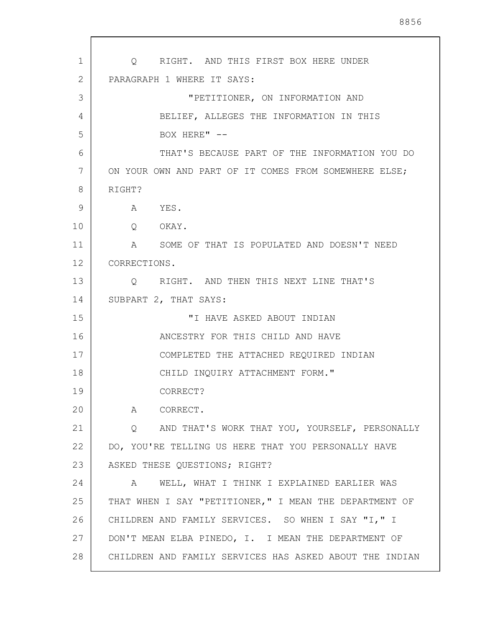1 2 3 4 5 6 7 8 9 10 11 12 13 14 15 16 17 18 19 20 21 22 23 24 25 26 27 28 Q RIGHT. AND THIS FIRST BOX HERE UNDER PARAGRAPH 1 WHERE IT SAYS: "PETITIONER, ON INFORMATION AND BELIEF, ALLEGES THE INFORMATION IN THIS BOX HERE" --THAT'S BECAUSE PART OF THE INFORMATION YOU DO ON YOUR OWN AND PART OF IT COMES FROM SOMEWHERE ELSE; RIGHT? A YES. Q OKAY. A SOME OF THAT IS POPULATED AND DOESN'T NEED CORRECTIONS. Q RIGHT. AND THEN THIS NEXT LINE THAT'S SUBPART 2, THAT SAYS: "I HAVE ASKED ABOUT INDIAN ANCESTRY FOR THIS CHILD AND HAVE COMPLETED THE ATTACHED REQUIRED INDIAN CHILD INQUIRY ATTACHMENT FORM." CORRECT? A CORRECT. Q AND THAT'S WORK THAT YOU, YOURSELF, PERSONALLY DO, YOU'RE TELLING US HERE THAT YOU PERSONALLY HAVE ASKED THESE QUESTIONS; RIGHT? A WELL, WHAT I THINK I EXPLAINED EARLIER WAS THAT WHEN I SAY "PETITIONER," I MEAN THE DEPARTMENT OF CHILDREN AND FAMILY SERVICES. SO WHEN I SAY "I," I DON'T MEAN ELBA PINEDO, I. I MEAN THE DEPARTMENT OF CHILDREN AND FAMILY SERVICES HAS ASKED ABOUT THE INDIAN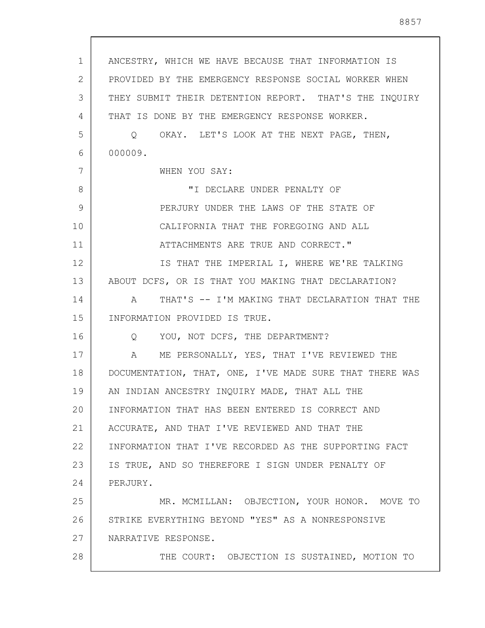| $\mathbf 1$    | ANCESTRY, WHICH WE HAVE BECAUSE THAT INFORMATION IS     |
|----------------|---------------------------------------------------------|
| $\overline{2}$ | PROVIDED BY THE EMERGENCY RESPONSE SOCIAL WORKER WHEN   |
| 3              | THEY SUBMIT THEIR DETENTION REPORT. THAT'S THE INQUIRY  |
| 4              | THAT IS DONE BY THE EMERGENCY RESPONSE WORKER.          |
| 5              | Q OKAY. LET'S LOOK AT THE NEXT PAGE, THEN,              |
| 6              | 000009.                                                 |
| 7              | WHEN YOU SAY:                                           |
| 8              | "I DECLARE UNDER PENALTY OF                             |
| 9              | PERJURY UNDER THE LAWS OF THE STATE OF                  |
| 10             | CALIFORNIA THAT THE FOREGOING AND ALL                   |
| 11             | ATTACHMENTS ARE TRUE AND CORRECT."                      |
| 12             | IS THAT THE IMPERIAL I, WHERE WE'RE TALKING             |
| 13             | ABOUT DCFS, OR IS THAT YOU MAKING THAT DECLARATION?     |
| 14             | A THAT'S -- I'M MAKING THAT DECLARATION THAT THE        |
| 15             | INFORMATION PROVIDED IS TRUE.                           |
| 16             | Q YOU, NOT DCFS, THE DEPARTMENT?                        |
| 17             | ME PERSONALLY, YES, THAT I'VE REVIEWED THE<br>A         |
| 18             | DOCUMENTATION, THAT, ONE, I'VE MADE SURE THAT THERE WAS |
| 19             | AN INDIAN ANCESTRY INQUIRY MADE, THAT ALL THE           |
| 20             | INFORMATION THAT HAS BEEN ENTERED IS CORRECT AND        |
| 21             | ACCURATE, AND THAT I'VE REVIEWED AND THAT THE           |
| 22             | INFORMATION THAT I'VE RECORDED AS THE SUPPORTING FACT   |
| 23             | IS TRUE, AND SO THEREFORE I SIGN UNDER PENALTY OF       |
| 24             | PERJURY.                                                |
| 25             | MR. MCMILLAN: OBJECTION, YOUR HONOR. MOVE TO            |
| 26             | STRIKE EVERYTHING BEYOND "YES" AS A NONRESPONSIVE       |
| 27             | NARRATIVE RESPONSE.                                     |
| 28             | THE COURT: OBJECTION IS SUSTAINED, MOTION TO            |
|                |                                                         |

 $\sqrt{ }$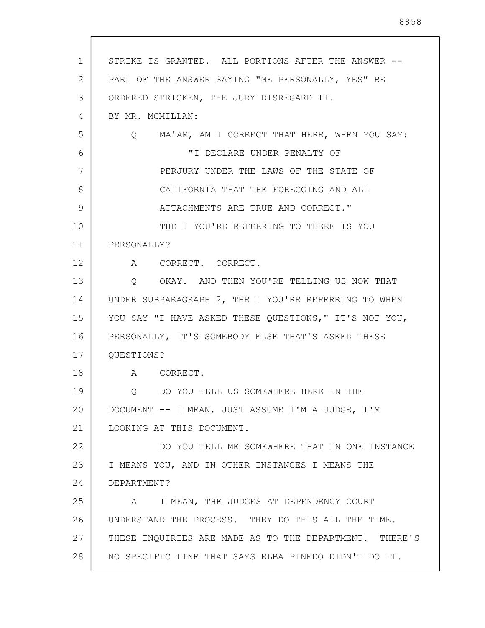| 1  | STRIKE IS GRANTED. ALL PORTIONS AFTER THE ANSWER --               |
|----|-------------------------------------------------------------------|
| 2  | PART OF THE ANSWER SAYING "ME PERSONALLY, YES" BE                 |
| 3  | ORDERED STRICKEN, THE JURY DISREGARD IT.                          |
| 4  | BY MR. MCMILLAN:                                                  |
| 5  | MA'AM, AM I CORRECT THAT HERE, WHEN YOU SAY:<br>$Q \qquad \qquad$ |
| 6  | "I DECLARE UNDER PENALTY OF                                       |
| 7  | PERJURY UNDER THE LAWS OF THE STATE OF                            |
| 8  | CALIFORNIA THAT THE FOREGOING AND ALL                             |
| 9  | ATTACHMENTS ARE TRUE AND CORRECT."                                |
| 10 | THE I YOU'RE REFERRING TO THERE IS YOU                            |
| 11 | PERSONALLY?                                                       |
| 12 | A CORRECT. CORRECT.                                               |
| 13 | Q OKAY. AND THEN YOU'RE TELLING US NOW THAT                       |
| 14 | UNDER SUBPARAGRAPH 2, THE I YOU'RE REFERRING TO WHEN              |
| 15 | YOU SAY "I HAVE ASKED THESE QUESTIONS," IT'S NOT YOU,             |
| 16 | PERSONALLY, IT'S SOMEBODY ELSE THAT'S ASKED THESE                 |
| 17 | QUESTIONS?                                                        |
| 18 | A CORRECT.                                                        |
| 19 | Q DO YOU TELL US SOMEWHERE HERE IN THE                            |
| 20 | DOCUMENT -- I MEAN, JUST ASSUME I'M A JUDGE, I'M                  |
| 21 | LOOKING AT THIS DOCUMENT.                                         |
| 22 | DO YOU TELL ME SOMEWHERE THAT IN ONE INSTANCE                     |
| 23 | I MEANS YOU, AND IN OTHER INSTANCES I MEANS THE                   |
| 24 | DEPARTMENT?                                                       |
| 25 | A I MEAN, THE JUDGES AT DEPENDENCY COURT                          |
| 26 | UNDERSTAND THE PROCESS. THEY DO THIS ALL THE TIME.                |
| 27 | THESE INQUIRIES ARE MADE AS TO THE DEPARTMENT. THERE'S            |
| 28 | NO SPECIFIC LINE THAT SAYS ELBA PINEDO DIDN'T DO IT.              |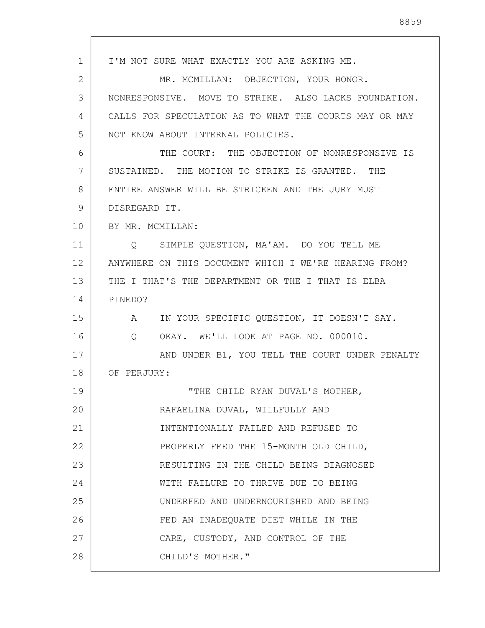1 2 3 4 5 6 7 8 9 10 11 12 13 14 15 16 17 18 19 20 21 22 23 24 25 26 27 28 I'M NOT SURE WHAT EXACTLY YOU ARE ASKING ME. MR. MCMILLAN: OBJECTION, YOUR HONOR. NONRESPONSIVE. MOVE TO STRIKE. ALSO LACKS FOUNDATION. CALLS FOR SPECULATION AS TO WHAT THE COURTS MAY OR MAY NOT KNOW ABOUT INTERNAL POLICIES. THE COURT: THE OBJECTION OF NONRESPONSIVE IS SUSTAINED. THE MOTION TO STRIKE IS GRANTED. THE ENTIRE ANSWER WILL BE STRICKEN AND THE JURY MUST DISREGARD IT. BY MR. MCMILLAN: Q SIMPLE QUESTION, MA'AM. DO YOU TELL ME ANYWHERE ON THIS DOCUMENT WHICH I WE'RE HEARING FROM? THE I THAT'S THE DEPARTMENT OR THE I THAT IS ELBA PINEDO? A IN YOUR SPECIFIC QUESTION, IT DOESN'T SAY. Q OKAY. WE'LL LOOK AT PAGE NO. 000010. AND UNDER B1, YOU TELL THE COURT UNDER PENALTY OF PERJURY: "THE CHILD RYAN DUVAL'S MOTHER, RAFAELINA DUVAL, WILLFULLY AND INTENTIONALLY FAILED AND REFUSED TO PROPERLY FEED THE 15-MONTH OLD CHILD, RESULTING IN THE CHILD BEING DIAGNOSED WITH FAILURE TO THRIVE DUE TO BEING UNDERFED AND UNDERNOURISHED AND BEING FED AN INADEQUATE DIET WHILE IN THE CARE, CUSTODY, AND CONTROL OF THE CHILD'S MOTHER."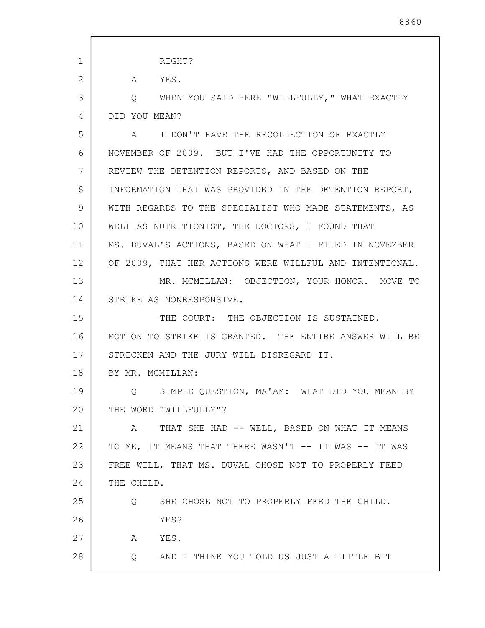| $\mathbf 1$    | RIGHT?                                                         |
|----------------|----------------------------------------------------------------|
| $\overline{2}$ | YES.<br>$\mathbf{A}$                                           |
| 3              | Q WHEN YOU SAID HERE "WILLFULLY," WHAT EXACTLY                 |
| 4              | DID YOU MEAN?                                                  |
| 5              | A I DON'T HAVE THE RECOLLECTION OF EXACTLY                     |
| 6              | NOVEMBER OF 2009. BUT I'VE HAD THE OPPORTUNITY TO              |
| 7              | REVIEW THE DETENTION REPORTS, AND BASED ON THE                 |
| 8              | INFORMATION THAT WAS PROVIDED IN THE DETENTION REPORT,         |
| 9              | WITH REGARDS TO THE SPECIALIST WHO MADE STATEMENTS, AS         |
| 10             | WELL AS NUTRITIONIST, THE DOCTORS, I FOUND THAT                |
| 11             | MS. DUVAL'S ACTIONS, BASED ON WHAT I FILED IN NOVEMBER         |
| 12             | OF 2009, THAT HER ACTIONS WERE WILLFUL AND INTENTIONAL.        |
| 13             | MR. MCMILLAN: OBJECTION, YOUR HONOR. MOVE TO                   |
| 14             | STRIKE AS NONRESPONSIVE.                                       |
| 15             | THE COURT: THE OBJECTION IS SUSTAINED.                         |
| 16             | MOTION TO STRIKE IS GRANTED. THE ENTIRE ANSWER WILL BE         |
| 17             | STRICKEN AND THE JURY WILL DISREGARD IT.                       |
| 18             | BY MR. MCMILLAN:                                               |
| 19             | Q SIMPLE QUESTION, MA'AM: WHAT DID YOU MEAN BY                 |
| 20             | THE WORD "WILLFULLY"?                                          |
| 21             | THAT SHE HAD -- WELL, BASED ON WHAT IT MEANS<br>$\mathbb A$    |
| 22             | TO ME, IT MEANS THAT THERE WASN'T -- IT WAS -- IT WAS          |
| 23             | FREE WILL, THAT MS. DUVAL CHOSE NOT TO PROPERLY FEED           |
| 24             | THE CHILD.                                                     |
| 25             | SHE CHOSE NOT TO PROPERLY FEED THE CHILD.<br>$Q \qquad \qquad$ |
| 26             | YES?                                                           |
| 27             | YES.<br>A                                                      |
| 28             | AND I THINK YOU TOLD US JUST A LITTLE BIT<br>Q                 |
|                |                                                                |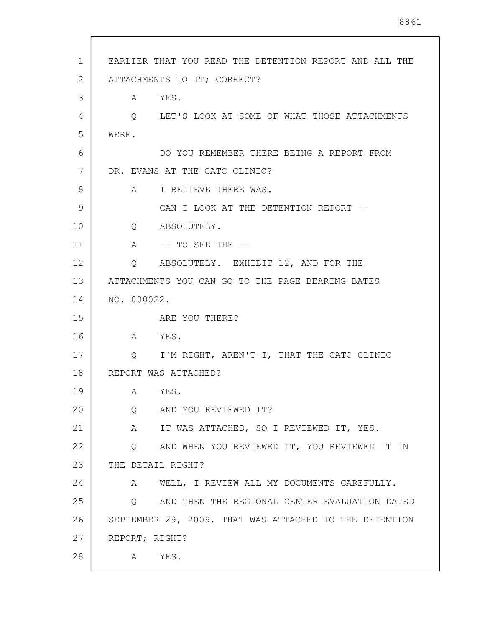| 1  | EARLIER THAT YOU READ THE DETENTION REPORT AND ALL THE  |
|----|---------------------------------------------------------|
| 2  | ATTACHMENTS TO IT; CORRECT?                             |
| 3  | A YES.                                                  |
| 4  | Q LET'S LOOK AT SOME OF WHAT THOSE ATTACHMENTS          |
| 5  | WERE.                                                   |
| 6  | DO YOU REMEMBER THERE BEING A REPORT FROM               |
| 7  | DR. EVANS AT THE CATC CLINIC?                           |
| 8  | A I BELIEVE THERE WAS.                                  |
| 9  | CAN I LOOK AT THE DETENTION REPORT --                   |
| 10 | Q ABSOLUTELY.                                           |
| 11 | A -- TO SEE THE --                                      |
| 12 | Q ABSOLUTELY. EXHIBIT 12, AND FOR THE                   |
| 13 | ATTACHMENTS YOU CAN GO TO THE PAGE BEARING BATES        |
| 14 | NO. 000022.                                             |
| 15 | ARE YOU THERE?                                          |
| 16 | A YES.                                                  |
| 17 | Q I'M RIGHT, AREN'T I, THAT THE CATC CLINIC             |
| 18 | REPORT WAS ATTACHED?                                    |
| 19 | A YES.                                                  |
| 20 | AND YOU REVIEWED IT?<br>$Q \qquad \qquad$               |
| 21 | A IT WAS ATTACHED, SO I REVIEWED IT, YES.               |
| 22 | AND WHEN YOU REVIEWED IT, YOU REVIEWED IT IN<br>$\circ$ |
| 23 | THE DETAIL RIGHT?                                       |
| 24 | A WELL, I REVIEW ALL MY DOCUMENTS CAREFULLY.            |
| 25 | AND THEN THE REGIONAL CENTER EVALUATION DATED<br>Q      |
| 26 | SEPTEMBER 29, 2009, THAT WAS ATTACHED TO THE DETENTION  |
| 27 | REPORT; RIGHT?                                          |
| 28 | A YES.                                                  |
|    |                                                         |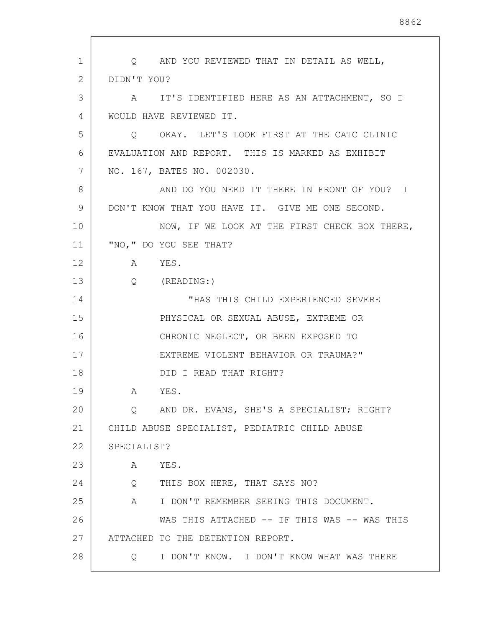| 1  | Q AND YOU REVIEWED THAT IN DETAIL AS WELL,            |
|----|-------------------------------------------------------|
| 2  | DIDN'T YOU?                                           |
| 3  | A IT'S IDENTIFIED HERE AS AN ATTACHMENT, SO I         |
| 4  | WOULD HAVE REVIEWED IT.                               |
| 5  | Q OKAY. LET'S LOOK FIRST AT THE CATC CLINIC           |
| 6  | EVALUATION AND REPORT. THIS IS MARKED AS EXHIBIT      |
| 7  | NO. 167, BATES NO. 002030.                            |
| 8  | AND DO YOU NEED IT THERE IN FRONT OF YOU? I           |
| 9  | DON'T KNOW THAT YOU HAVE IT. GIVE ME ONE SECOND.      |
| 10 | NOW, IF WE LOOK AT THE FIRST CHECK BOX THERE,         |
| 11 | "NO, " DO YOU SEE THAT?                               |
| 12 | A YES.                                                |
| 13 | $Q$ (READING:)                                        |
| 14 | "HAS THIS CHILD EXPERIENCED SEVERE                    |
| 15 | PHYSICAL OR SEXUAL ABUSE, EXTREME OR                  |
| 16 | CHRONIC NEGLECT, OR BEEN EXPOSED TO                   |
| 17 | EXTREME VIOLENT BEHAVIOR OR TRAUMA?"                  |
| 18 | DID I READ THAT RIGHT?                                |
| 19 | YES.<br>A                                             |
| 20 | Q AND DR. EVANS, SHE'S A SPECIALIST; RIGHT?           |
| 21 | CHILD ABUSE SPECIALIST, PEDIATRIC CHILD ABUSE         |
| 22 | SPECIALIST?                                           |
| 23 | A<br>YES.                                             |
| 24 | THIS BOX HERE, THAT SAYS NO?<br>Q                     |
| 25 | I DON'T REMEMBER SEEING THIS DOCUMENT.<br>$\mathbb A$ |
| 26 | WAS THIS ATTACHED -- IF THIS WAS -- WAS THIS          |
| 27 | ATTACHED TO THE DETENTION REPORT.                     |
| 28 | I DON'T KNOW. I DON'T KNOW WHAT WAS THERE<br>$\circ$  |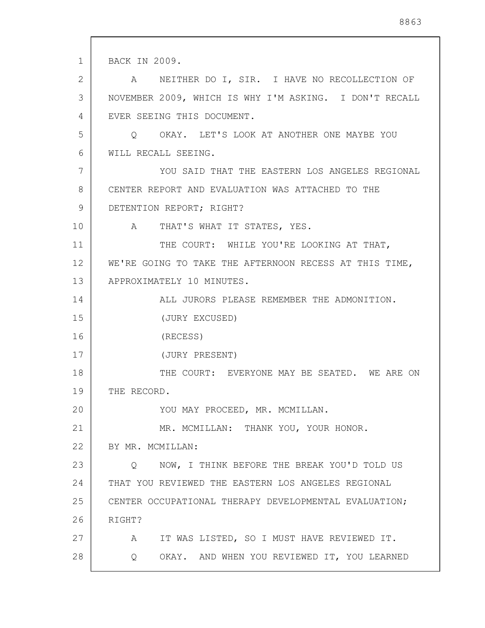1 2 3 4 5 6 7 8 9 10 11 12 13 14 15 16 17 18 19 20 21 22 23 24 25 26 27 28 BACK IN 2009. A NEITHER DO I, SIR. I HAVE NO RECOLLECTION OF NOVEMBER 2009, WHICH IS WHY I'M ASKING. I DON'T RECALL EVER SEEING THIS DOCUMENT. Q OKAY. LET'S LOOK AT ANOTHER ONE MAYBE YOU WILL RECALL SEEING. YOU SAID THAT THE EASTERN LOS ANGELES REGIONAL CENTER REPORT AND EVALUATION WAS ATTACHED TO THE DETENTION REPORT; RIGHT? A THAT'S WHAT IT STATES, YES. THE COURT: WHILE YOU'RE LOOKING AT THAT, WE'RE GOING TO TAKE THE AFTERNOON RECESS AT THIS TIME, APPROXIMATELY 10 MINUTES. ALL JURORS PLEASE REMEMBER THE ADMONITION. (JURY EXCUSED) (RECESS) (JURY PRESENT) THE COURT: EVERYONE MAY BE SEATED. WE ARE ON THE RECORD. YOU MAY PROCEED, MR. MCMILLAN. MR. MCMILLAN: THANK YOU, YOUR HONOR. BY MR. MCMILLAN: Q NOW, I THINK BEFORE THE BREAK YOU'D TOLD US THAT YOU REVIEWED THE EASTERN LOS ANGELES REGIONAL CENTER OCCUPATIONAL THERAPY DEVELOPMENTAL EVALUATION; RIGHT? A IT WAS LISTED, SO I MUST HAVE REVIEWED IT. Q OKAY. AND WHEN YOU REVIEWED IT, YOU LEARNED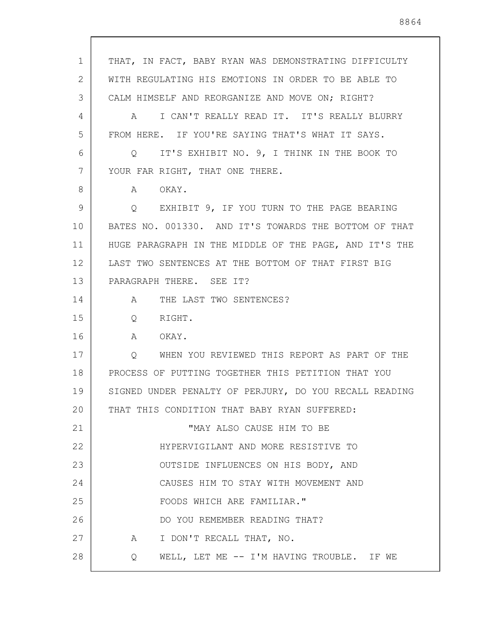1 2 3 4 5 6 7 8 9 10 11 12 13 14 15 16 17 18 19 20 21 22 23 24 25 26 27 28 THAT, IN FACT, BABY RYAN WAS DEMONSTRATING DIFFICULTY WITH REGULATING HIS EMOTIONS IN ORDER TO BE ABLE TO CALM HIMSELF AND REORGANIZE AND MOVE ON; RIGHT? A I CAN'T REALLY READ IT. IT'S REALLY BLURRY FROM HERE. IF YOU'RE SAYING THAT'S WHAT IT SAYS. Q IT'S EXHIBIT NO. 9, I THINK IN THE BOOK TO YOUR FAR RIGHT, THAT ONE THERE. A OKAY. Q EXHIBIT 9, IF YOU TURN TO THE PAGE BEARING BATES NO. 001330. AND IT'S TOWARDS THE BOTTOM OF THAT HUGE PARAGRAPH IN THE MIDDLE OF THE PAGE, AND IT'S THE LAST TWO SENTENCES AT THE BOTTOM OF THAT FIRST BIG PARAGRAPH THERE. SEE IT? A THE LAST TWO SENTENCES? Q RIGHT. A OKAY. Q WHEN YOU REVIEWED THIS REPORT AS PART OF THE PROCESS OF PUTTING TOGETHER THIS PETITION THAT YOU SIGNED UNDER PENALTY OF PERJURY, DO YOU RECALL READING THAT THIS CONDITION THAT BABY RYAN SUFFERED: "MAY ALSO CAUSE HIM TO BE HYPERVIGILANT AND MORE RESISTIVE TO OUTSIDE INFLUENCES ON HIS BODY, AND CAUSES HIM TO STAY WITH MOVEMENT AND FOODS WHICH ARE FAMILIAR." DO YOU REMEMBER READING THAT? A I DON'T RECALL THAT, NO. Q WELL, LET ME -- I'M HAVING TROUBLE. IF WE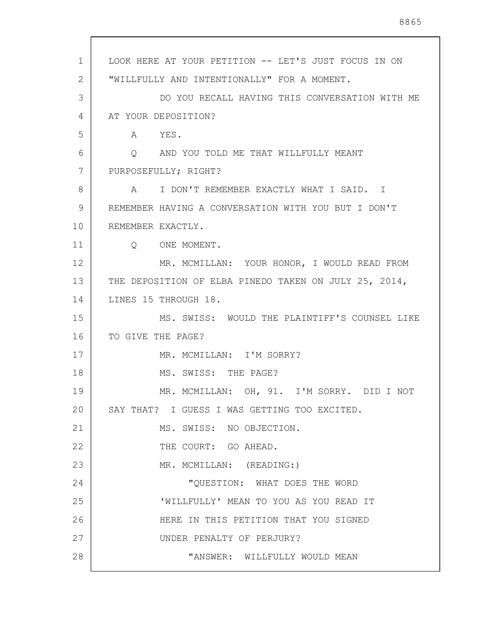| 1  | LOOK HERE AT YOUR PETITION -- LET'S JUST FOCUS IN ON  |
|----|-------------------------------------------------------|
| 2  | "WILLFULLY AND INTENTIONALLY" FOR A MOMENT.           |
| 3  | DO YOU RECALL HAVING THIS CONVERSATION WITH ME        |
| 4  | AT YOUR DEPOSITION?                                   |
| 5  | A YES.                                                |
| 6  | Q AND YOU TOLD ME THAT WILLFULLY MEANT                |
| 7  | PURPOSEFULLY; RIGHT?                                  |
| 8  | A I DON'T REMEMBER EXACTLY WHAT I SAID. I             |
| 9  | REMEMBER HAVING A CONVERSATION WITH YOU BUT I DON'T   |
| 10 | REMEMBER EXACTLY.                                     |
| 11 | Q ONE MOMENT.                                         |
| 12 | MR. MCMILLAN: YOUR HONOR, I WOULD READ FROM           |
| 13 | THE DEPOSITION OF ELBA PINEDO TAKEN ON JULY 25, 2014, |
| 14 | LINES 15 THROUGH 18.                                  |
| 15 | MS. SWISS: WOULD THE PLAINTIFF'S COUNSEL LIKE         |
| 16 | TO GIVE THE PAGE?                                     |
| 17 | MR. MCMILLAN: I'M SORRY?                              |
| 18 | MS. SWISS: THE PAGE?                                  |
| 19 | MR. MCMILLAN: OH, 91. I'M SORRY. DID I NOT            |
| 20 | SAY THAT? I GUESS I WAS GETTING TOO EXCITED.          |
| 21 | MS. SWISS: NO OBJECTION.                              |
| 22 | THE COURT: GO AHEAD.                                  |
| 23 | MR. MCMILLAN: (READING:)                              |
| 24 | "QUESTION: WHAT DOES THE WORD                         |
| 25 | 'WILLFULLY' MEAN TO YOU AS YOU READ IT                |
| 26 | HERE IN THIS PETITION THAT YOU SIGNED                 |
| 27 | UNDER PENALTY OF PERJURY?                             |
| 28 | "ANSWER: WILLFULLY WOULD MEAN                         |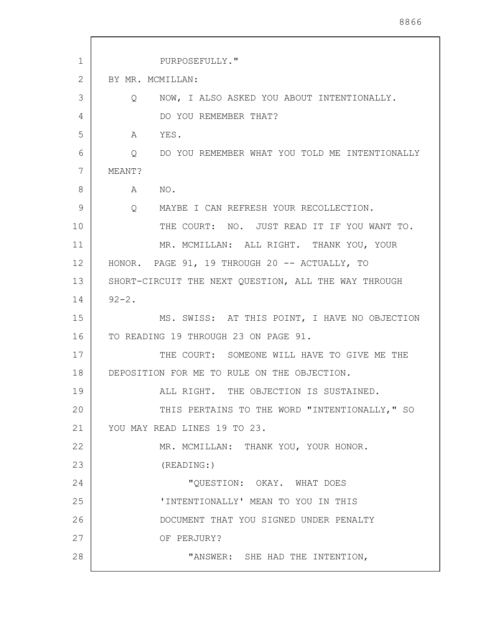| 1  | PURPOSEFULLY."                                              |
|----|-------------------------------------------------------------|
| 2  | BY MR. MCMILLAN:                                            |
| 3  | NOW, I ALSO ASKED YOU ABOUT INTENTIONALLY.<br>$\circ$       |
| 4  | DO YOU REMEMBER THAT?                                       |
| 5  | YES.<br>A                                                   |
| 6  | Q DO YOU REMEMBER WHAT YOU TOLD ME INTENTIONALLY            |
| 7  | MEANT?                                                      |
| 8  | NO.<br>A                                                    |
| 9  | $Q \qquad \qquad$<br>MAYBE I CAN REFRESH YOUR RECOLLECTION. |
| 10 | THE COURT: NO. JUST READ IT IF YOU WANT TO.                 |
| 11 | MR. MCMILLAN: ALL RIGHT. THANK YOU, YOUR                    |
| 12 | HONOR. PAGE 91, 19 THROUGH 20 -- ACTUALLY, TO               |
| 13 | SHORT-CIRCUIT THE NEXT QUESTION, ALL THE WAY THROUGH        |
| 14 | $92 - 2$ .                                                  |
| 15 | MS. SWISS: AT THIS POINT, I HAVE NO OBJECTION               |
| 16 | TO READING 19 THROUGH 23 ON PAGE 91.                        |
| 17 | THE COURT: SOMEONE WILL HAVE TO GIVE ME THE                 |
| 18 | DEPOSITION FOR ME TO RULE ON THE OBJECTION.                 |
| 19 | ALL RIGHT. THE OBJECTION IS SUSTAINED.                      |
| 20 | THIS PERTAINS TO THE WORD "INTENTIONALLY," SO               |
| 21 | YOU MAY READ LINES 19 TO 23.                                |
| 22 | MR. MCMILLAN: THANK YOU, YOUR HONOR.                        |
| 23 | (READING: )                                                 |
| 24 | "QUESTION: OKAY. WHAT DOES                                  |
| 25 | 'INTENTIONALLY' MEAN TO YOU IN THIS                         |
| 26 | DOCUMENT THAT YOU SIGNED UNDER PENALTY                      |
| 27 | OF PERJURY?                                                 |
| 28 | "ANSWER: SHE HAD THE INTENTION,                             |

 $\overline{\phantom{a}}$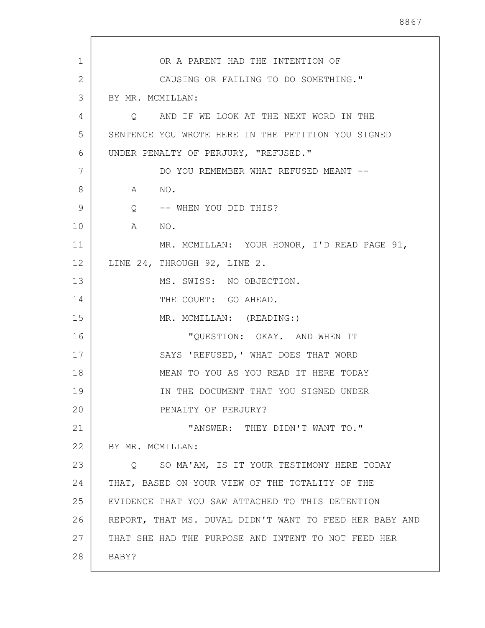| 1  | OR A PARENT HAD THE INTENTION OF                        |
|----|---------------------------------------------------------|
| 2  | CAUSING OR FAILING TO DO SOMETHING."                    |
| 3  | BY MR. MCMILLAN:                                        |
| 4  | AND IF WE LOOK AT THE NEXT WORD IN THE<br>$\circ$       |
| 5  | SENTENCE YOU WROTE HERE IN THE PETITION YOU SIGNED      |
| 6  | UNDER PENALTY OF PERJURY, "REFUSED."                    |
| 7  | DO YOU REMEMBER WHAT REFUSED MEANT --                   |
| 8  | NO.<br>A                                                |
| 9  | Q -- WHEN YOU DID THIS?                                 |
| 10 | $\mathbb A$<br>NO.                                      |
| 11 | MR. MCMILLAN: YOUR HONOR, I'D READ PAGE 91,             |
| 12 | LINE 24, THROUGH 92, LINE 2.                            |
| 13 | MS. SWISS: NO OBJECTION.                                |
| 14 | THE COURT: GO AHEAD.                                    |
| 15 | MR. MCMILLAN: (READING:)                                |
| 16 | "QUESTION: OKAY. AND WHEN IT                            |
| 17 | SAYS 'REFUSED, ' WHAT DOES THAT WORD                    |
| 18 | MEAN TO YOU AS YOU READ IT HERE TODAY                   |
| 19 | IN THE DOCUMENT THAT YOU SIGNED UNDER                   |
| 20 | PENALTY OF PERJURY?                                     |
| 21 | "ANSWER: THEY DIDN'T WANT TO."                          |
| 22 | BY MR. MCMILLAN:                                        |
| 23 | O SO MA'AM, IS IT YOUR TESTIMONY HERE TODAY             |
| 24 | THAT, BASED ON YOUR VIEW OF THE TOTALITY OF THE         |
| 25 | EVIDENCE THAT YOU SAW ATTACHED TO THIS DETENTION        |
| 26 | REPORT, THAT MS. DUVAL DIDN'T WANT TO FEED HER BABY AND |
| 27 | THAT SHE HAD THE PURPOSE AND INTENT TO NOT FEED HER     |
| 28 | BABY?                                                   |
|    |                                                         |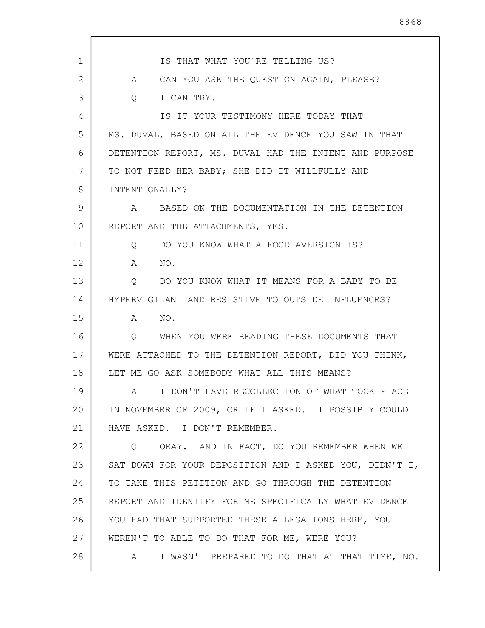| $\mathbf{1}$ | IS THAT WHAT YOU'RE TELLING US?                                 |
|--------------|-----------------------------------------------------------------|
| 2            | CAN YOU ASK THE QUESTION AGAIN, PLEASE?<br>A                    |
| 3            | I CAN TRY.<br>$\overline{Q}$                                    |
| 4            | IS IT YOUR TESTIMONY HERE TODAY THAT                            |
| 5            | MS. DUVAL, BASED ON ALL THE EVIDENCE YOU SAW IN THAT            |
| 6            | DETENTION REPORT, MS. DUVAL HAD THE INTENT AND PURPOSE          |
| 7            | TO NOT FEED HER BABY; SHE DID IT WILLFULLY AND                  |
| 8            | INTENTIONALLY?                                                  |
| 9            | BASED ON THE DOCUMENTATION IN THE DETENTION<br>A                |
| 10           | REPORT AND THE ATTACHMENTS, YES.                                |
| 11           | DO YOU KNOW WHAT A FOOD AVERSION IS?<br>$\circ$                 |
| 12           | NO.<br>A                                                        |
| 13           | DO YOU KNOW WHAT IT MEANS FOR A BABY TO BE<br>$Q \qquad \qquad$ |
| 14           | HYPERVIGILANT AND RESISTIVE TO OUTSIDE INFLUENCES?              |
| 15           | NO.<br>$\mathbb A$                                              |
| 16           | WHEN YOU WERE READING THESE DOCUMENTS THAT<br>$\circ$           |
| 17           | WERE ATTACHED TO THE DETENTION REPORT, DID YOU THINK,           |
| 18           | LET ME GO ASK SOMEBODY WHAT ALL THIS MEANS?                     |
| 19           | A I DON'T HAVE RECOLLECTION OF WHAT TOOK PLACE                  |
| 20           | IN NOVEMBER OF 2009, OR IF I ASKED. I POSSIBLY COULD            |
| 21           | HAVE ASKED. I DON'T REMEMBER.                                   |
| 22           | O OKAY. AND IN FACT, DO YOU REMEMBER WHEN WE                    |
| 23           | SAT DOWN FOR YOUR DEPOSITION AND I ASKED YOU, DIDN'T I,         |
| 24           | TO TAKE THIS PETITION AND GO THROUGH THE DETENTION              |
| 25           | REPORT AND IDENTIFY FOR ME SPECIFICALLY WHAT EVIDENCE           |
| 26           | YOU HAD THAT SUPPORTED THESE ALLEGATIONS HERE, YOU              |
| 27           | WEREN'T TO ABLE TO DO THAT FOR ME, WERE YOU?                    |
| 28           | I WASN'T PREPARED TO DO THAT AT THAT TIME, NO.<br>A             |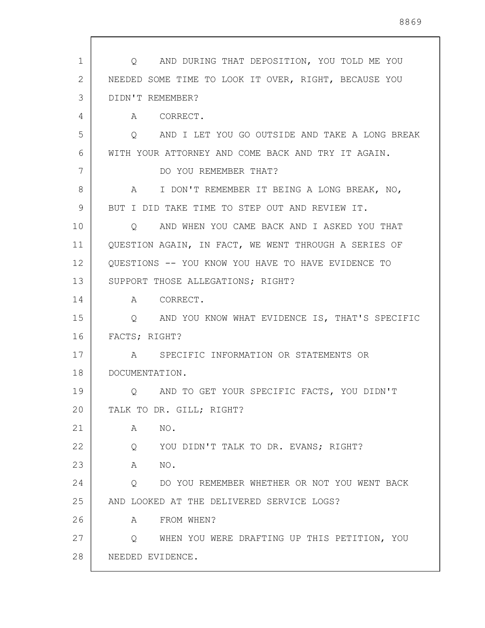| 1  | Q AND DURING THAT DEPOSITION, YOU TOLD ME YOU          |
|----|--------------------------------------------------------|
| 2  | NEEDED SOME TIME TO LOOK IT OVER, RIGHT, BECAUSE YOU   |
| 3  | DIDN'T REMEMBER?                                       |
| 4  | A CORRECT.                                             |
| 5  | Q AND I LET YOU GO OUTSIDE AND TAKE A LONG BREAK       |
| 6  | WITH YOUR ATTORNEY AND COME BACK AND TRY IT AGAIN.     |
| 7  | DO YOU REMEMBER THAT?                                  |
| 8  | I DON'T REMEMBER IT BEING A LONG BREAK, NO,<br>A       |
| 9  | BUT I DID TAKE TIME TO STEP OUT AND REVIEW IT.         |
| 10 | AND WHEN YOU CAME BACK AND I ASKED YOU THAT<br>$\circ$ |
| 11 | QUESTION AGAIN, IN FACT, WE WENT THROUGH A SERIES OF   |
| 12 | QUESTIONS -- YOU KNOW YOU HAVE TO HAVE EVIDENCE TO     |
| 13 | SUPPORT THOSE ALLEGATIONS; RIGHT?                      |
| 14 | A CORRECT.                                             |
| 15 | AND YOU KNOW WHAT EVIDENCE IS, THAT'S SPECIFIC<br>Q    |
| 16 | FACTS; RIGHT?                                          |
| 17 | A SPECIFIC INFORMATION OR STATEMENTS OR                |
| 18 | DOCUMENTATION.                                         |
| 19 | Q AND TO GET YOUR SPECIFIC FACTS, YOU DIDN'T           |
| 20 | TALK TO DR. GILL; RIGHT?                               |
| 21 | NO.<br>A                                               |
| 22 | Q YOU DIDN'T TALK TO DR. EVANS; RIGHT?                 |
| 23 | NO.<br>A                                               |
| 24 | Q DO YOU REMEMBER WHETHER OR NOT YOU WENT BACK         |
| 25 | AND LOOKED AT THE DELIVERED SERVICE LOGS?              |
| 26 | FROM WHEN?<br>A                                        |
| 27 | WHEN YOU WERE DRAFTING UP THIS PETITION, YOU<br>Q      |
| 28 | NEEDED EVIDENCE.                                       |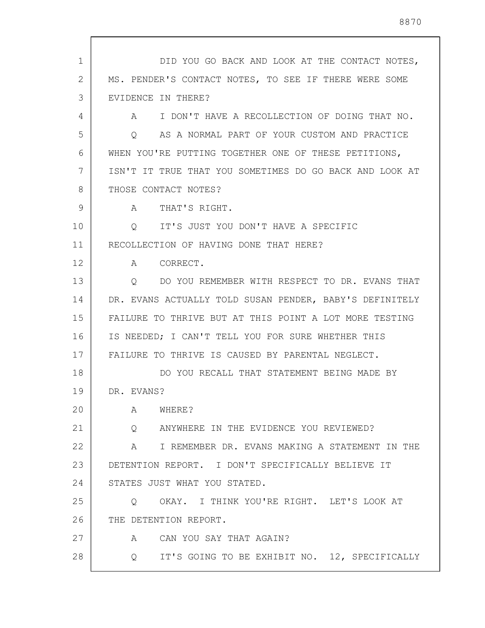1 2 3 4 5 6 7 8 9 10 11 12 13 14 15 16 17 18 19 20 21 22 23 24 25 26 27 28 DID YOU GO BACK AND LOOK AT THE CONTACT NOTES, MS. PENDER'S CONTACT NOTES, TO SEE IF THERE WERE SOME EVIDENCE IN THERE? A I DON'T HAVE A RECOLLECTION OF DOING THAT NO. Q AS A NORMAL PART OF YOUR CUSTOM AND PRACTICE WHEN YOU'RE PUTTING TOGETHER ONE OF THESE PETITIONS, ISN'T IT TRUE THAT YOU SOMETIMES DO GO BACK AND LOOK AT THOSE CONTACT NOTES? A THAT'S RIGHT. Q IT'S JUST YOU DON'T HAVE A SPECIFIC RECOLLECTION OF HAVING DONE THAT HERE? A CORRECT. Q DO YOU REMEMBER WITH RESPECT TO DR. EVANS THAT DR. EVANS ACTUALLY TOLD SUSAN PENDER, BABY'S DEFINITELY FAILURE TO THRIVE BUT AT THIS POINT A LOT MORE TESTING IS NEEDED; I CAN'T TELL YOU FOR SURE WHETHER THIS FAILURE TO THRIVE IS CAUSED BY PARENTAL NEGLECT. DO YOU RECALL THAT STATEMENT BEING MADE BY DR. EVANS? A WHERE? Q ANYWHERE IN THE EVIDENCE YOU REVIEWED? A I REMEMBER DR. EVANS MAKING A STATEMENT IN THE DETENTION REPORT. I DON'T SPECIFICALLY BELIEVE IT STATES JUST WHAT YOU STATED. Q OKAY. I THINK YOU'RE RIGHT. LET'S LOOK AT THE DETENTION REPORT. A CAN YOU SAY THAT AGAIN? Q IT'S GOING TO BE EXHIBIT NO. 12, SPECIFICALLY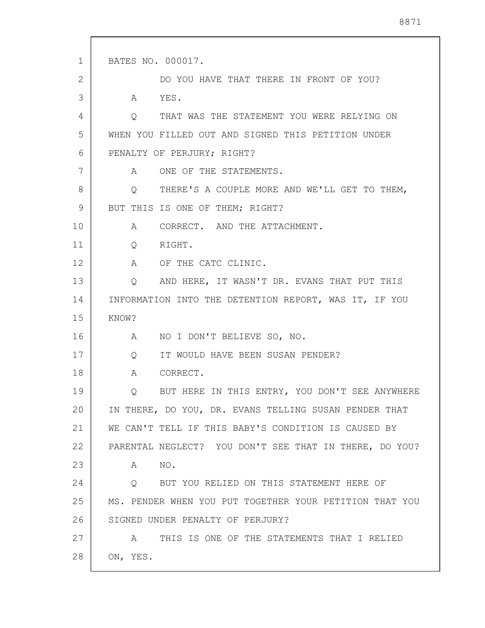```
1
2
3
 4
5
6
7
8
9
10
11
12
13
14
15
16
17
18
19
20
21
22
23
24
25
26
27
28
      BATES NO. 000017. 
               DO YOU HAVE THAT THERE IN FRONT OF YOU? 
          A YES. 
          Q THAT WAS THE STATEMENT YOU WERE RELYING ON 
      WHEN YOU FILLED OUT AND SIGNED THIS PETITION UNDER 
      PENALTY OF PERJURY; RIGHT?
          A ONE OF THE STATEMENTS. 
          Q THERE'S A COUPLE MORE AND WE'LL GET TO THEM, 
      BUT THIS IS ONE OF THEM; RIGHT?
          A CORRECT. AND THE ATTACHMENT. 
          Q RIGHT. 
          A OF THE CATC CLINIC. 
          Q AND HERE, IT WASN'T DR. EVANS THAT PUT THIS 
      INFORMATION INTO THE DETENTION REPORT, WAS IT, IF YOU 
      KNOW? 
         A NO I DON'T BELIEVE SO, NO. 
          Q IT WOULD HAVE BEEN SUSAN PENDER? 
          A CORRECT. 
          Q BUT HERE IN THIS ENTRY, YOU DON'T SEE ANYWHERE 
      IN THERE, DO YOU, DR. EVANS TELLING SUSAN PENDER THAT 
      WE CAN'T TELL IF THIS BABY'S CONDITION IS CAUSED BY 
      PARENTAL NEGLECT? YOU DON'T SEE THAT IN THERE, DO YOU? 
          A NO. 
          Q BUT YOU RELIED ON THIS STATEMENT HERE OF 
      MS. PENDER WHEN YOU PUT TOGETHER YOUR PETITION THAT YOU 
      SIGNED UNDER PENALTY OF PERJURY? 
          A THIS IS ONE OF THE STATEMENTS THAT I RELIED 
      ON, YES.
```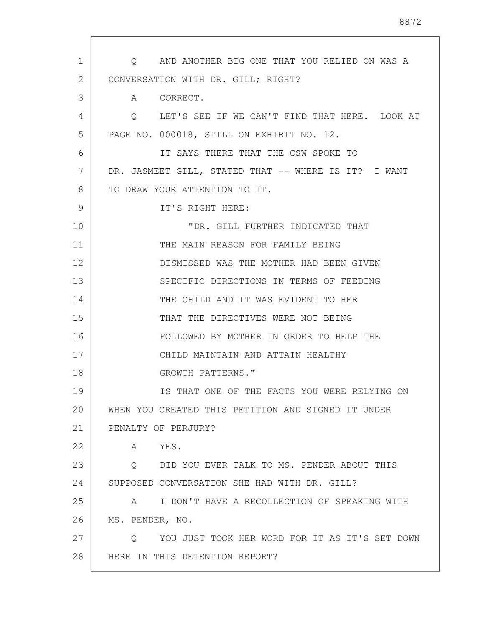| 1  | Q AND ANOTHER BIG ONE THAT YOU RELIED ON WAS A            |
|----|-----------------------------------------------------------|
| 2  | CONVERSATION WITH DR. GILL; RIGHT?                        |
| 3  | A CORRECT.                                                |
| 4  | Q LET'S SEE IF WE CAN'T FIND THAT HERE. LOOK AT           |
| 5  | PAGE NO. 000018, STILL ON EXHIBIT NO. 12.                 |
| 6  | IT SAYS THERE THAT THE CSW SPOKE TO                       |
| 7  | DR. JASMEET GILL, STATED THAT -- WHERE IS IT? I WANT      |
| 8  | TO DRAW YOUR ATTENTION TO IT.                             |
| 9  | IT'S RIGHT HERE:                                          |
| 10 | "DR. GILL FURTHER INDICATED THAT                          |
| 11 | THE MAIN REASON FOR FAMILY BEING                          |
| 12 | DISMISSED WAS THE MOTHER HAD BEEN GIVEN                   |
| 13 | SPECIFIC DIRECTIONS IN TERMS OF FEEDING                   |
| 14 | THE CHILD AND IT WAS EVIDENT TO HER                       |
| 15 | THAT THE DIRECTIVES WERE NOT BEING                        |
| 16 | FOLLOWED BY MOTHER IN ORDER TO HELP THE                   |
| 17 | CHILD MAINTAIN AND ATTAIN HEALTHY                         |
| 18 | GROWTH PATTERNS."                                         |
| 19 | IS THAT ONE OF THE FACTS YOU WERE RELYING ON              |
| 20 | WHEN YOU CREATED THIS PETITION AND SIGNED IT UNDER        |
| 21 | PENALTY OF PERJURY?                                       |
| 22 | A<br>YES.                                                 |
| 23 | DID YOU EVER TALK TO MS. PENDER ABOUT THIS<br>$\circ$     |
| 24 | SUPPOSED CONVERSATION SHE HAD WITH DR. GILL?              |
| 25 | A I DON'T HAVE A RECOLLECTION OF SPEAKING WITH            |
| 26 | MS. PENDER, NO.                                           |
| 27 | YOU JUST TOOK HER WORD FOR IT AS IT'S SET DOWN<br>$\circ$ |
| 28 | HERE IN THIS DETENTION REPORT?                            |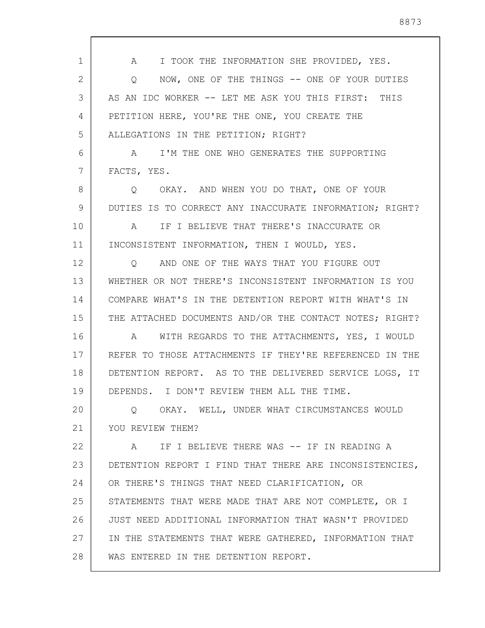1 2 3 4 5 6 7 8  $\mathsf{Q}$ 10 11 12 13 14 15 16 17 18 19 20 21 22 23 24 25 26 27 28 A I TOOK THE INFORMATION SHE PROVIDED, YES. Q NOW, ONE OF THE THINGS -- ONE OF YOUR DUTIES AS AN IDC WORKER -- LET ME ASK YOU THIS FIRST: THIS PETITION HERE, YOU'RE THE ONE, YOU CREATE THE ALLEGATIONS IN THE PETITION; RIGHT? A I'M THE ONE WHO GENERATES THE SUPPORTING FACTS, YES. Q OKAY. AND WHEN YOU DO THAT, ONE OF YOUR DUTIES IS TO CORRECT ANY INACCURATE INFORMATION; RIGHT? A IF I BELIEVE THAT THERE'S INACCURATE OR INCONSISTENT INFORMATION, THEN I WOULD, YES. Q AND ONE OF THE WAYS THAT YOU FIGURE OUT WHETHER OR NOT THERE'S INCONSISTENT INFORMATION IS YOU COMPARE WHAT'S IN THE DETENTION REPORT WITH WHAT'S IN THE ATTACHED DOCUMENTS AND/OR THE CONTACT NOTES; RIGHT? A WITH REGARDS TO THE ATTACHMENTS, YES, I WOULD REFER TO THOSE ATTACHMENTS IF THEY'RE REFERENCED IN THE DETENTION REPORT. AS TO THE DELIVERED SERVICE LOGS, IT DEPENDS. I DON'T REVIEW THEM ALL THE TIME. Q OKAY. WELL, UNDER WHAT CIRCUMSTANCES WOULD YOU REVIEW THEM? A IF I BELIEVE THERE WAS -- IF IN READING A DETENTION REPORT I FIND THAT THERE ARE INCONSISTENCIES, OR THERE'S THINGS THAT NEED CLARIFICATION, OR STATEMENTS THAT WERE MADE THAT ARE NOT COMPLETE, OR I JUST NEED ADDITIONAL INFORMATION THAT WASN'T PROVIDED IN THE STATEMENTS THAT WERE GATHERED, INFORMATION THAT WAS ENTERED IN THE DETENTION REPORT.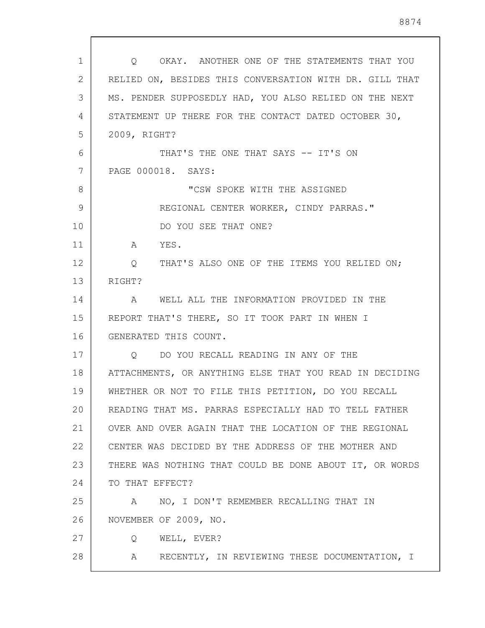| 1  | OKAY. ANOTHER ONE OF THE STATEMENTS THAT YOU<br>$\circ$ |
|----|---------------------------------------------------------|
| 2  | RELIED ON, BESIDES THIS CONVERSATION WITH DR. GILL THAT |
| 3  | MS. PENDER SUPPOSEDLY HAD, YOU ALSO RELIED ON THE NEXT  |
| 4  | STATEMENT UP THERE FOR THE CONTACT DATED OCTOBER 30,    |
| 5  | 2009, RIGHT?                                            |
| 6  | THAT'S THE ONE THAT SAYS -- IT'S ON                     |
| 7  | PAGE 000018. SAYS:                                      |
| 8  | "CSW SPOKE WITH THE ASSIGNED                            |
| 9  | REGIONAL CENTER WORKER, CINDY PARRAS."                  |
| 10 | DO YOU SEE THAT ONE?                                    |
| 11 | YES.<br>A                                               |
| 12 | Q THAT'S ALSO ONE OF THE ITEMS YOU RELIED ON;           |
| 13 | RIGHT?                                                  |
| 14 | A WELL ALL THE INFORMATION PROVIDED IN THE              |
| 15 | REPORT THAT'S THERE, SO IT TOOK PART IN WHEN I          |
| 16 | GENERATED THIS COUNT.                                   |
| 17 | DO YOU RECALL READING IN ANY OF THE<br>$\circ$          |
| 18 | ATTACHMENTS, OR ANYTHING ELSE THAT YOU READ IN DECIDING |
| 19 | WHETHER OR NOT TO FILE THIS PETITION, DO YOU RECALL     |
| 20 | READING THAT MS. PARRAS ESPECIALLY HAD TO TELL FATHER   |
| 21 | OVER AND OVER AGAIN THAT THE LOCATION OF THE REGIONAL   |
| 22 | CENTER WAS DECIDED BY THE ADDRESS OF THE MOTHER AND     |
| 23 | THERE WAS NOTHING THAT COULD BE DONE ABOUT IT, OR WORDS |
| 24 | TO THAT EFFECT?                                         |
| 25 | NO, I DON'T REMEMBER RECALLING THAT IN<br>A             |
| 26 | NOVEMBER OF 2009, NO.                                   |
| 27 | WELL, EVER?<br>Q                                        |
| 28 | RECENTLY, IN REVIEWING THESE DOCUMENTATION, I<br>A      |

 $\mathsf{l}$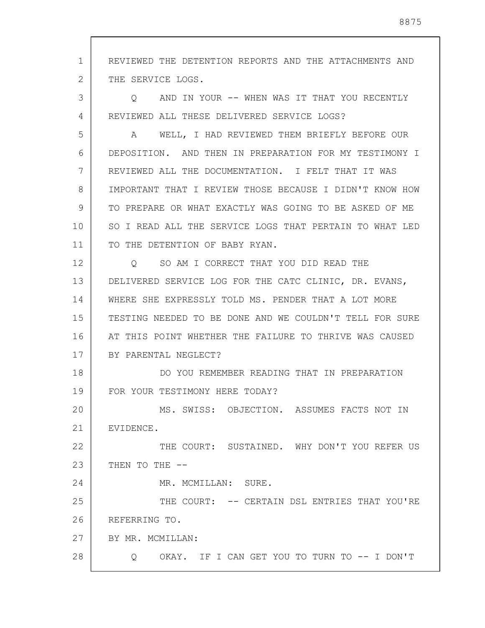1 2 3 4 5 6 7 8 9 10 11 12 13 14 15 16 17 18 19 20 21 22 23 24 25 26 27 28 REVIEWED THE DETENTION REPORTS AND THE ATTACHMENTS AND THE SERVICE LOGS. Q AND IN YOUR -- WHEN WAS IT THAT YOU RECENTLY REVIEWED ALL THESE DELIVERED SERVICE LOGS? A WELL, I HAD REVIEWED THEM BRIEFLY BEFORE OUR DEPOSITION. AND THEN IN PREPARATION FOR MY TESTIMONY I REVIEWED ALL THE DOCUMENTATION. I FELT THAT IT WAS IMPORTANT THAT I REVIEW THOSE BECAUSE I DIDN'T KNOW HOW TO PREPARE OR WHAT EXACTLY WAS GOING TO BE ASKED OF ME SO I READ ALL THE SERVICE LOGS THAT PERTAIN TO WHAT LED TO THE DETENTION OF BABY RYAN. Q SO AM I CORRECT THAT YOU DID READ THE DELIVERED SERVICE LOG FOR THE CATC CLINIC, DR. EVANS, WHERE SHE EXPRESSLY TOLD MS. PENDER THAT A LOT MORE TESTING NEEDED TO BE DONE AND WE COULDN'T TELL FOR SURE AT THIS POINT WHETHER THE FAILURE TO THRIVE WAS CAUSED BY PARENTAL NEGLECT? DO YOU REMEMBER READING THAT IN PREPARATION FOR YOUR TESTIMONY HERE TODAY? MS. SWISS: OBJECTION. ASSUMES FACTS NOT IN EVIDENCE. THE COURT: SUSTAINED. WHY DON'T YOU REFER US THEN TO THE  $--$ MR. MCMILLAN: SURE. THE COURT: -- CERTAIN DSL ENTRIES THAT YOU'RE REFERRING TO. BY MR. MCMILLAN: Q OKAY. IF I CAN GET YOU TO TURN TO -- I DON'T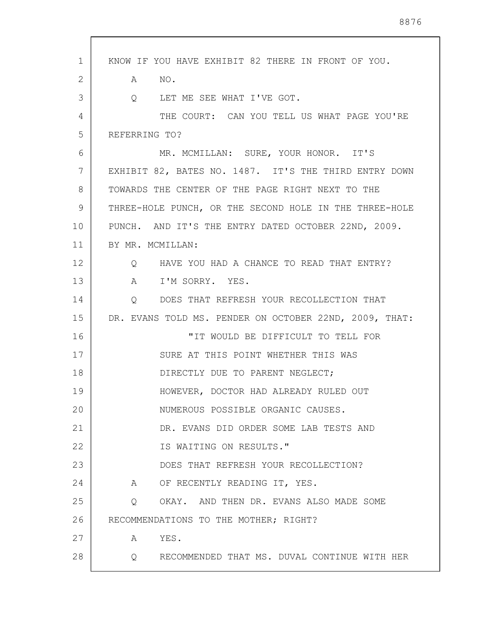| $\mathbf{1}$ | KNOW IF YOU HAVE EXHIBIT 82 THERE IN FRONT OF YOU.     |
|--------------|--------------------------------------------------------|
| 2            | A<br>NO <sub>z</sub>                                   |
| 3            | LET ME SEE WHAT I'VE GOT.<br>$Q_{\rm max}$             |
| 4            | THE COURT: CAN YOU TELL US WHAT PAGE YOU'RE            |
| 5            | REFERRING TO?                                          |
| 6            | MR. MCMILLAN: SURE, YOUR HONOR. IT'S                   |
| 7            | EXHIBIT 82, BATES NO. 1487. IT'S THE THIRD ENTRY DOWN  |
| 8            | TOWARDS THE CENTER OF THE PAGE RIGHT NEXT TO THE       |
| 9            | THREE-HOLE PUNCH, OR THE SECOND HOLE IN THE THREE-HOLE |
| 10           | PUNCH. AND IT'S THE ENTRY DATED OCTOBER 22ND, 2009.    |
| 11           | BY MR. MCMILLAN:                                       |
| 12           | Q HAVE YOU HAD A CHANCE TO READ THAT ENTRY?            |
| 13           | I'M SORRY. YES.<br>A                                   |
| 14           | Q DOES THAT REFRESH YOUR RECOLLECTION THAT             |
| 15           | DR. EVANS TOLD MS. PENDER ON OCTOBER 22ND, 2009, THAT: |
| 16           | "IT WOULD BE DIFFICULT TO TELL FOR                     |
| 17           | SURE AT THIS POINT WHETHER THIS WAS                    |
| 18           | DIRECTLY DUE TO PARENT NEGLECT;                        |
| 19           | HOWEVER, DOCTOR HAD ALREADY RULED OUT                  |
| 20           | NUMEROUS POSSIBLE ORGANIC CAUSES.                      |
| 21           | DR. EVANS DID ORDER SOME LAB TESTS AND                 |
| 22           | IS WAITING ON RESULTS."                                |
| 23           | DOES THAT REFRESH YOUR RECOLLECTION?                   |
| 24           | A OF RECENTLY READING IT, YES.                         |
| 25           | Q OKAY. AND THEN DR. EVANS ALSO MADE SOME              |
| 26           | RECOMMENDATIONS TO THE MOTHER; RIGHT?                  |
| 27           | A YES.                                                 |
| 28           | Q RECOMMENDED THAT MS. DUVAL CONTINUE WITH HER         |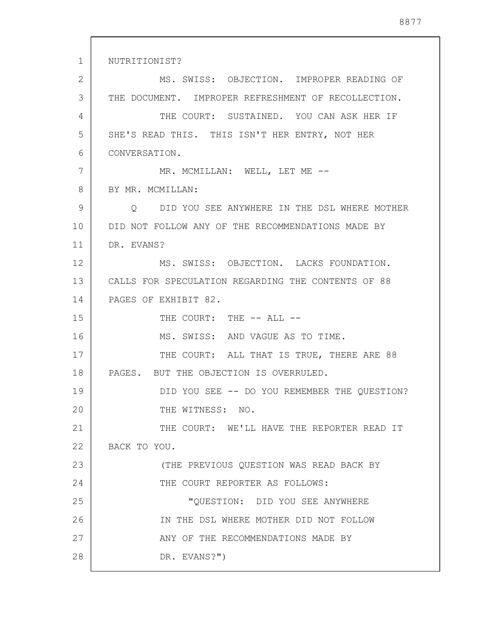1 2 3 4 5 6 7 8 9 10 11 12 13 14 15 16 17 18 19 20 21 22 23 24 25 26 27 28 NUTRITIONIST? MS. SWISS: OBJECTION. IMPROPER READING OF THE DOCUMENT. IMPROPER REFRESHMENT OF RECOLLECTION. THE COURT: SUSTAINED. YOU CAN ASK HER IF SHE'S READ THIS. THIS ISN'T HER ENTRY, NOT HER CONVERSATION. MR. MCMILLAN: WELL, LET ME --BY MR. MCMILLAN: Q DID YOU SEE ANYWHERE IN THE DSL WHERE MOTHER DID NOT FOLLOW ANY OF THE RECOMMENDATIONS MADE BY DR. EVANS? MS. SWISS: OBJECTION. LACKS FOUNDATION. CALLS FOR SPECULATION REGARDING THE CONTENTS OF 88 PAGES OF EXHIBIT 82. THE COURT: THE -- ALL --MS. SWISS: AND VAGUE AS TO TIME. THE COURT: ALL THAT IS TRUE, THERE ARE 88 PAGES. BUT THE OBJECTION IS OVERRULED. DID YOU SEE -- DO YOU REMEMBER THE QUESTION? THE WITNESS: NO. THE COURT: WE'LL HAVE THE REPORTER READ IT BACK TO YOU. (THE PREVIOUS QUESTION WAS READ BACK BY THE COURT REPORTER AS FOLLOWS: "QUESTION: DID YOU SEE ANYWHERE IN THE DSL WHERE MOTHER DID NOT FOLLOW ANY OF THE RECOMMENDATIONS MADE BY DR. EVANS?")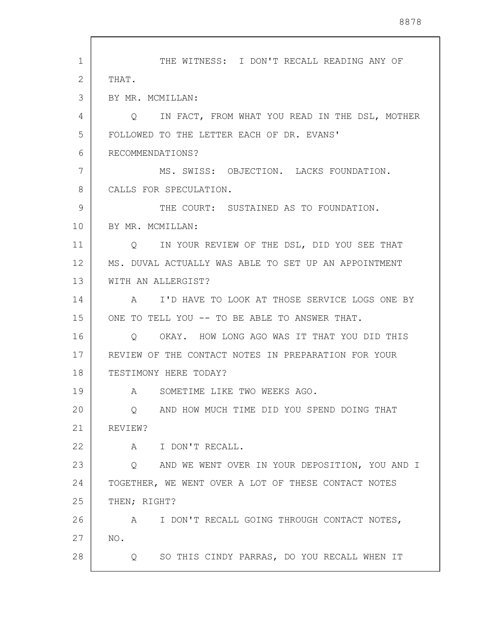| 1  | THE WITNESS: I DON'T RECALL READING ANY OF                       |
|----|------------------------------------------------------------------|
| 2  | THAT.                                                            |
| 3  | BY MR. MCMILLAN:                                                 |
| 4  | IN FACT, FROM WHAT YOU READ IN THE DSL, MOTHER<br>Q              |
| 5  | FOLLOWED TO THE LETTER EACH OF DR. EVANS'                        |
| 6  | RECOMMENDATIONS?                                                 |
| 7  | MS. SWISS: OBJECTION. LACKS FOUNDATION.                          |
| 8  | CALLS FOR SPECULATION.                                           |
| 9  | THE COURT: SUSTAINED AS TO FOUNDATION.                           |
| 10 | BY MR. MCMILLAN:                                                 |
| 11 | Q IN YOUR REVIEW OF THE DSL, DID YOU SEE THAT                    |
| 12 | MS. DUVAL ACTUALLY WAS ABLE TO SET UP AN APPOINTMENT             |
| 13 | WITH AN ALLERGIST?                                               |
| 14 | A I'D HAVE TO LOOK AT THOSE SERVICE LOGS ONE BY                  |
| 15 | ONE TO TELL YOU -- TO BE ABLE TO ANSWER THAT.                    |
| 16 | OKAY. HOW LONG AGO WAS IT THAT YOU DID THIS<br>Q                 |
| 17 | REVIEW OF THE CONTACT NOTES IN PREPARATION FOR YOUR              |
| 18 | TESTIMONY HERE TODAY?                                            |
| 19 | SOMETIME LIKE TWO WEEKS AGO.<br>A                                |
| 20 | AND HOW MUCH TIME DID YOU SPEND DOING THAT<br>Q                  |
| 21 | REVIEW?                                                          |
| 22 | I DON'T RECALL.<br>A                                             |
| 23 | AND WE WENT OVER IN YOUR DEPOSITION, YOU AND I<br>Q              |
| 24 | TOGETHER, WE WENT OVER A LOT OF THESE CONTACT NOTES              |
| 25 | THEN; RIGHT?                                                     |
| 26 | I DON'T RECALL GOING THROUGH CONTACT NOTES,<br>$\mathbb A$       |
| 27 | NO.                                                              |
| 28 | SO THIS CINDY PARRAS, DO YOU RECALL WHEN IT<br>$Q \qquad \qquad$ |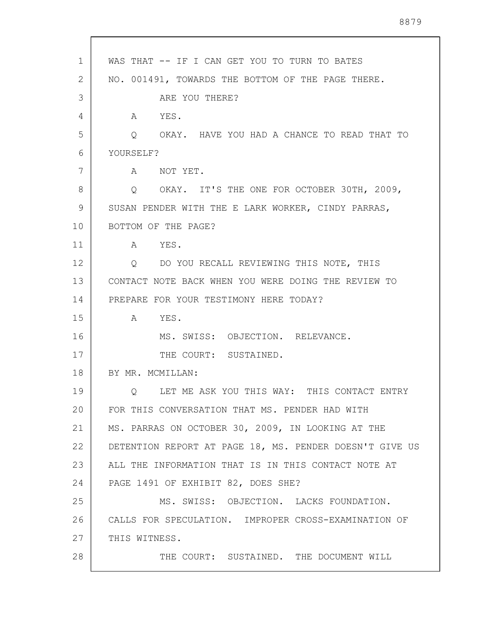| 1  | WAS THAT -- IF I CAN GET YOU TO TURN TO BATES             |
|----|-----------------------------------------------------------|
| 2  | NO. 001491, TOWARDS THE BOTTOM OF THE PAGE THERE.         |
| 3  | ARE YOU THERE?                                            |
| 4  | A YES.                                                    |
| 5  | Q OKAY. HAVE YOU HAD A CHANCE TO READ THAT TO             |
| 6  | YOURSELF?                                                 |
| 7  | NOT YET.<br>$\mathbb A$                                   |
| 8  | Q OKAY. IT'S THE ONE FOR OCTOBER 30TH, 2009,              |
| 9  | SUSAN PENDER WITH THE E LARK WORKER, CINDY PARRAS,        |
| 10 | BOTTOM OF THE PAGE?                                       |
| 11 | A YES.                                                    |
| 12 | DO YOU RECALL REVIEWING THIS NOTE, THIS<br>$\overline{Q}$ |
| 13 | CONTACT NOTE BACK WHEN YOU WERE DOING THE REVIEW TO       |
| 14 | PREPARE FOR YOUR TESTIMONY HERE TODAY?                    |
| 15 | YES.<br>A                                                 |
| 16 | MS. SWISS: OBJECTION. RELEVANCE.                          |
| 17 | THE COURT: SUSTAINED.                                     |
| 18 | BY MR. MCMILLAN:                                          |
| 19 | LET ME ASK YOU THIS WAY: THIS CONTACT ENTRY<br>Q          |
| 20 | FOR THIS CONVERSATION THAT MS. PENDER HAD WITH            |
| 21 | MS. PARRAS ON OCTOBER 30, 2009, IN LOOKING AT THE         |
| 22 | DETENTION REPORT AT PAGE 18, MS. PENDER DOESN'T GIVE US   |
| 23 | ALL THE INFORMATION THAT IS IN THIS CONTACT NOTE AT       |
| 24 | PAGE 1491 OF EXHIBIT 82, DOES SHE?                        |
| 25 | MS. SWISS: OBJECTION. LACKS FOUNDATION.                   |
| 26 | CALLS FOR SPECULATION. IMPROPER CROSS-EXAMINATION OF      |
| 27 | THIS WITNESS.                                             |
| 28 | THE COURT: SUSTAINED. THE DOCUMENT WILL                   |

 $\overline{\phantom{a}}$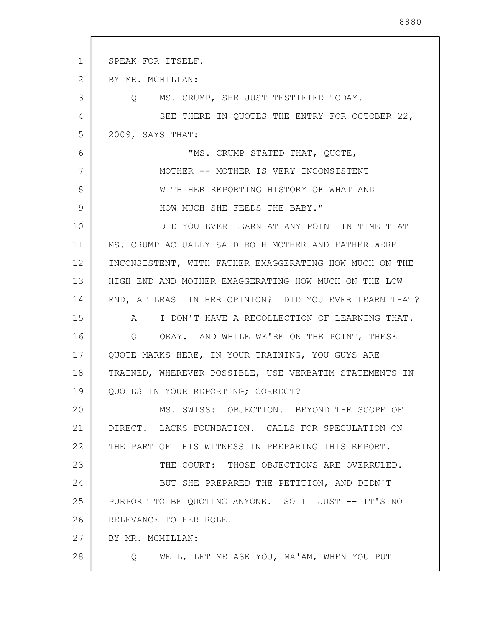| 1  | SPEAK FOR ITSELF.                                            |
|----|--------------------------------------------------------------|
| 2  | BY MR. MCMILLAN:                                             |
| 3  | MS. CRUMP, SHE JUST TESTIFIED TODAY.<br>$\circ$              |
| 4  | SEE THERE IN QUOTES THE ENTRY FOR OCTOBER 22,                |
| 5  | 2009, SAYS THAT:                                             |
| 6  | "MS. CRUMP STATED THAT, QUOTE,                               |
| 7  | MOTHER -- MOTHER IS VERY INCONSISTENT                        |
| 8  | WITH HER REPORTING HISTORY OF WHAT AND                       |
| 9  | HOW MUCH SHE FEEDS THE BABY."                                |
| 10 | DID YOU EVER LEARN AT ANY POINT IN TIME THAT                 |
| 11 | MS. CRUMP ACTUALLY SAID BOTH MOTHER AND FATHER WERE          |
| 12 | INCONSISTENT, WITH FATHER EXAGGERATING HOW MUCH ON THE       |
| 13 | HIGH END AND MOTHER EXAGGERATING HOW MUCH ON THE LOW         |
| 14 | END, AT LEAST IN HER OPINION? DID YOU EVER LEARN THAT?       |
| 15 | I DON'T HAVE A RECOLLECTION OF LEARNING THAT.<br>$\mathsf A$ |
| 16 | Q OKAY. AND WHILE WE'RE ON THE POINT, THESE                  |
| 17 | QUOTE MARKS HERE, IN YOUR TRAINING, YOU GUYS ARE             |
| 18 | TRAINED, WHEREVER POSSIBLE, USE VERBATIM STATEMENTS IN       |
| 19 | QUOTES IN YOUR REPORTING; CORRECT?                           |
| 20 | MS. SWISS: OBJECTION. BEYOND THE SCOPE OF                    |
| 21 | DIRECT. LACKS FOUNDATION. CALLS FOR SPECULATION ON           |
| 22 | THE PART OF THIS WITNESS IN PREPARING THIS REPORT.           |
| 23 | THE COURT: THOSE OBJECTIONS ARE OVERRULED.                   |
| 24 | BUT SHE PREPARED THE PETITION, AND DIDN'T                    |
| 25 | PURPORT TO BE QUOTING ANYONE. SO IT JUST -- IT'S NO          |
| 26 | RELEVANCE TO HER ROLE.                                       |
| 27 | BY MR. MCMILLAN:                                             |
| 28 | WELL, LET ME ASK YOU, MA'AM, WHEN YOU PUT<br>Q               |
|    |                                                              |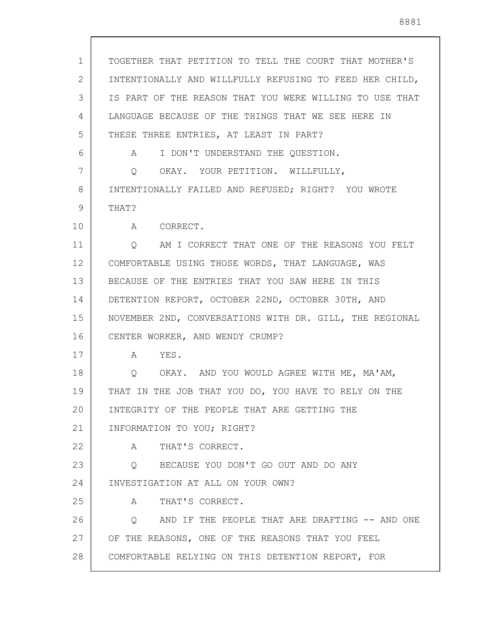| $\mathbf 1$ | TOGETHER THAT PETITION TO TELL THE COURT THAT MOTHER'S  |
|-------------|---------------------------------------------------------|
| 2           | INTENTIONALLY AND WILLFULLY REFUSING TO FEED HER CHILD, |
| 3           | IS PART OF THE REASON THAT YOU WERE WILLING TO USE THAT |
| 4           | LANGUAGE BECAUSE OF THE THINGS THAT WE SEE HERE IN      |
| 5           | THESE THREE ENTRIES, AT LEAST IN PART?                  |
| 6           | I DON'T UNDERSTAND THE QUESTION.<br>$A \quad \alpha$    |
| 7           | OKAY. YOUR PETITION. WILLFULLY,<br>$\circ$              |
| 8           | INTENTIONALLY FAILED AND REFUSED; RIGHT? YOU WROTE      |
| 9           | THAT?                                                   |
| 10          | A CORRECT.                                              |
| 11          | AM I CORRECT THAT ONE OF THE REASONS YOU FELT<br>Q      |
| 12          | COMFORTABLE USING THOSE WORDS, THAT LANGUAGE, WAS       |
| 13          | BECAUSE OF THE ENTRIES THAT YOU SAW HERE IN THIS        |
| 14          | DETENTION REPORT, OCTOBER 22ND, OCTOBER 30TH, AND       |
| 15          | NOVEMBER 2ND, CONVERSATIONS WITH DR. GILL, THE REGIONAL |
| 16          | CENTER WORKER, AND WENDY CRUMP?                         |
| 17          | YES.<br>A                                               |
| 18          | OKAY. AND YOU WOULD AGREE WITH ME, MA'AM,<br>Q          |
| 19          | THAT IN THE JOB THAT YOU DO, YOU HAVE TO RELY ON THE    |
| 20          | INTEGRITY OF THE PEOPLE THAT ARE GETTING THE            |
| 21          | INFORMATION TO YOU; RIGHT?                              |
| 22          | A THAT'S CORRECT.                                       |
| 23          | Q BECAUSE YOU DON'T GO OUT AND DO ANY                   |
| 24          | INVESTIGATION AT ALL ON YOUR OWN?                       |
| 25          | A THAT'S CORRECT.                                       |
| 26          | Q AND IF THE PEOPLE THAT ARE DRAFTING -- AND ONE        |
| 27          | OF THE REASONS, ONE OF THE REASONS THAT YOU FEEL        |
| 28          | COMFORTABLE RELYING ON THIS DETENTION REPORT, FOR       |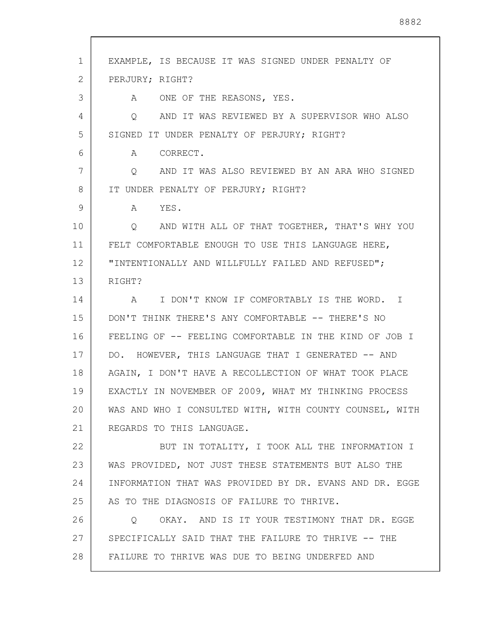| 1  | EXAMPLE, IS BECAUSE IT WAS SIGNED UNDER PENALTY OF        |
|----|-----------------------------------------------------------|
| 2  | PERJURY; RIGHT?                                           |
| 3  | A ONE OF THE REASONS, YES.                                |
| 4  | AND IT WAS REVIEWED BY A SUPERVISOR WHO ALSO<br>$\circ$   |
| 5  | SIGNED IT UNDER PENALTY OF PERJURY; RIGHT?                |
| 6  | A<br>CORRECT.                                             |
| 7  | AND IT WAS ALSO REVIEWED BY AN ARA WHO SIGNED<br>$\circ$  |
| 8  | IT UNDER PENALTY OF PERJURY; RIGHT?                       |
| 9  | YES.<br>A                                                 |
| 10 | O AND WITH ALL OF THAT TOGETHER, THAT'S WHY YOU           |
| 11 | FELT COMFORTABLE ENOUGH TO USE THIS LANGUAGE HERE,        |
| 12 | "INTENTIONALLY AND WILLFULLY FAILED AND REFUSED";         |
| 13 | RIGHT?                                                    |
| 14 | I DON'T KNOW IF COMFORTABLY IS THE WORD. I<br>$\mathbb A$ |
| 15 | DON'T THINK THERE'S ANY COMFORTABLE -- THERE'S NO         |
| 16 | FEELING OF -- FEELING COMFORTABLE IN THE KIND OF JOB I    |
| 17 | DO. HOWEVER, THIS LANGUAGE THAT I GENERATED -- AND        |
| 18 | AGAIN, I DON'T HAVE A RECOLLECTION OF WHAT TOOK PLACE     |
| 19 | EXACTLY IN NOVEMBER OF 2009, WHAT MY THINKING PROCESS     |
| 20 | WAS AND WHO I CONSULTED WITH, WITH COUNTY COUNSEL, WITH   |
| 21 | REGARDS TO THIS LANGUAGE.                                 |
| 22 | BUT IN TOTALITY, I TOOK ALL THE INFORMATION I             |
| 23 | WAS PROVIDED, NOT JUST THESE STATEMENTS BUT ALSO THE      |
| 24 | INFORMATION THAT WAS PROVIDED BY DR. EVANS AND DR. EGGE   |
| 25 | AS TO THE DIAGNOSIS OF FAILURE TO THRIVE.                 |
| 26 | OKAY. AND IS IT YOUR TESTIMONY THAT DR. EGGE<br>$\circ$   |
| 27 | SPECIFICALLY SAID THAT THE FAILURE TO THRIVE -- THE       |
| 28 | FAILURE TO THRIVE WAS DUE TO BEING UNDERFED AND           |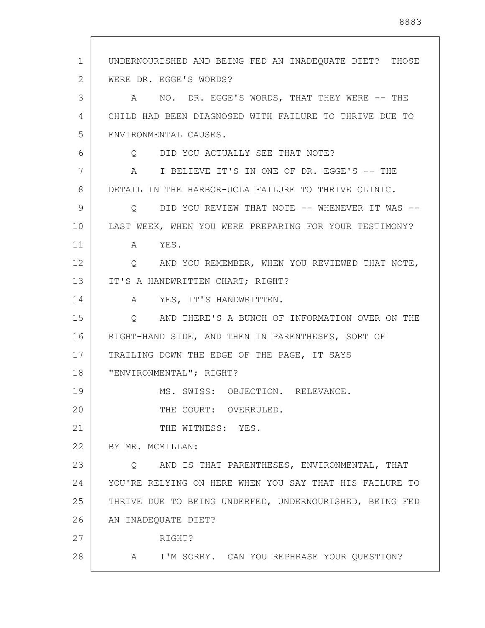1 2 3 4 5 6 7 8 9 10 11 12 13 14 15 16 17 18 19 20 21 22 23 24 25 26 27 28 UNDERNOURISHED AND BEING FED AN INADEQUATE DIET? THOSE WERE DR. EGGE'S WORDS? A NO. DR. EGGE'S WORDS, THAT THEY WERE -- THE CHILD HAD BEEN DIAGNOSED WITH FAILURE TO THRIVE DUE TO ENVIRONMENTAL CAUSES. Q DID YOU ACTUALLY SEE THAT NOTE? A I BELIEVE IT'S IN ONE OF DR. EGGE'S -- THE DETAIL IN THE HARBOR-UCLA FAILURE TO THRIVE CLINIC. Q DID YOU REVIEW THAT NOTE -- WHENEVER IT WAS -- LAST WEEK, WHEN YOU WERE PREPARING FOR YOUR TESTIMONY? A YES. Q AND YOU REMEMBER, WHEN YOU REVIEWED THAT NOTE, IT'S A HANDWRITTEN CHART; RIGHT? A YES, IT'S HANDWRITTEN. Q AND THERE'S A BUNCH OF INFORMATION OVER ON THE RIGHT-HAND SIDE, AND THEN IN PARENTHESES, SORT OF TRAILING DOWN THE EDGE OF THE PAGE, IT SAYS "ENVIRONMENTAL"; RIGHT? MS. SWISS: OBJECTION. RELEVANCE. THE COURT: OVERRULED. THE WITNESS: YES. BY MR. MCMILLAN: Q AND IS THAT PARENTHESES, ENVIRONMENTAL, THAT YOU'RE RELYING ON HERE WHEN YOU SAY THAT HIS FAILURE TO THRIVE DUE TO BEING UNDERFED, UNDERNOURISHED, BEING FED AN INADEQUATE DIET? RIGHT? A I'M SORRY. CAN YOU REPHRASE YOUR QUESTION?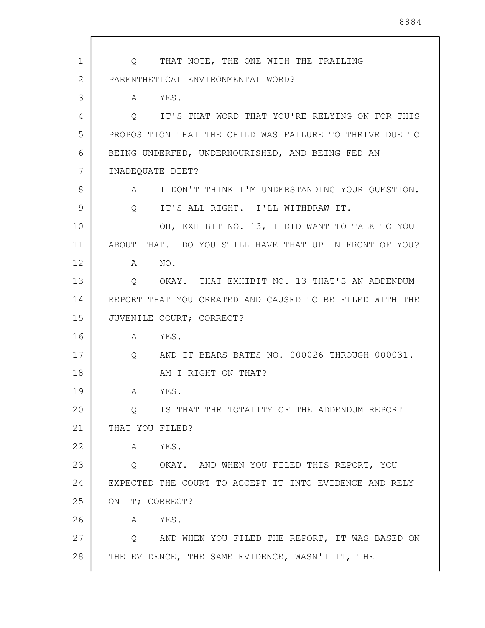| 1  | THAT NOTE, THE ONE WITH THE TRAILING<br>$\circ$                 |
|----|-----------------------------------------------------------------|
| 2  | PARENTHETICAL ENVIRONMENTAL WORD?                               |
| 3  | A YES.                                                          |
| 4  | IT'S THAT WORD THAT YOU'RE RELYING ON FOR THIS<br>$\circ$       |
| 5  | PROPOSITION THAT THE CHILD WAS FAILURE TO THRIVE DUE TO         |
| 6  | BEING UNDERFED, UNDERNOURISHED, AND BEING FED AN                |
| 7  | INADEQUATE DIET?                                                |
| 8  | I DON'T THINK I'M UNDERSTANDING YOUR QUESTION.<br>$\mathbb A$   |
| 9  | IT'S ALL RIGHT. I'LL WITHDRAW IT.<br>Q                          |
| 10 | OH, EXHIBIT NO. 13, I DID WANT TO TALK TO YOU                   |
| 11 | ABOUT THAT. DO YOU STILL HAVE THAT UP IN FRONT OF YOU?          |
| 12 | A NO.                                                           |
| 13 | OKAY. THAT EXHIBIT NO. 13 THAT'S AN ADDENDUM<br>$\circ$         |
| 14 | REPORT THAT YOU CREATED AND CAUSED TO BE FILED WITH THE         |
| 15 | JUVENILE COURT; CORRECT?                                        |
| 16 | YES.<br>A                                                       |
| 17 | AND IT BEARS BATES NO. 000026 THROUGH 000031.<br>$\overline{Q}$ |
| 18 | AM I RIGHT ON THAT?                                             |
| 19 | YES.<br>A                                                       |
| 20 | IS THAT THE TOTALITY OF THE ADDENDUM REPORT<br>Q.               |
| 21 | THAT YOU FILED?                                                 |
| 22 | YES.<br>A                                                       |
| 23 | Q OKAY. AND WHEN YOU FILED THIS REPORT, YOU                     |
| 24 | EXPECTED THE COURT TO ACCEPT IT INTO EVIDENCE AND RELY          |
| 25 | ON IT; CORRECT?                                                 |
| 26 | YES.<br>A                                                       |
| 27 | Q AND WHEN YOU FILED THE REPORT, IT WAS BASED ON                |
| 28 | THE EVIDENCE, THE SAME EVIDENCE, WASN'T IT, THE                 |

 $\mathsf{l}$ 

 $\overline{\phantom{a}}$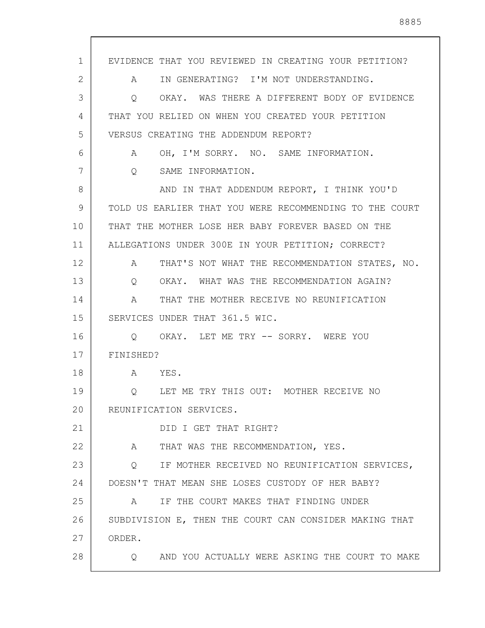| EVIDENCE THAT YOU REVIEWED IN CREATING YOUR PETITION?         |
|---------------------------------------------------------------|
| IN GENERATING? I'M NOT UNDERSTANDING.<br>A                    |
| OKAY. WAS THERE A DIFFERENT BODY OF EVIDENCE<br>Q             |
| THAT YOU RELIED ON WHEN YOU CREATED YOUR PETITION             |
| VERSUS CREATING THE ADDENDUM REPORT?                          |
| OH, I'M SORRY. NO. SAME INFORMATION.<br>$A \quad \alpha$      |
| $Q_{\rm c}$<br>SAME INFORMATION.                              |
| AND IN THAT ADDENDUM REPORT, I THINK YOU'D                    |
| TOLD US EARLIER THAT YOU WERE RECOMMENDING TO THE COURT       |
| THAT THE MOTHER LOSE HER BABY FOREVER BASED ON THE            |
| ALLEGATIONS UNDER 300E IN YOUR PETITION; CORRECT?             |
| THAT'S NOT WHAT THE RECOMMENDATION STATES, NO.<br>$\mathbb A$ |
| OKAY. WHAT WAS THE RECOMMENDATION AGAIN?<br>Q                 |
| THAT THE MOTHER RECEIVE NO REUNIFICATION<br>A                 |
| SERVICES UNDER THAT 361.5 WIC.                                |
| Q OKAY. LET ME TRY -- SORRY. WERE YOU                         |
| FINISHED?                                                     |
| A YES.                                                        |
| Q LET ME TRY THIS OUT: MOTHER RECEIVE NO                      |
| REUNIFICATION SERVICES.                                       |
| DID I GET THAT RIGHT?                                         |
| A<br>THAT WAS THE RECOMMENDATION, YES.                        |
| Q IF MOTHER RECEIVED NO REUNIFICATION SERVICES,               |
| DOESN'T THAT MEAN SHE LOSES CUSTODY OF HER BABY?              |
| IF THE COURT MAKES THAT FINDING UNDER<br>A                    |
| SUBDIVISION E, THEN THE COURT CAN CONSIDER MAKING THAT        |
| ORDER.                                                        |
| AND YOU ACTUALLY WERE ASKING THE COURT TO MAKE<br>$\circ$     |
|                                                               |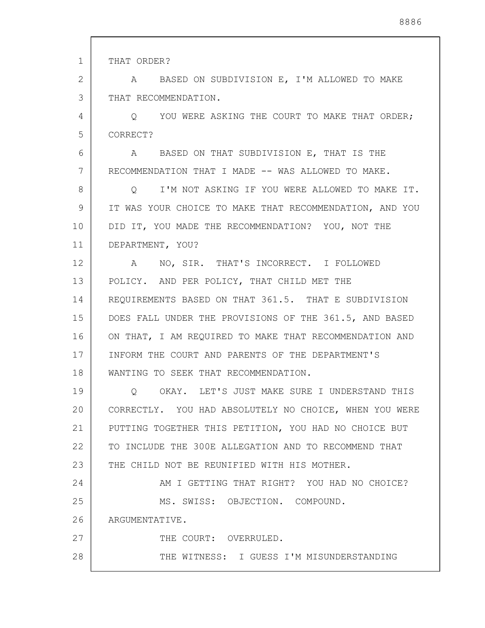| $\mathbf 1$ | THAT ORDER?                                             |
|-------------|---------------------------------------------------------|
| 2           | A BASED ON SUBDIVISION E, I'M ALLOWED TO MAKE           |
| 3           | THAT RECOMMENDATION.                                    |
| 4           | Q YOU WERE ASKING THE COURT TO MAKE THAT ORDER;         |
| 5           | CORRECT?                                                |
| 6           | A BASED ON THAT SUBDIVISION E, THAT IS THE              |
| 7           | RECOMMENDATION THAT I MADE -- WAS ALLOWED TO MAKE.      |
| 8           | O I'M NOT ASKING IF YOU WERE ALLOWED TO MAKE IT.        |
| 9           | IT WAS YOUR CHOICE TO MAKE THAT RECOMMENDATION, AND YOU |
| 10          | DID IT, YOU MADE THE RECOMMENDATION? YOU, NOT THE       |
| 11          | DEPARTMENT, YOU?                                        |
| 12          | NO, SIR. THAT'S INCORRECT. I FOLLOWED<br>A              |
| 13          | POLICY. AND PER POLICY, THAT CHILD MET THE              |
| 14          | REQUIREMENTS BASED ON THAT 361.5. THAT E SUBDIVISION    |
| 15          | DOES FALL UNDER THE PROVISIONS OF THE 361.5, AND BASED  |
| 16          | ON THAT, I AM REQUIRED TO MAKE THAT RECOMMENDATION AND  |
| 17          | INFORM THE COURT AND PARENTS OF THE DEPARTMENT'S        |
| 18          | WANTING TO SEEK THAT RECOMMENDATION.                    |
| 19          | Q OKAY. LET'S JUST MAKE SURE I UNDERSTAND THIS          |
| 20          | CORRECTLY. YOU HAD ABSOLUTELY NO CHOICE, WHEN YOU WERE  |
| 21          | PUTTING TOGETHER THIS PETITION, YOU HAD NO CHOICE BUT   |
| 22          | TO INCLUDE THE 300E ALLEGATION AND TO RECOMMEND THAT    |
| 23          | THE CHILD NOT BE REUNIFIED WITH HIS MOTHER.             |
| 24          | AM I GETTING THAT RIGHT? YOU HAD NO CHOICE?             |
| 25          | MS. SWISS: OBJECTION. COMPOUND.                         |
| 26          | ARGUMENTATIVE.                                          |
| 27          | THE COURT: OVERRULED.                                   |
| 28          | THE WITNESS: I GUESS I'M MISUNDERSTANDING               |
|             |                                                         |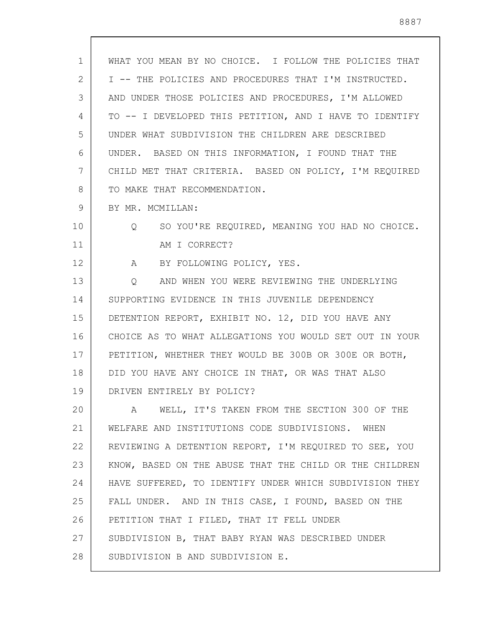| $\mathbf 1$    | WHAT YOU MEAN BY NO CHOICE. I FOLLOW THE POLICIES THAT  |
|----------------|---------------------------------------------------------|
| $\overline{2}$ | I -- THE POLICIES AND PROCEDURES THAT I'M INSTRUCTED.   |
| 3              | AND UNDER THOSE POLICIES AND PROCEDURES, I'M ALLOWED    |
| 4              | TO -- I DEVELOPED THIS PETITION, AND I HAVE TO IDENTIFY |
| 5              | UNDER WHAT SUBDIVISION THE CHILDREN ARE DESCRIBED       |
| 6              | UNDER. BASED ON THIS INFORMATION, I FOUND THAT THE      |
| 7              | CHILD MET THAT CRITERIA. BASED ON POLICY, I'M REQUIRED  |
| 8              | TO MAKE THAT RECOMMENDATION.                            |
| 9              | BY MR. MCMILLAN:                                        |
| 10             | Q SO YOU'RE REQUIRED, MEANING YOU HAD NO CHOICE.        |
| 11             | AM I CORRECT?                                           |
| 12             | A BY FOLLOWING POLICY, YES.                             |
| 13             | Q AND WHEN YOU WERE REVIEWING THE UNDERLYING            |
| 14             | SUPPORTING EVIDENCE IN THIS JUVENILE DEPENDENCY         |
| 15             | DETENTION REPORT, EXHIBIT NO. 12, DID YOU HAVE ANY      |
| 16             | CHOICE AS TO WHAT ALLEGATIONS YOU WOULD SET OUT IN YOUR |
| 17             | PETITION, WHETHER THEY WOULD BE 300B OR 300E OR BOTH,   |
| 18             | DID YOU HAVE ANY CHOICE IN THAT, OR WAS THAT ALSO       |
| 19             | DRIVEN ENTIRELY BY POLICY?                              |
| 20             | WELL, IT'S TAKEN FROM THE SECTION 300 OF THE<br>A       |
| 21             | WELFARE AND INSTITUTIONS CODE SUBDIVISIONS. WHEN        |
| 22             | REVIEWING A DETENTION REPORT, I'M REQUIRED TO SEE, YOU  |
| 23             | KNOW, BASED ON THE ABUSE THAT THE CHILD OR THE CHILDREN |
| 24             | HAVE SUFFERED, TO IDENTIFY UNDER WHICH SUBDIVISION THEY |
| 25             | FALL UNDER. AND IN THIS CASE, I FOUND, BASED ON THE     |
| 26             | PETITION THAT I FILED, THAT IT FELL UNDER               |
| 27             | SUBDIVISION B, THAT BABY RYAN WAS DESCRIBED UNDER       |
| 28             | SUBDIVISION B AND SUBDIVISION E.                        |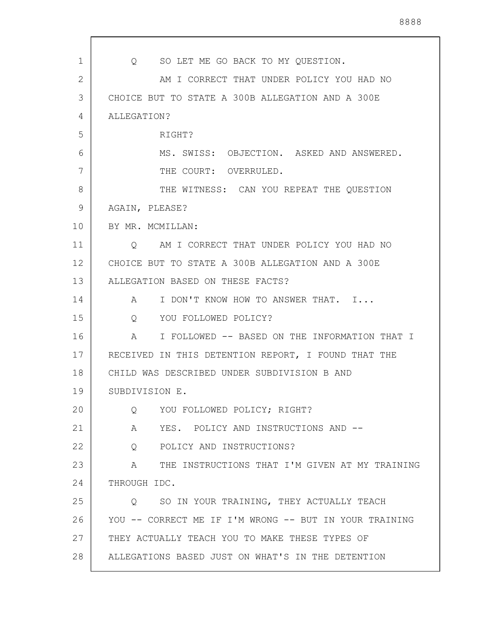| $\mathbf{1}$ | Q SO LET ME GO BACK TO MY QUESTION.                               |
|--------------|-------------------------------------------------------------------|
| $\mathbf{2}$ | AM I CORRECT THAT UNDER POLICY YOU HAD NO                         |
| 3            | CHOICE BUT TO STATE A 300B ALLEGATION AND A 300E                  |
| 4            | ALLEGATION?                                                       |
| 5            | RIGHT?                                                            |
| 6            | MS. SWISS: OBJECTION. ASKED AND ANSWERED.                         |
| 7            | THE COURT: OVERRULED.                                             |
| 8            | THE WITNESS: CAN YOU REPEAT THE QUESTION                          |
| 9            | AGAIN, PLEASE?                                                    |
| 10           | BY MR. MCMILLAN:                                                  |
| 11           | AM I CORRECT THAT UNDER POLICY YOU HAD NO<br>$\overline{Q}$       |
| 12           | CHOICE BUT TO STATE A 300B ALLEGATION AND A 300E                  |
| 13           | ALLEGATION BASED ON THESE FACTS?                                  |
| 14           | I DON'T KNOW HOW TO ANSWER THAT. I<br>A                           |
| 15           | YOU FOLLOWED POLICY?<br>$Q \qquad \qquad$                         |
| 16           | I FOLLOWED -- BASED ON THE INFORMATION THAT I<br>$A \quad \alpha$ |
| 17           | RECEIVED IN THIS DETENTION REPORT, I FOUND THAT THE               |
| 18           | CHILD WAS DESCRIBED UNDER SUBDIVISION B AND                       |
| 19           | SUBDIVISION E.                                                    |
| 20           | YOU FOLLOWED POLICY; RIGHT?<br>Q                                  |
| 21           | YES. POLICY AND INSTRUCTIONS AND --<br>A                          |
| 22           | POLICY AND INSTRUCTIONS?<br>Q                                     |
| 23           | THE INSTRUCTIONS THAT I'M GIVEN AT MY TRAINING<br>$\mathbb A$     |
| 24           | THROUGH IDC.                                                      |
| 25           | SO IN YOUR TRAINING, THEY ACTUALLY TEACH<br>Q                     |
| 26           | YOU -- CORRECT ME IF I'M WRONG -- BUT IN YOUR TRAINING            |
| 27           | THEY ACTUALLY TEACH YOU TO MAKE THESE TYPES OF                    |
| 28           | ALLEGATIONS BASED JUST ON WHAT'S IN THE DETENTION                 |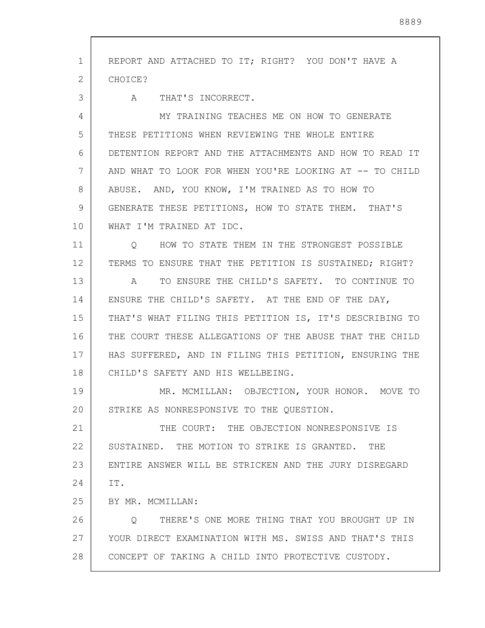1 2 3 4 5 6 7 8 9 10 11 12 13 14 15 16 17 18 19 20 21 22 23 24 25 26 27 28 REPORT AND ATTACHED TO IT; RIGHT? YOU DON'T HAVE A CHOICE? A THAT'S INCORRECT. MY TRAINING TEACHES ME ON HOW TO GENERATE THESE PETITIONS WHEN REVIEWING THE WHOLE ENTIRE DETENTION REPORT AND THE ATTACHMENTS AND HOW TO READ IT AND WHAT TO LOOK FOR WHEN YOU'RE LOOKING AT -- TO CHILD ABUSE. AND, YOU KNOW, I'M TRAINED AS TO HOW TO GENERATE THESE PETITIONS, HOW TO STATE THEM. THAT'S WHAT I'M TRAINED AT IDC. Q HOW TO STATE THEM IN THE STRONGEST POSSIBLE TERMS TO ENSURE THAT THE PETITION IS SUSTAINED; RIGHT? A TO ENSURE THE CHILD'S SAFETY. TO CONTINUE TO ENSURE THE CHILD'S SAFETY. AT THE END OF THE DAY, THAT'S WHAT FILING THIS PETITION IS, IT'S DESCRIBING TO THE COURT THESE ALLEGATIONS OF THE ABUSE THAT THE CHILD HAS SUFFERED, AND IN FILING THIS PETITION, ENSURING THE CHILD'S SAFETY AND HIS WELLBEING. MR. MCMILLAN: OBJECTION, YOUR HONOR. MOVE TO STRIKE AS NONRESPONSIVE TO THE QUESTION. THE COURT: THE OBJECTION NONRESPONSIVE IS SUSTAINED. THE MOTION TO STRIKE IS GRANTED. THE ENTIRE ANSWER WILL BE STRICKEN AND THE JURY DISREGARD IT. BY MR. MCMILLAN: Q THERE'S ONE MORE THING THAT YOU BROUGHT UP IN YOUR DIRECT EXAMINATION WITH MS. SWISS AND THAT'S THIS CONCEPT OF TAKING A CHILD INTO PROTECTIVE CUSTODY.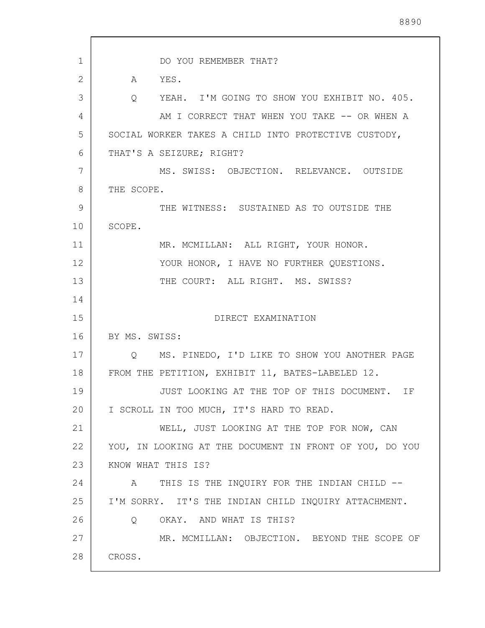1 2 3 4 5 6 7 8 9 10 11 12 13 14 15 16 17 18 19 20 21 22 23 24 25 26 27 28 DO YOU REMEMBER THAT? A YES. Q YEAH. I'M GOING TO SHOW YOU EXHIBIT NO. 405. AM I CORRECT THAT WHEN YOU TAKE -- OR WHEN A SOCIAL WORKER TAKES A CHILD INTO PROTECTIVE CUSTODY, THAT'S A SEIZURE; RIGHT? MS. SWISS: OBJECTION. RELEVANCE. OUTSIDE THE SCOPE. THE WITNESS: SUSTAINED AS TO OUTSIDE THE SCOPE. MR. MCMILLAN: ALL RIGHT, YOUR HONOR. YOUR HONOR, I HAVE NO FURTHER QUESTIONS. THE COURT: ALL RIGHT. MS. SWISS? DIRECT EXAMINATION BY MS. SWISS: Q MS. PINEDO, I'D LIKE TO SHOW YOU ANOTHER PAGE FROM THE PETITION, EXHIBIT 11, BATES-LABELED 12. JUST LOOKING AT THE TOP OF THIS DOCUMENT. IF I SCROLL IN TOO MUCH, IT'S HARD TO READ. WELL, JUST LOOKING AT THE TOP FOR NOW, CAN YOU, IN LOOKING AT THE DOCUMENT IN FRONT OF YOU, DO YOU KNOW WHAT THIS IS? A THIS IS THE INOUIRY FOR THE INDIAN CHILD --I'M SORRY. IT'S THE INDIAN CHILD INQUIRY ATTACHMENT. Q OKAY. AND WHAT IS THIS? MR. MCMILLAN: OBJECTION. BEYOND THE SCOPE OF CROSS.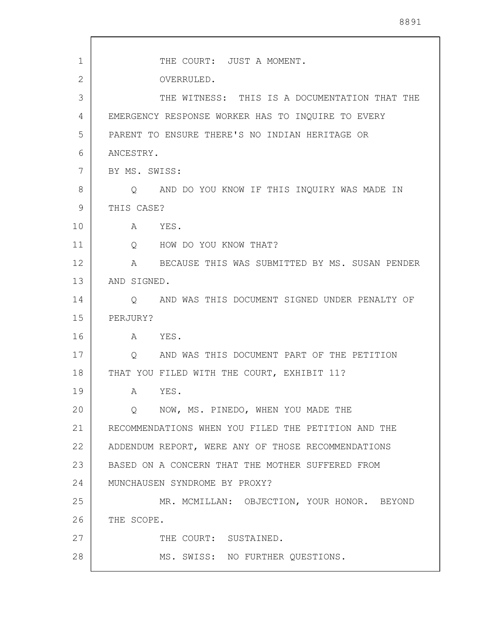| 1            | THE COURT: JUST A MOMENT.                                       |
|--------------|-----------------------------------------------------------------|
| $\mathbf{2}$ | OVERRULED.                                                      |
| 3            | THE WITNESS: THIS IS A DOCUMENTATION THAT THE                   |
| 4            | EMERGENCY RESPONSE WORKER HAS TO INQUIRE TO EVERY               |
| 5            | PARENT TO ENSURE THERE'S NO INDIAN HERITAGE OR                  |
| 6            | ANCESTRY.                                                       |
| 7            | BY MS. SWISS:                                                   |
| 8            | Q AND DO YOU KNOW IF THIS INQUIRY WAS MADE IN                   |
| 9            | THIS CASE?                                                      |
| 10           | A YES.                                                          |
| 11           | Q HOW DO YOU KNOW THAT?                                         |
| 12           | A BECAUSE THIS WAS SUBMITTED BY MS. SUSAN PENDER                |
| 13           | AND SIGNED.                                                     |
| 14           | O AND WAS THIS DOCUMENT SIGNED UNDER PENALTY OF                 |
| 15           | PERJURY?                                                        |
| 16           | A YES.                                                          |
| 17           | AND WAS THIS DOCUMENT PART OF THE PETITION<br>$Q \qquad \qquad$ |
| 18           | THAT YOU FILED WITH THE COURT, EXHIBIT 11?                      |
| 19           | YES.<br>A                                                       |
| 20           | NOW, MS. PINEDO, WHEN YOU MADE THE<br>$Q \qquad \qquad$         |
| 21           | RECOMMENDATIONS WHEN YOU FILED THE PETITION AND THE             |
| 22           | ADDENDUM REPORT, WERE ANY OF THOSE RECOMMENDATIONS              |
| 23           | BASED ON A CONCERN THAT THE MOTHER SUFFERED FROM                |
| 24           | MUNCHAUSEN SYNDROME BY PROXY?                                   |
| 25           | MR. MCMILLAN: OBJECTION, YOUR HONOR. BEYOND                     |
| 26           | THE SCOPE.                                                      |
| 27           | THE COURT: SUSTAINED.                                           |
| 28           | MS. SWISS: NO FURTHER QUESTIONS.                                |

 $\mathbf{r}$ 

 $\overline{\phantom{a}}$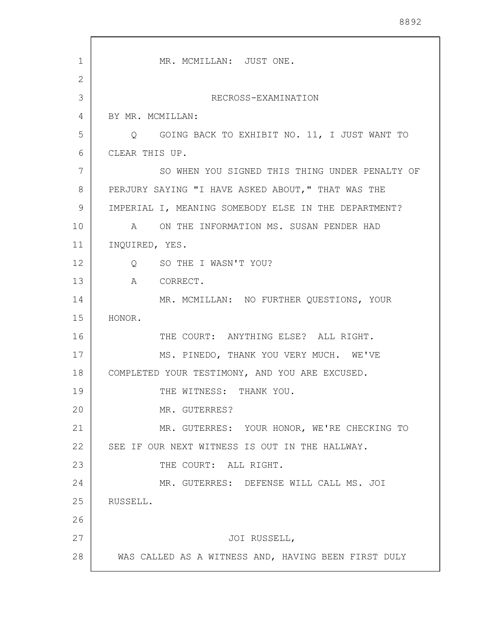1 2 3 4 5 6 7 8 9 10 11 12 13 14 15 16 17 18 19 20 21 22 23 24 25 26 27 28 MR. MCMILLAN: JUST ONE. RECROSS-EXAMINATION BY MR. MCMILLAN: Q GOING BACK TO EXHIBIT NO. 11, I JUST WANT TO CLEAR THIS UP. SO WHEN YOU SIGNED THIS THING UNDER PENALTY OF PERJURY SAYING "I HAVE ASKED ABOUT," THAT WAS THE IMPERIAL I, MEANING SOMEBODY ELSE IN THE DEPARTMENT? A ON THE INFORMATION MS. SUSAN PENDER HAD INQUIRED, YES. Q SO THE I WASN'T YOU? A CORRECT. MR. MCMILLAN: NO FURTHER QUESTIONS, YOUR HONOR. THE COURT: ANYTHING ELSE? ALL RIGHT. MS. PINEDO, THANK YOU VERY MUCH. WE'VE COMPLETED YOUR TESTIMONY, AND YOU ARE EXCUSED. THE WITNESS: THANK YOU. MR. GUTERRES? MR. GUTERRES: YOUR HONOR, WE'RE CHECKING TO SEE IF OUR NEXT WITNESS IS OUT IN THE HALLWAY. THE COURT: ALL RIGHT. MR. GUTERRES: DEFENSE WILL CALL MS. JOI RUSSELL. JOI RUSSELL, WAS CALLED AS A WITNESS AND, HAVING BEEN FIRST DULY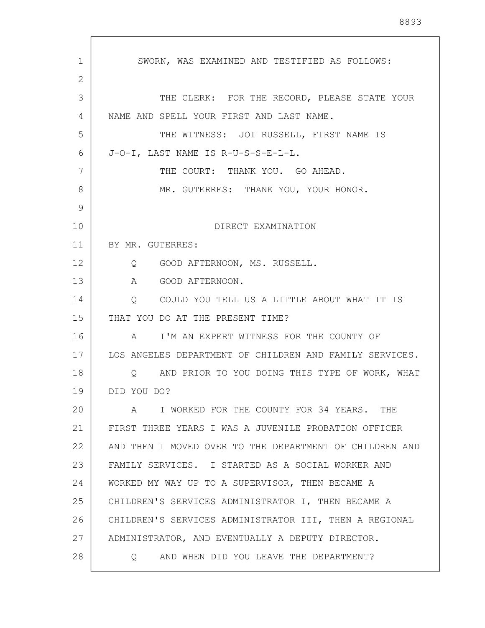1 2 3 4 5 6 7 8 9 10 11 12 13 14 15 16 17 18 19 20 21 22 23 24 25 26 27 28 SWORN, WAS EXAMINED AND TESTIFIED AS FOLLOWS: THE CLERK: FOR THE RECORD, PLEASE STATE YOUR NAME AND SPELL YOUR FIRST AND LAST NAME. THE WITNESS: JOI RUSSELL, FIRST NAME IS J-O-I, LAST NAME IS R-U-S-S-E-L-L. THE COURT: THANK YOU. GO AHEAD. MR. GUTERRES: THANK YOU, YOUR HONOR. DIRECT EXAMINATION BY MR. GUTERRES: Q GOOD AFTERNOON, MS. RUSSELL. A GOOD AFTERNOON. Q COULD YOU TELL US A LITTLE ABOUT WHAT IT IS THAT YOU DO AT THE PRESENT TIME? A I'M AN EXPERT WITNESS FOR THE COUNTY OF LOS ANGELES DEPARTMENT OF CHILDREN AND FAMILY SERVICES. Q AND PRIOR TO YOU DOING THIS TYPE OF WORK, WHAT DID YOU DO? A I WORKED FOR THE COUNTY FOR 34 YEARS. THE FIRST THREE YEARS I WAS A JUVENILE PROBATION OFFICER AND THEN I MOVED OVER TO THE DEPARTMENT OF CHILDREN AND FAMILY SERVICES. I STARTED AS A SOCIAL WORKER AND WORKED MY WAY UP TO A SUPERVISOR, THEN BECAME A CHILDREN'S SERVICES ADMINISTRATOR I, THEN BECAME A CHILDREN'S SERVICES ADMINISTRATOR III, THEN A REGIONAL ADMINISTRATOR, AND EVENTUALLY A DEPUTY DIRECTOR. Q AND WHEN DID YOU LEAVE THE DEPARTMENT?

8893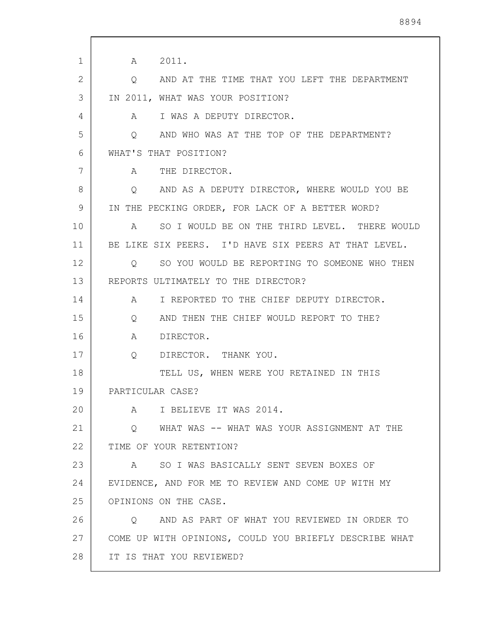1 2 3 4 5 6 7 8 9 10 11 12 13 14 15 16 17 18 19 20 21 22 23 24 25 26 27 28 A 2011. Q AND AT THE TIME THAT YOU LEFT THE DEPARTMENT IN 2011, WHAT WAS YOUR POSITION? A I WAS A DEPUTY DIRECTOR. Q AND WHO WAS AT THE TOP OF THE DEPARTMENT? WHAT'S THAT POSITION? A THE DIRECTOR. Q AND AS A DEPUTY DIRECTOR, WHERE WOULD YOU BE IN THE PECKING ORDER, FOR LACK OF A BETTER WORD? A SO I WOULD BE ON THE THIRD LEVEL. THERE WOULD BE LIKE SIX PEERS. I'D HAVE SIX PEERS AT THAT LEVEL. Q SO YOU WOULD BE REPORTING TO SOMEONE WHO THEN REPORTS ULTIMATELY TO THE DIRECTOR? A I REPORTED TO THE CHIEF DEPUTY DIRECTOR. Q AND THEN THE CHIEF WOULD REPORT TO THE? A DIRECTOR. Q DIRECTOR. THANK YOU. TELL US, WHEN WERE YOU RETAINED IN THIS PARTICULAR CASE? A I BELIEVE IT WAS 2014. Q WHAT WAS -- WHAT WAS YOUR ASSIGNMENT AT THE TIME OF YOUR RETENTION? A SO I WAS BASICALLY SENT SEVEN BOXES OF EVIDENCE, AND FOR ME TO REVIEW AND COME UP WITH MY OPINIONS ON THE CASE. Q AND AS PART OF WHAT YOU REVIEWED IN ORDER TO COME UP WITH OPINIONS, COULD YOU BRIEFLY DESCRIBE WHAT IT IS THAT YOU REVIEWED?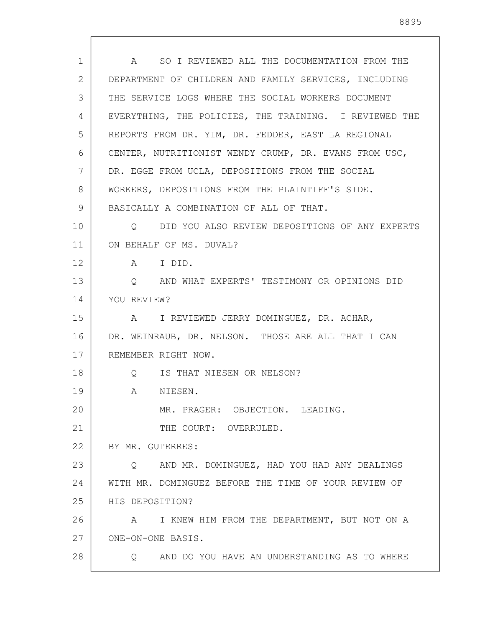A SO I REVIEWED ALL THE DOCUMENTATION FROM THE DEPARTMENT OF CHILDREN AND FAMILY SERVICES, INCLUDING THE SERVICE LOGS WHERE THE SOCIAL WORKERS DOCUMENT EVERYTHING, THE POLICIES, THE TRAINING. I REVIEWED THE REPORTS FROM DR. YIM, DR. FEDDER, EAST LA REGIONAL CENTER, NUTRITIONIST WENDY CRUMP, DR. EVANS FROM USC, DR. EGGE FROM UCLA, DEPOSITIONS FROM THE SOCIAL WORKERS, DEPOSITIONS FROM THE PLAINTIFF'S SIDE. BASICALLY A COMBINATION OF ALL OF THAT. Q DID YOU ALSO REVIEW DEPOSITIONS OF ANY EXPERTS ON BEHALF OF MS. DUVAL?

13 14 Q AND WHAT EXPERTS' TESTIMONY OR OPINIONS DID YOU REVIEW?

15 16 17 18 A I REVIEWED JERRY DOMINGUEZ, DR. ACHAR, DR. WEINRAUB, DR. NELSON. THOSE ARE ALL THAT I CAN REMEMBER RIGHT NOW. Q IS THAT NIESEN OR NELSON?

A NIESEN.

A I DID.

MR. PRAGER: OBJECTION. LEADING. THE COURT: OVERRULED.

22 BY MR. GUTERRES:

1

2

3

4

5

6

7

8

9

10

11

12

19

20

21

28

23 24 25 Q AND MR. DOMINGUEZ, HAD YOU HAD ANY DEALINGS WITH MR. DOMINGUEZ BEFORE THE TIME OF YOUR REVIEW OF HIS DEPOSITION?

26 27 A I KNEW HIM FROM THE DEPARTMENT, BUT NOT ON A ONE-ON-ONE BASIS.

Q AND DO YOU HAVE AN UNDERSTANDING AS TO WHERE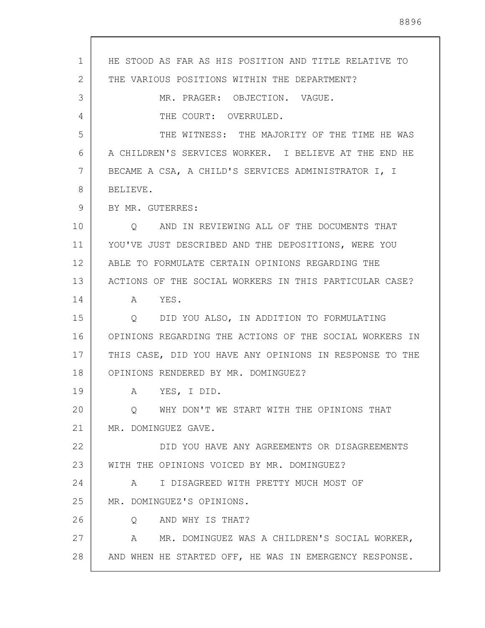1 2 3 4 5 6 7 8 9 10 11 12 13 14 15 16 17 18 19 20 21 22 23 24 25 26 27 28 HE STOOD AS FAR AS HIS POSITION AND TITLE RELATIVE TO THE VARIOUS POSITIONS WITHIN THE DEPARTMENT? MR. PRAGER: OBJECTION. VAGUE. THE COURT: OVERRULED. THE WITNESS: THE MAJORITY OF THE TIME HE WAS A CHILDREN'S SERVICES WORKER. I BELIEVE AT THE END HE BECAME A CSA, A CHILD'S SERVICES ADMINISTRATOR I, I BELIEVE. BY MR. GUTERRES: Q AND IN REVIEWING ALL OF THE DOCUMENTS THAT YOU'VE JUST DESCRIBED AND THE DEPOSITIONS, WERE YOU ABLE TO FORMULATE CERTAIN OPINIONS REGARDING THE ACTIONS OF THE SOCIAL WORKERS IN THIS PARTICULAR CASE? A YES. Q DID YOU ALSO, IN ADDITION TO FORMULATING OPINIONS REGARDING THE ACTIONS OF THE SOCIAL WORKERS IN THIS CASE, DID YOU HAVE ANY OPINIONS IN RESPONSE TO THE OPINIONS RENDERED BY MR. DOMINGUEZ? A YES, I DID. Q WHY DON'T WE START WITH THE OPINIONS THAT MR. DOMINGUEZ GAVE. DID YOU HAVE ANY AGREEMENTS OR DISAGREEMENTS WITH THE OPINIONS VOICED BY MR. DOMINGUEZ? A I DISAGREED WITH PRETTY MUCH MOST OF MR. DOMINGUEZ'S OPINIONS. Q AND WHY IS THAT? A MR. DOMINGUEZ WAS A CHILDREN'S SOCIAL WORKER, AND WHEN HE STARTED OFF, HE WAS IN EMERGENCY RESPONSE.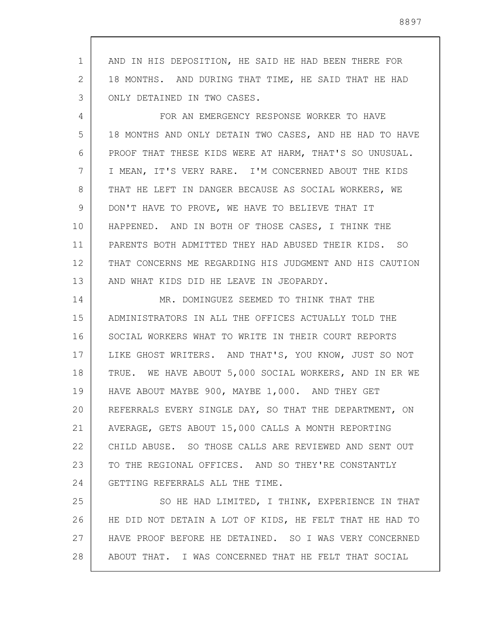1 2 3 AND IN HIS DEPOSITION, HE SAID HE HAD BEEN THERE FOR 18 MONTHS. AND DURING THAT TIME, HE SAID THAT HE HAD ONLY DETAINED IN TWO CASES.

4 5 6 7 8 9 10 11 12 13 FOR AN EMERGENCY RESPONSE WORKER TO HAVE 18 MONTHS AND ONLY DETAIN TWO CASES, AND HE HAD TO HAVE PROOF THAT THESE KIDS WERE AT HARM, THAT'S SO UNUSUAL. I MEAN, IT'S VERY RARE. I'M CONCERNED ABOUT THE KIDS THAT HE LEFT IN DANGER BECAUSE AS SOCIAL WORKERS, WE DON'T HAVE TO PROVE, WE HAVE TO BELIEVE THAT IT HAPPENED. AND IN BOTH OF THOSE CASES, I THINK THE PARENTS BOTH ADMITTED THEY HAD ABUSED THEIR KIDS. SO THAT CONCERNS ME REGARDING HIS JUDGMENT AND HIS CAUTION AND WHAT KIDS DID HE LEAVE IN JEOPARDY.

14 15 16 17 18 19 20 21 22 23 24 MR. DOMINGUEZ SEEMED TO THINK THAT THE ADMINISTRATORS IN ALL THE OFFICES ACTUALLY TOLD THE SOCIAL WORKERS WHAT TO WRITE IN THEIR COURT REPORTS LIKE GHOST WRITERS. AND THAT'S, YOU KNOW, JUST SO NOT TRUE. WE HAVE ABOUT 5,000 SOCIAL WORKERS, AND IN ER WE HAVE ABOUT MAYBE 900, MAYBE 1,000. AND THEY GET REFERRALS EVERY SINGLE DAY, SO THAT THE DEPARTMENT, ON AVERAGE, GETS ABOUT 15,000 CALLS A MONTH REPORTING CHILD ABUSE. SO THOSE CALLS ARE REVIEWED AND SENT OUT TO THE REGIONAL OFFICES. AND SO THEY'RE CONSTANTLY GETTING REFERRALS ALL THE TIME.

25 26 27 28 SO HE HAD LIMITED, I THINK, EXPERIENCE IN THAT HE DID NOT DETAIN A LOT OF KIDS, HE FELT THAT HE HAD TO HAVE PROOF BEFORE HE DETAINED. SO I WAS VERY CONCERNED ABOUT THAT. I WAS CONCERNED THAT HE FELT THAT SOCIAL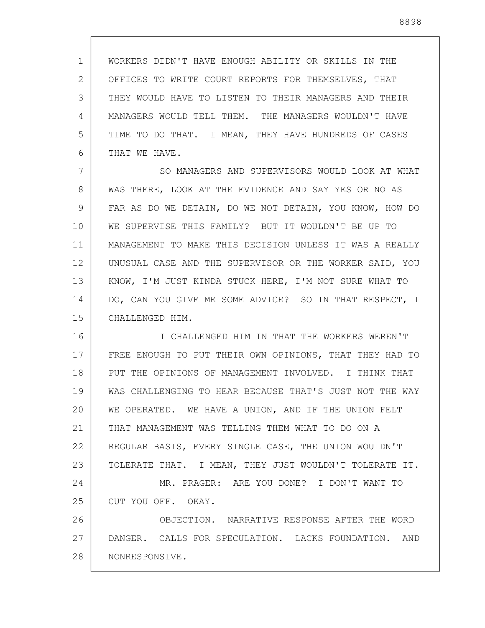1 2 3 4 5 6 WORKERS DIDN'T HAVE ENOUGH ABILITY OR SKILLS IN THE OFFICES TO WRITE COURT REPORTS FOR THEMSELVES, THAT THEY WOULD HAVE TO LISTEN TO THEIR MANAGERS AND THEIR MANAGERS WOULD TELL THEM. THE MANAGERS WOULDN'T HAVE TIME TO DO THAT. I MEAN, THEY HAVE HUNDREDS OF CASES THAT WE HAVE.

7 8 9 10 11 12 13 14 15 SO MANAGERS AND SUPERVISORS WOULD LOOK AT WHAT WAS THERE, LOOK AT THE EVIDENCE AND SAY YES OR NO AS FAR AS DO WE DETAIN, DO WE NOT DETAIN, YOU KNOW, HOW DO WE SUPERVISE THIS FAMILY? BUT IT WOULDN'T BE UP TO MANAGEMENT TO MAKE THIS DECISION UNLESS IT WAS A REALLY UNUSUAL CASE AND THE SUPERVISOR OR THE WORKER SAID, YOU KNOW, I'M JUST KINDA STUCK HERE, I'M NOT SURE WHAT TO DO, CAN YOU GIVE ME SOME ADVICE? SO IN THAT RESPECT, I CHALLENGED HIM.

16 17 18 19 20 21 22 23 I CHALLENGED HIM IN THAT THE WORKERS WEREN'T FREE ENOUGH TO PUT THEIR OWN OPINIONS, THAT THEY HAD TO PUT THE OPINIONS OF MANAGEMENT INVOLVED. I THINK THAT WAS CHALLENGING TO HEAR BECAUSE THAT'S JUST NOT THE WAY WE OPERATED. WE HAVE A UNION, AND IF THE UNION FELT THAT MANAGEMENT WAS TELLING THEM WHAT TO DO ON A REGULAR BASIS, EVERY SINGLE CASE, THE UNION WOULDN'T TOLERATE THAT. I MEAN, THEY JUST WOULDN'T TOLERATE IT.

24 25 MR. PRAGER: ARE YOU DONE? I DON'T WANT TO CUT YOU OFF. OKAY.

26 27 28 OBJECTION. NARRATIVE RESPONSE AFTER THE WORD DANGER. CALLS FOR SPECULATION. LACKS FOUNDATION. AND NONRESPONSIVE.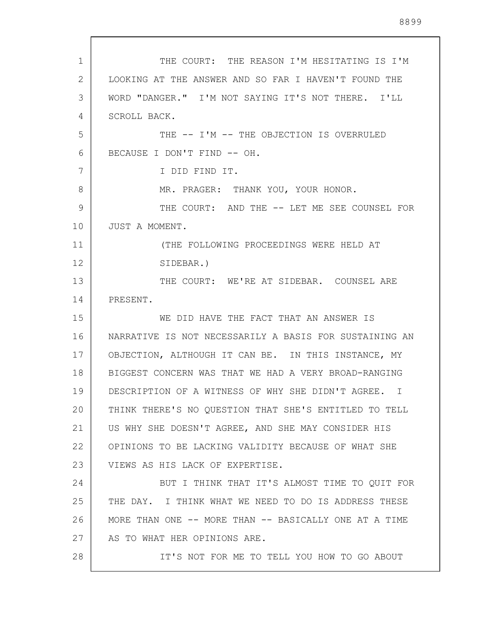1 2 3 4 5 6 7 8 9 10 11 12 13 14 15 16 17 18 19 20 21 22 23 24 25 26 27 28 THE COURT: THE REASON I'M HESITATING IS I'M LOOKING AT THE ANSWER AND SO FAR I HAVEN'T FOUND THE WORD "DANGER." I'M NOT SAYING IT'S NOT THERE. I'LL SCROLL BACK. THE -- I'M -- THE OBJECTION IS OVERRULED BECAUSE I DON'T FIND -- OH. I DID FIND IT. MR. PRAGER: THANK YOU, YOUR HONOR. THE COURT: AND THE -- LET ME SEE COUNSEL FOR JUST A MOMENT. (THE FOLLOWING PROCEEDINGS WERE HELD AT SIDEBAR.) THE COURT: WE'RE AT SIDEBAR. COUNSEL ARE PRESENT. WE DID HAVE THE FACT THAT AN ANSWER IS NARRATIVE IS NOT NECESSARILY A BASIS FOR SUSTAINING AN OBJECTION, ALTHOUGH IT CAN BE. IN THIS INSTANCE, MY BIGGEST CONCERN WAS THAT WE HAD A VERY BROAD-RANGING DESCRIPTION OF A WITNESS OF WHY SHE DIDN'T AGREE. I THINK THERE'S NO QUESTION THAT SHE'S ENTITLED TO TELL US WHY SHE DOESN'T AGREE, AND SHE MAY CONSIDER HIS OPINIONS TO BE LACKING VALIDITY BECAUSE OF WHAT SHE VIEWS AS HIS LACK OF EXPERTISE. BUT I THINK THAT IT'S ALMOST TIME TO QUIT FOR THE DAY. I THINK WHAT WE NEED TO DO IS ADDRESS THESE MORE THAN ONE -- MORE THAN -- BASICALLY ONE AT A TIME AS TO WHAT HER OPINIONS ARE. IT'S NOT FOR ME TO TELL YOU HOW TO GO ABOUT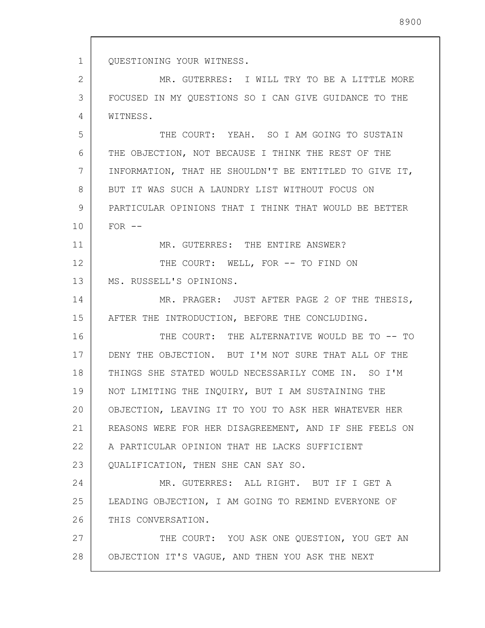1 2 3 4 5 6 7 8 9 10 11 12 13 14 15 16 17 18 19 20 21 22 23 24 25 26 27 28 QUESTIONING YOUR WITNESS. MR. GUTERRES: I WILL TRY TO BE A LITTLE MORE FOCUSED IN MY QUESTIONS SO I CAN GIVE GUIDANCE TO THE WITNESS. THE COURT: YEAH. SO I AM GOING TO SUSTAIN THE OBJECTION, NOT BECAUSE I THINK THE REST OF THE INFORMATION, THAT HE SHOULDN'T BE ENTITLED TO GIVE IT, BUT IT WAS SUCH A LAUNDRY LIST WITHOUT FOCUS ON PARTICULAR OPINIONS THAT I THINK THAT WOULD BE BETTER  $FOR$   $--$ MR. GUTERRES: THE ENTIRE ANSWER? THE COURT: WELL, FOR -- TO FIND ON MS. RUSSELL'S OPINIONS. MR. PRAGER: JUST AFTER PAGE 2 OF THE THESIS, AFTER THE INTRODUCTION, BEFORE THE CONCLUDING. THE COURT: THE ALTERNATIVE WOULD BE TO -- TO DENY THE OBJECTION. BUT I'M NOT SURE THAT ALL OF THE THINGS SHE STATED WOULD NECESSARILY COME IN. SO I'M NOT LIMITING THE INQUIRY, BUT I AM SUSTAINING THE OBJECTION, LEAVING IT TO YOU TO ASK HER WHATEVER HER REASONS WERE FOR HER DISAGREEMENT, AND IF SHE FEELS ON A PARTICULAR OPINION THAT HE LACKS SUFFICIENT QUALIFICATION, THEN SHE CAN SAY SO. MR. GUTERRES: ALL RIGHT. BUT IF I GET A LEADING OBJECTION, I AM GOING TO REMIND EVERYONE OF THIS CONVERSATION. THE COURT: YOU ASK ONE QUESTION, YOU GET AN OBJECTION IT'S VAGUE, AND THEN YOU ASK THE NEXT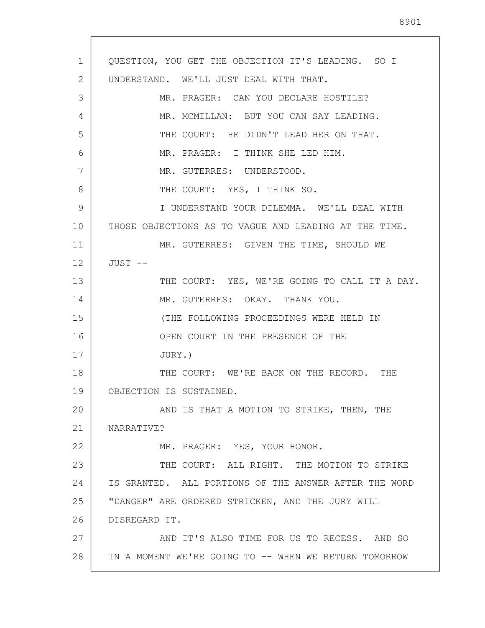1 2 3 4 5 6 7 8 9 10 11 12 13 14 15 16 17 18 19 20 21 22 23 24 25 26 27 28 QUESTION, YOU GET THE OBJECTION IT'S LEADING. SO I UNDERSTAND. WE'LL JUST DEAL WITH THAT. MR. PRAGER: CAN YOU DECLARE HOSTILE? MR. MCMILLAN: BUT YOU CAN SAY LEADING. THE COURT: HE DIDN'T LEAD HER ON THAT. MR. PRAGER: I THINK SHE LED HIM. MR. GUTERRES: UNDERSTOOD. THE COURT: YES, I THINK SO. I UNDERSTAND YOUR DILEMMA. WE'LL DEAL WITH THOSE OBJECTIONS AS TO VAGUE AND LEADING AT THE TIME. MR. GUTERRES: GIVEN THE TIME, SHOULD WE JUST -- THE COURT: YES, WE'RE GOING TO CALL IT A DAY. MR. GUTERRES: OKAY. THANK YOU. (THE FOLLOWING PROCEEDINGS WERE HELD IN OPEN COURT IN THE PRESENCE OF THE JURY.) THE COURT: WE'RE BACK ON THE RECORD. THE OBJECTION IS SUSTAINED. AND IS THAT A MOTION TO STRIKE, THEN, THE NARRATIVE? MR. PRAGER: YES, YOUR HONOR. THE COURT: ALL RIGHT. THE MOTION TO STRIKE IS GRANTED. ALL PORTIONS OF THE ANSWER AFTER THE WORD "DANGER" ARE ORDERED STRICKEN, AND THE JURY WILL DISREGARD IT. AND IT'S ALSO TIME FOR US TO RECESS. AND SO IN A MOMENT WE'RE GOING TO -- WHEN WE RETURN TOMORROW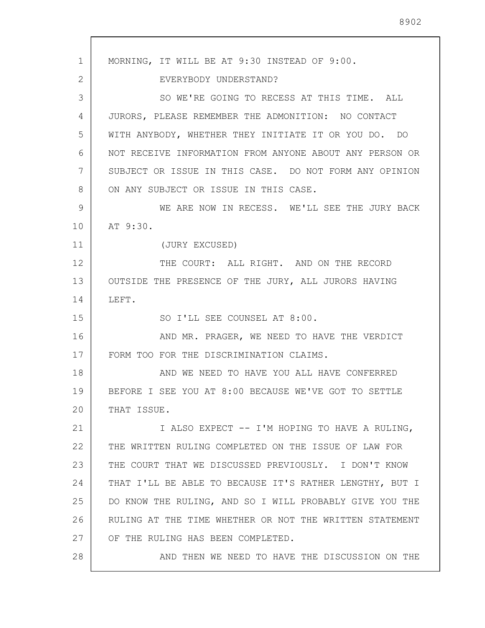1 2 3 4 5 6 7 8 9 10 11 12 13 14 15 16 17 18 19 20 21 22 23 24 25 26 27 28 MORNING, IT WILL BE AT 9:30 INSTEAD OF 9:00. EVERYBODY UNDERSTAND? SO WE'RE GOING TO RECESS AT THIS TIME. ALL JURORS, PLEASE REMEMBER THE ADMONITION: NO CONTACT WITH ANYBODY, WHETHER THEY INITIATE IT OR YOU DO. DO NOT RECEIVE INFORMATION FROM ANYONE ABOUT ANY PERSON OR SUBJECT OR ISSUE IN THIS CASE. DO NOT FORM ANY OPINION ON ANY SUBJECT OR ISSUE IN THIS CASE. WE ARE NOW IN RECESS. WE'LL SEE THE JURY BACK AT 9:30. (JURY EXCUSED) THE COURT: ALL RIGHT. AND ON THE RECORD OUTSIDE THE PRESENCE OF THE JURY, ALL JURORS HAVING LEFT. SO I'LL SEE COUNSEL AT 8:00. AND MR. PRAGER, WE NEED TO HAVE THE VERDICT FORM TOO FOR THE DISCRIMINATION CLAIMS. AND WE NEED TO HAVE YOU ALL HAVE CONFERRED BEFORE I SEE YOU AT 8:00 BECAUSE WE'VE GOT TO SETTLE THAT ISSUE. I ALSO EXPECT -- I'M HOPING TO HAVE A RULING, THE WRITTEN RULING COMPLETED ON THE ISSUE OF LAW FOR THE COURT THAT WE DISCUSSED PREVIOUSLY. I DON'T KNOW THAT I'LL BE ABLE TO BECAUSE IT'S RATHER LENGTHY, BUT I DO KNOW THE RULING, AND SO I WILL PROBABLY GIVE YOU THE RULING AT THE TIME WHETHER OR NOT THE WRITTEN STATEMENT OF THE RULING HAS BEEN COMPLETED. AND THEN WE NEED TO HAVE THE DISCUSSION ON THE